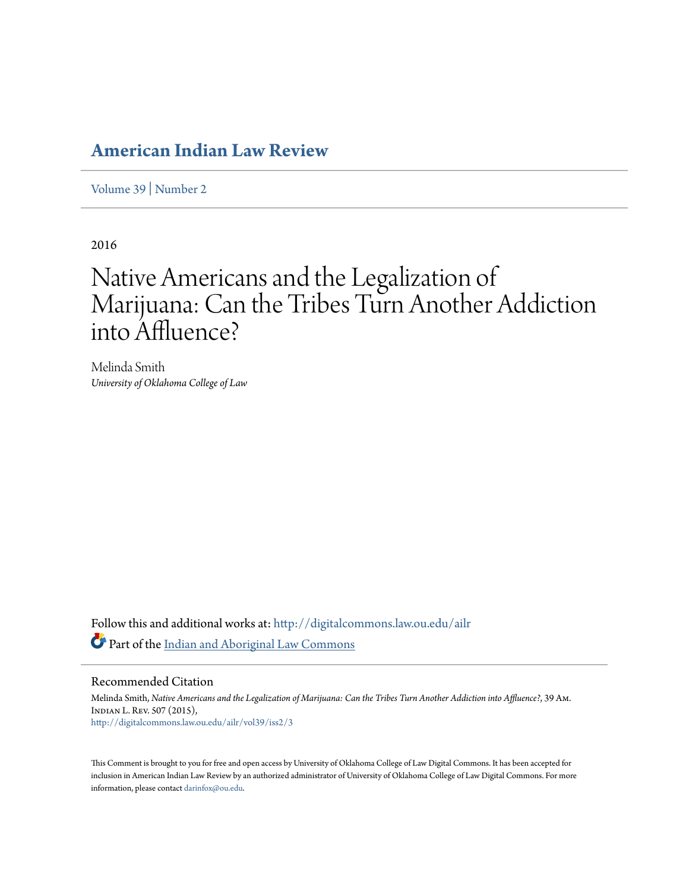# **[American Indian Law Review](http://digitalcommons.law.ou.edu/ailr?utm_source=digitalcommons.law.ou.edu%2Failr%2Fvol39%2Fiss2%2F3&utm_medium=PDF&utm_campaign=PDFCoverPages)**

[Volume 39](http://digitalcommons.law.ou.edu/ailr/vol39?utm_source=digitalcommons.law.ou.edu%2Failr%2Fvol39%2Fiss2%2F3&utm_medium=PDF&utm_campaign=PDFCoverPages) | [Number 2](http://digitalcommons.law.ou.edu/ailr/vol39/iss2?utm_source=digitalcommons.law.ou.edu%2Failr%2Fvol39%2Fiss2%2F3&utm_medium=PDF&utm_campaign=PDFCoverPages)

2016

# Native Americans and the Legalization of Marijuana: Can the Tribes Turn Another Addiction into Affluence?

Melinda Smith *University of Oklahoma College of Law*

Follow this and additional works at: [http://digitalcommons.law.ou.edu/ailr](http://digitalcommons.law.ou.edu/ailr?utm_source=digitalcommons.law.ou.edu%2Failr%2Fvol39%2Fiss2%2F3&utm_medium=PDF&utm_campaign=PDFCoverPages) Part of the [Indian and Aboriginal Law Commons](http://network.bepress.com/hgg/discipline/894?utm_source=digitalcommons.law.ou.edu%2Failr%2Fvol39%2Fiss2%2F3&utm_medium=PDF&utm_campaign=PDFCoverPages)

Recommended Citation

Melinda Smith, *Native Americans and the Legalization of Marijuana: Can the Tribes Turn Another Addiction into Affluence?*, 39 Am. Indian L. Rev. 507 (2015), [http://digitalcommons.law.ou.edu/ailr/vol39/iss2/3](http://digitalcommons.law.ou.edu/ailr/vol39/iss2/3?utm_source=digitalcommons.law.ou.edu%2Failr%2Fvol39%2Fiss2%2F3&utm_medium=PDF&utm_campaign=PDFCoverPages)

This Comment is brought to you for free and open access by University of Oklahoma College of Law Digital Commons. It has been accepted for inclusion in American Indian Law Review by an authorized administrator of University of Oklahoma College of Law Digital Commons. For more information, please contact [darinfox@ou.edu.](mailto:darinfox@ou.edu)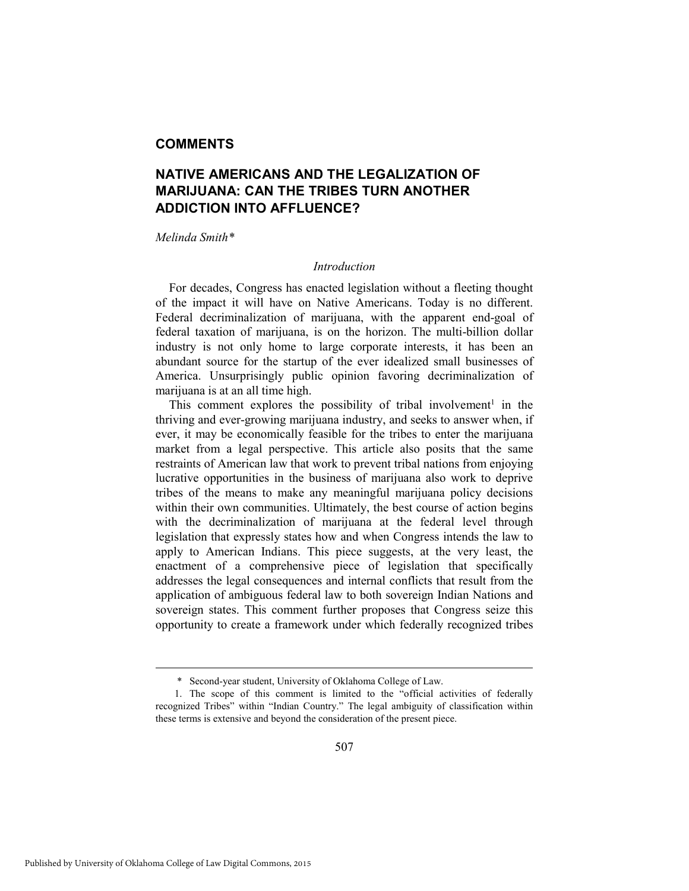# **COMMENTS**

# **NATIVE AMERICANS AND THE LEGALIZATION OF MARIJUANA: CAN THE TRIBES TURN ANOTHER ADDICTION INTO AFFLUENCE?**

#### *Melinda Smith\**

#### *Introduction*

For decades, Congress has enacted legislation without a fleeting thought of the impact it will have on Native Americans. Today is no different. Federal decriminalization of marijuana, with the apparent end-goal of federal taxation of marijuana, is on the horizon. The multi-billion dollar industry is not only home to large corporate interests, it has been an abundant source for the startup of the ever idealized small businesses of America. Unsurprisingly public opinion favoring decriminalization of marijuana is at an all time high.

This comment explores the possibility of tribal involvement<sup>1</sup> in the thriving and ever-growing marijuana industry, and seeks to answer when, if ever, it may be economically feasible for the tribes to enter the marijuana market from a legal perspective. This article also posits that the same restraints of American law that work to prevent tribal nations from enjoying lucrative opportunities in the business of marijuana also work to deprive tribes of the means to make any meaningful marijuana policy decisions within their own communities. Ultimately, the best course of action begins with the decriminalization of marijuana at the federal level through legislation that expressly states how and when Congress intends the law to apply to American Indians. This piece suggests, at the very least, the enactment of a comprehensive piece of legislation that specifically addresses the legal consequences and internal conflicts that result from the application of ambiguous federal law to both sovereign Indian Nations and sovereign states. This comment further proposes that Congress seize this opportunity to create a framework under which federally recognized tribes

 <sup>\*</sup> Second-year student, University of Oklahoma College of Law.

 <sup>1.</sup> The scope of this comment is limited to the "official activities of federally recognized Tribes" within "Indian Country." The legal ambiguity of classification within these terms is extensive and beyond the consideration of the present piece.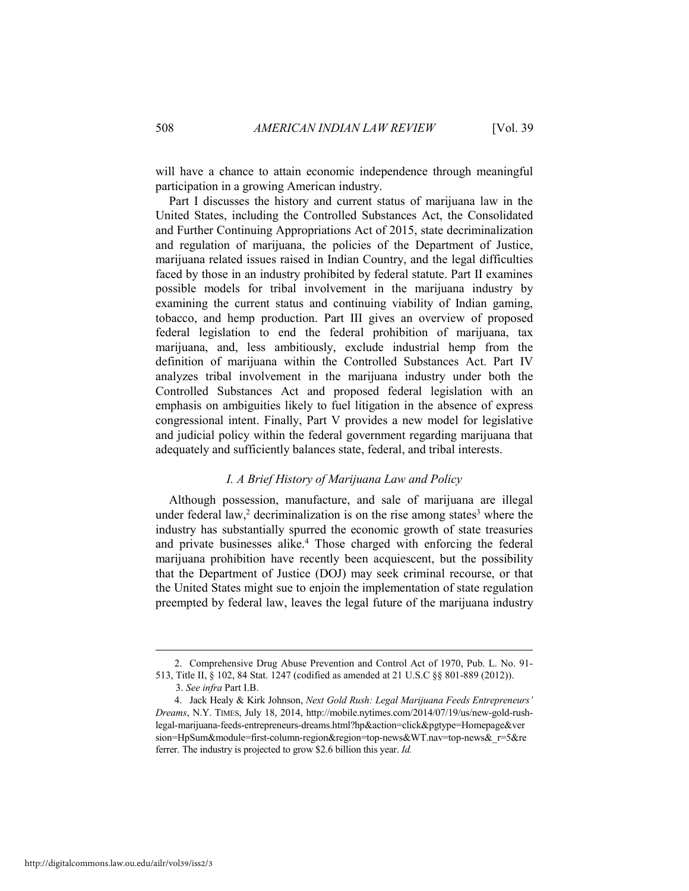will have a chance to attain economic independence through meaningful participation in a growing American industry.

Part I discusses the history and current status of marijuana law in the United States, including the Controlled Substances Act, the Consolidated and Further Continuing Appropriations Act of 2015, state decriminalization and regulation of marijuana, the policies of the Department of Justice, marijuana related issues raised in Indian Country, and the legal difficulties faced by those in an industry prohibited by federal statute. Part II examines possible models for tribal involvement in the marijuana industry by examining the current status and continuing viability of Indian gaming, tobacco, and hemp production. Part III gives an overview of proposed federal legislation to end the federal prohibition of marijuana, tax marijuana, and, less ambitiously, exclude industrial hemp from the definition of marijuana within the Controlled Substances Act. Part IV analyzes tribal involvement in the marijuana industry under both the Controlled Substances Act and proposed federal legislation with an emphasis on ambiguities likely to fuel litigation in the absence of express congressional intent. Finally, Part V provides a new model for legislative and judicial policy within the federal government regarding marijuana that adequately and sufficiently balances state, federal, and tribal interests.

#### *I. A Brief History of Marijuana Law and Policy*

Although possession, manufacture, and sale of marijuana are illegal under federal law,<sup>2</sup> decriminalization is on the rise among states<sup>3</sup> where the industry has substantially spurred the economic growth of state treasuries and private businesses alike.<sup>4</sup> Those charged with enforcing the federal marijuana prohibition have recently been acquiescent, but the possibility that the Department of Justice (DOJ) may seek criminal recourse, or that the United States might sue to enjoin the implementation of state regulation preempted by federal law, leaves the legal future of the marijuana industry

 <sup>2.</sup> Comprehensive Drug Abuse Prevention and Control Act of 1970, Pub. L. No. 91- 513, Title II, § 102, 84 Stat. 1247 (codified as amended at 21 U.S.C §§ 801-889 (2012)).

<sup>3.</sup> *See infra* Part I.B.

 <sup>4.</sup> Jack Healy & Kirk Johnson, *Next Gold Rush: Legal Marijuana Feeds Entrepreneurs' Dreams*, N.Y. TIMES, July 18, 2014, http://mobile.nytimes.com/2014/07/19/us/new-gold-rushlegal-marijuana-feeds-entrepreneurs-dreams.html?hp&action=click&pgtype=Homepage&ver sion=HpSum&module=first-column-region&region=top-news&WT.nav=top-news& r=5&re ferrer. The industry is projected to grow \$2.6 billion this year. *Id.*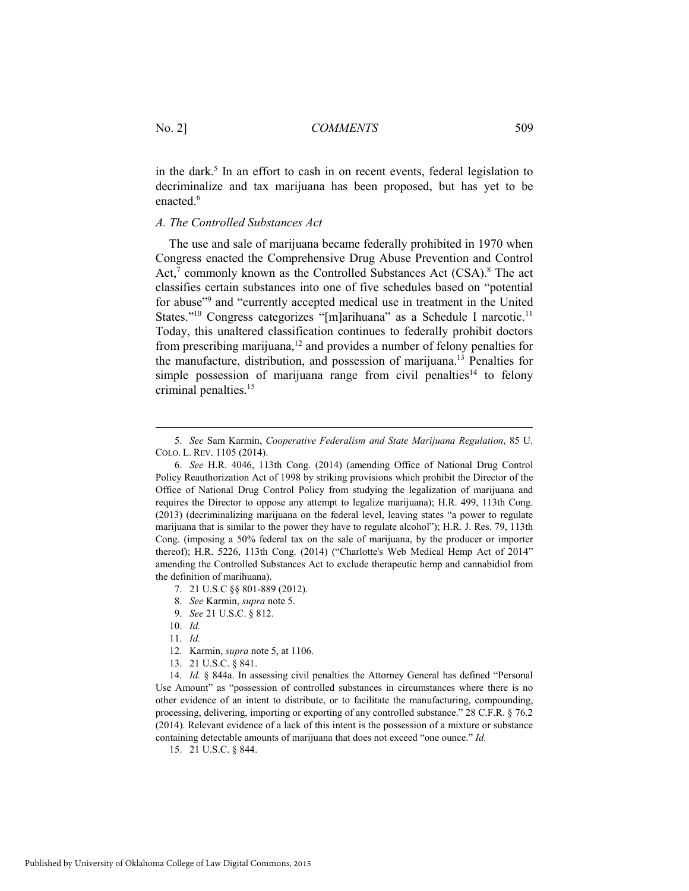in the dark.<sup>5</sup> In an effort to cash in on recent events, federal legislation to decriminalize and tax marijuana has been proposed, but has yet to be enacted.<sup>6</sup>

#### *A. The Controlled Substances Act*

The use and sale of marijuana became federally prohibited in 1970 when Congress enacted the Comprehensive Drug Abuse Prevention and Control Act,<sup>7</sup> commonly known as the Controlled Substances Act  $(CSA)$ .<sup>8</sup> The act classifies certain substances into one of five schedules based on "potential for abuse"9 and "currently accepted medical use in treatment in the United States."<sup>10</sup> Congress categorizes "[m]arihuana" as a Schedule I narcotic.<sup>11</sup> Today, this unaltered classification continues to federally prohibit doctors from prescribing marijuana,<sup>12</sup> and provides a number of felony penalties for the manufacture, distribution, and possession of marijuana.13 Penalties for simple possession of marijuana range from civil penalties<sup>14</sup> to felony criminal penalties.15

- 7. 21 U.S.C §§ 801-889 (2012).
- 8. *See* Karmin, *supra* note 5.
- 9. *See* 21 U.S.C. § 812.
- 10. *Id.*

 $\overline{a}$ 

- 11. *Id.*
- 12. Karmin, *supra* note 5, at 1106.
- 13. 21 U.S.C. § 841.

 14. *Id.* § 844a. In assessing civil penalties the Attorney General has defined "Personal Use Amount" as "possession of controlled substances in circumstances where there is no other evidence of an intent to distribute, or to facilitate the manufacturing, compounding, processing, delivering, importing or exporting of any controlled substance." 28 C.F.R. § 76.2 (2014). Relevant evidence of a lack of this intent is the possession of a mixture or substance containing detectable amounts of marijuana that does not exceed "one ounce." *Id.* 

15. 21 U.S.C. § 844.

 <sup>5.</sup> *See* Sam Karmin, *Cooperative Federalism and State Marijuana Regulation*, 85 U. COLO. L. REV. 1105 (2014).

 <sup>6.</sup> *See* H.R. 4046, 113th Cong. (2014) (amending Office of National Drug Control Policy Reauthorization Act of 1998 by striking provisions which prohibit the Director of the Office of National Drug Control Policy from studying the legalization of marijuana and requires the Director to oppose any attempt to legalize marijuana); H.R. 499, 113th Cong. (2013) (decriminalizing marijuana on the federal level, leaving states "a power to regulate marijuana that is similar to the power they have to regulate alcohol"); H.R. J. Res. 79, 113th Cong. (imposing a 50% federal tax on the sale of marijuana, by the producer or importer thereof); H.R. 5226, 113th Cong. (2014) ("Charlotte's Web Medical Hemp Act of 2014" amending the Controlled Substances Act to exclude therapeutic hemp and cannabidiol from the definition of marihuana).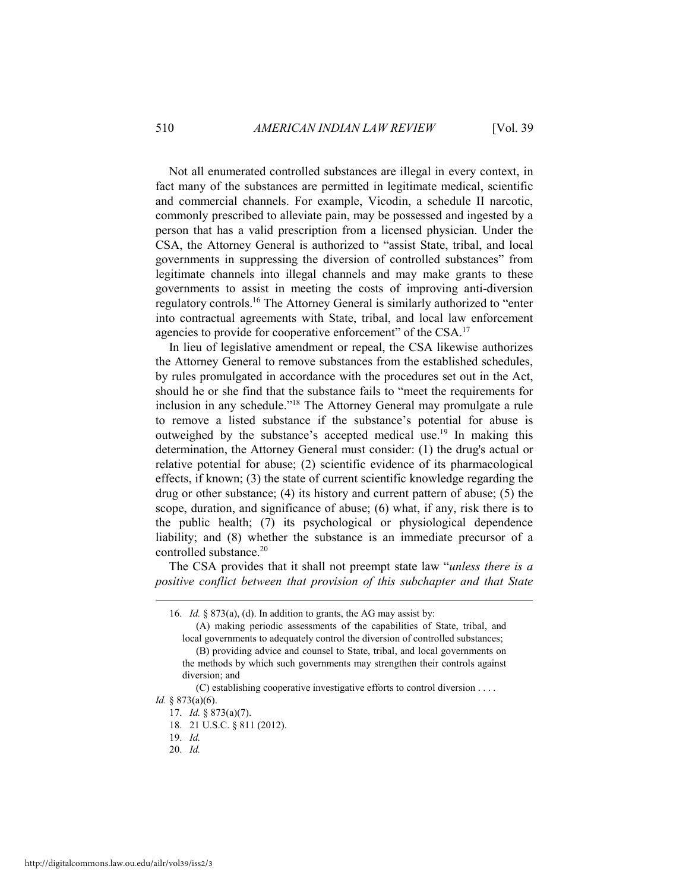Not all enumerated controlled substances are illegal in every context, in fact many of the substances are permitted in legitimate medical, scientific and commercial channels. For example, Vicodin, a schedule II narcotic, commonly prescribed to alleviate pain, may be possessed and ingested by a person that has a valid prescription from a licensed physician. Under the CSA, the Attorney General is authorized to "assist State, tribal, and local governments in suppressing the diversion of controlled substances" from legitimate channels into illegal channels and may make grants to these governments to assist in meeting the costs of improving anti-diversion regulatory controls.16 The Attorney General is similarly authorized to "enter into contractual agreements with State, tribal, and local law enforcement agencies to provide for cooperative enforcement" of the CSA.<sup>17</sup>

In lieu of legislative amendment or repeal, the CSA likewise authorizes the Attorney General to remove substances from the established schedules, by rules promulgated in accordance with the procedures set out in the Act, should he or she find that the substance fails to "meet the requirements for inclusion in any schedule."18 The Attorney General may promulgate a rule to remove a listed substance if the substance's potential for abuse is outweighed by the substance's accepted medical use.19 In making this determination, the Attorney General must consider: (1) the drug's actual or relative potential for abuse; (2) scientific evidence of its pharmacological effects, if known; (3) the state of current scientific knowledge regarding the drug or other substance; (4) its history and current pattern of abuse; (5) the scope, duration, and significance of abuse; (6) what, if any, risk there is to the public health; (7) its psychological or physiological dependence liability; and (8) whether the substance is an immediate precursor of a controlled substance.<sup>20</sup>

The CSA provides that it shall not preempt state law "*unless there is a positive conflict between that provision of this subchapter and that State* 

 <sup>16.</sup> *Id.* § 873(a), (d). In addition to grants, the AG may assist by:

 <sup>(</sup>A) making periodic assessments of the capabilities of State, tribal, and local governments to adequately control the diversion of controlled substances; (B) providing advice and counsel to State, tribal, and local governments on the methods by which such governments may strengthen their controls against

diversion; and

 <sup>(</sup>C) establishing cooperative investigative efforts to control diversion . . . .

*Id.* § 873(a)(6). 17. *Id.* § 873(a)(7).

 <sup>18. 21</sup> U.S.C. § 811 (2012).

 <sup>19.</sup> *Id.*

 <sup>20.</sup> *Id.*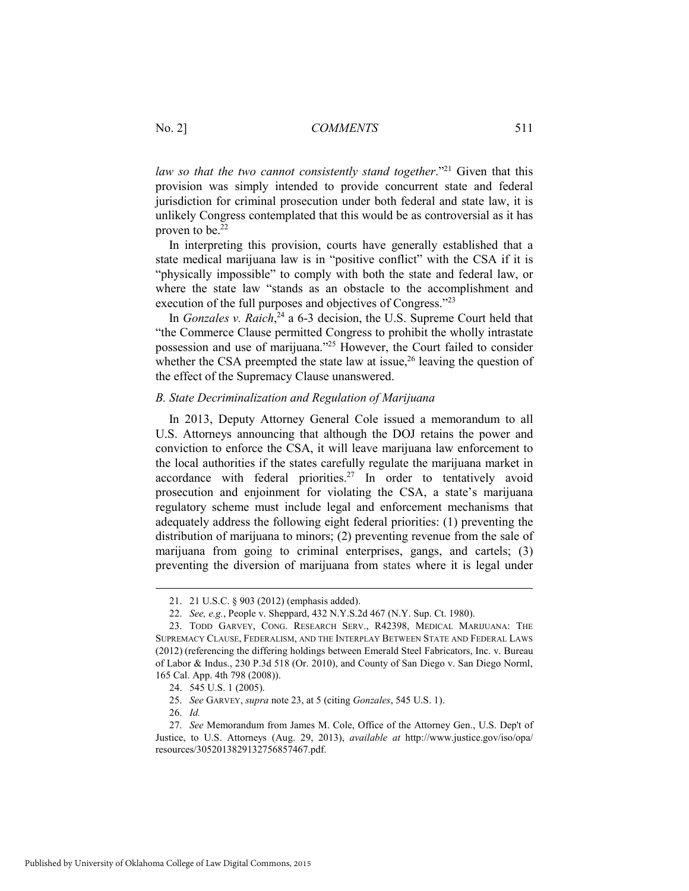*law so that the two cannot consistently stand together.*"<sup>21</sup> Given that this provision was simply intended to provide concurrent state and federal jurisdiction for criminal prosecution under both federal and state law, it is unlikely Congress contemplated that this would be as controversial as it has proven to be.<sup>22</sup>

In interpreting this provision, courts have generally established that a state medical marijuana law is in "positive conflict" with the CSA if it is "physically impossible" to comply with both the state and federal law, or where the state law "stands as an obstacle to the accomplishment and execution of the full purposes and objectives of Congress."23

In *Gonzales v. Raich*, 24 a 6-3 decision, the U.S. Supreme Court held that "the Commerce Clause permitted Congress to prohibit the wholly intrastate possession and use of marijuana."25 However, the Court failed to consider whether the CSA preempted the state law at issue, $2<sup>6</sup>$  leaving the question of the effect of the Supremacy Clause unanswered.

#### *B. State Decriminalization and Regulation of Marijuana*

In 2013, Deputy Attorney General Cole issued a memorandum to all U.S. Attorneys announcing that although the DOJ retains the power and conviction to enforce the CSA, it will leave marijuana law enforcement to the local authorities if the states carefully regulate the marijuana market in accordance with federal priorities.<sup>27</sup> In order to tentatively avoid prosecution and enjoinment for violating the CSA, a state's marijuana regulatory scheme must include legal and enforcement mechanisms that adequately address the following eight federal priorities: (1) preventing the distribution of marijuana to minors; (2) preventing revenue from the sale of marijuana from going to criminal enterprises, gangs, and cartels; (3) preventing the diversion of marijuana from states where it is legal under

 <sup>21. 21</sup> U.S.C. § 903 (2012) (emphasis added).

 <sup>22.</sup> *See, e.g.*, People v. Sheppard, 432 N.Y.S.2d 467 (N.Y. Sup. Ct. 1980).

 <sup>23.</sup> TODD GARVEY, CONG. RESEARCH SERV., R42398, MEDICAL MARIJUANA: THE SUPREMACY CLAUSE, FEDERALISM, AND THE INTERPLAY BETWEEN STATE AND FEDERAL LAWS (2012) (referencing the differing holdings between Emerald Steel Fabricators, Inc. v. Bureau of Labor & Indus., 230 P.3d 518 (Or. 2010), and County of San Diego v. San Diego Norml, 165 Cal. App. 4th 798 (2008)).

 <sup>24. 545</sup> U.S. 1 (2005).

 <sup>25.</sup> *See* GARVEY, *supra* note 23, at 5 (citing *Gonzales*, 545 U.S. 1).

 <sup>26.</sup> *Id.* 

 <sup>27.</sup> *See* Memorandum from James M. Cole, Office of the Attorney Gen., U.S. Dep't of Justice, to U.S. Attorneys (Aug. 29, 2013), *available at* http://www.justice.gov/iso/opa/ resources/3052013829132756857467.pdf.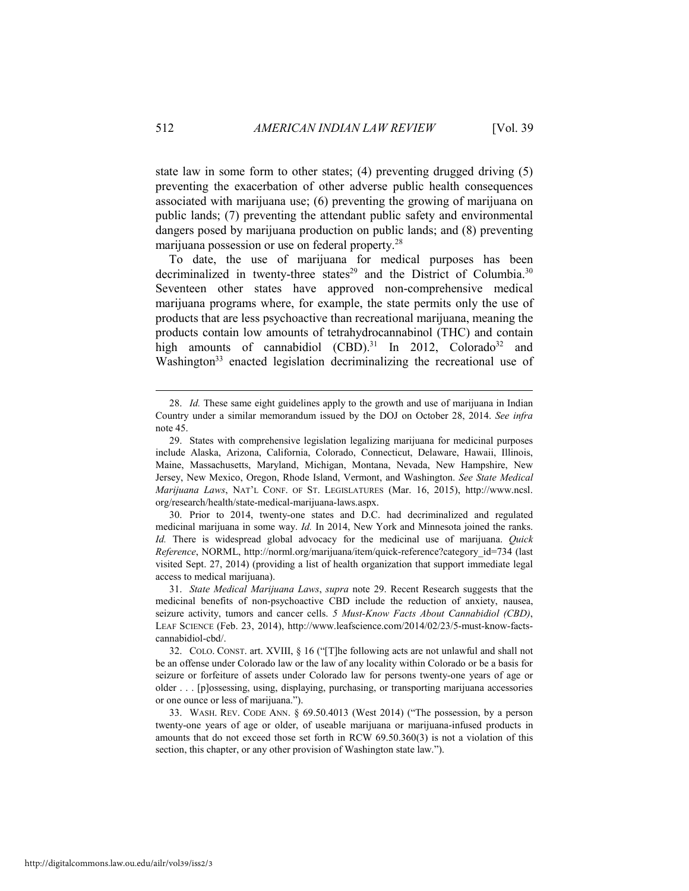state law in some form to other states; (4) preventing drugged driving (5) preventing the exacerbation of other adverse public health consequences associated with marijuana use; (6) preventing the growing of marijuana on public lands; (7) preventing the attendant public safety and environmental dangers posed by marijuana production on public lands; and (8) preventing marijuana possession or use on federal property.28

To date, the use of marijuana for medical purposes has been decriminalized in twenty-three states<sup>29</sup> and the District of Columbia.<sup>30</sup> Seventeen other states have approved non-comprehensive medical marijuana programs where, for example, the state permits only the use of products that are less psychoactive than recreational marijuana, meaning the products contain low amounts of tetrahydrocannabinol (THC) and contain high amounts of cannabidiol  $(CBD)$ .<sup>31</sup> In 2012, Colorado<sup>32</sup> and Washington<sup>33</sup> enacted legislation decriminalizing the recreational use of

 30. Prior to 2014, twenty-one states and D.C. had decriminalized and regulated medicinal marijuana in some way. *Id.* In 2014, New York and Minnesota joined the ranks. *Id.* There is widespread global advocacy for the medicinal use of marijuana. *Quick Reference*, NORML, http://norml.org/marijuana/item/quick-reference?category\_id=734 (last visited Sept. 27, 2014) (providing a list of health organization that support immediate legal access to medical marijuana).

 31. *State Medical Marijuana Laws*, *supra* note 29. Recent Research suggests that the medicinal benefits of non-psychoactive CBD include the reduction of anxiety, nausea, seizure activity, tumors and cancer cells. *5 Must-Know Facts About Cannabidiol (CBD)*, LEAF SCIENCE (Feb. 23, 2014), http://www.leafscience.com/2014/02/23/5-must-know-factscannabidiol-cbd/.

 <sup>28.</sup> *Id.* These same eight guidelines apply to the growth and use of marijuana in Indian Country under a similar memorandum issued by the DOJ on October 28, 2014. *See infra* note 45.

 <sup>29.</sup> States with comprehensive legislation legalizing marijuana for medicinal purposes include Alaska, Arizona, California, Colorado, Connecticut, Delaware, Hawaii, Illinois, Maine, Massachusetts, Maryland, Michigan, Montana, Nevada, New Hampshire, New Jersey, New Mexico, Oregon, Rhode Island, Vermont, and Washington. *See State Medical Marijuana Laws*, NAT'L CONF. OF ST. LEGISLATURES (Mar. 16, 2015), http://www.ncsl. org/research/health/state-medical-marijuana-laws.aspx.

 <sup>32.</sup> COLO. CONST. art. XVIII, § 16 ("[T]he following acts are not unlawful and shall not be an offense under Colorado law or the law of any locality within Colorado or be a basis for seizure or forfeiture of assets under Colorado law for persons twenty-one years of age or older . . . [p]ossessing, using, displaying, purchasing, or transporting marijuana accessories or one ounce or less of marijuana.").

 <sup>33.</sup> WASH. REV. CODE ANN. § 69.50.4013 (West 2014) ("The possession, by a person twenty-one years of age or older, of useable marijuana or marijuana-infused products in amounts that do not exceed those set forth in RCW 69.50.360(3) is not a violation of this section, this chapter, or any other provision of Washington state law.").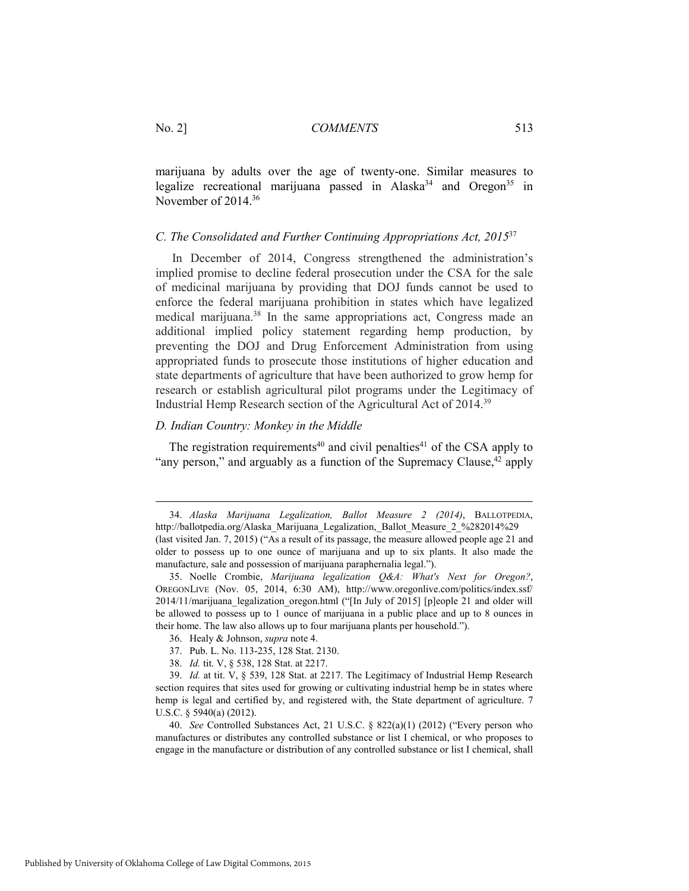marijuana by adults over the age of twenty-one. Similar measures to legalize recreational marijuana passed in Alaska<sup>34</sup> and Oregon<sup>35</sup> in November of 2014.36

## *C. The Consolidated and Further Continuing Appropriations Act, 2015*<sup>37</sup>

 In December of 2014, Congress strengthened the administration's implied promise to decline federal prosecution under the CSA for the sale of medicinal marijuana by providing that DOJ funds cannot be used to enforce the federal marijuana prohibition in states which have legalized medical marijuana.<sup>38</sup> In the same appropriations act, Congress made an additional implied policy statement regarding hemp production, by preventing the DOJ and Drug Enforcement Administration from using appropriated funds to prosecute those institutions of higher education and state departments of agriculture that have been authorized to grow hemp for research or establish agricultural pilot programs under the Legitimacy of Industrial Hemp Research section of the Agricultural Act of 2014.39

# *D. Indian Country: Monkey in the Middle*

The registration requirements<sup>40</sup> and civil penalties<sup>41</sup> of the CSA apply to "any person," and arguably as a function of the Supremacy Clause, $42$  apply

 <sup>34.</sup> *Alaska Marijuana Legalization, Ballot Measure 2 (2014)*, BALLOTPEDIA, http://ballotpedia.org/Alaska\_Marijuana\_Legalization,\_Ballot\_Measure\_2\_%282014%29 (last visited Jan. 7, 2015) ("As a result of its passage, the measure allowed people age 21 and older to possess up to one ounce of marijuana and up to six plants. It also made the manufacture, sale and possession of marijuana paraphernalia legal.").

 <sup>35.</sup> Noelle Crombie, *Marijuana legalization Q&A: What's Next for Oregon?*, OREGONLIVE (Nov. 05, 2014, 6:30 AM), http://www.oregonlive.com/politics/index.ssf/ 2014/11/marijuana legalization oregon.html ("[In July of 2015] [p]eople 21 and older will be allowed to possess up to 1 ounce of marijuana in a public place and up to 8 ounces in their home. The law also allows up to four marijuana plants per household.").

 <sup>36.</sup> Healy & Johnson, *supra* note 4.

 <sup>37.</sup> Pub. L. No. 113-235, 128 Stat. 2130.

 <sup>38.</sup> *Id.* tit. V, § 538, 128 Stat. at 2217.

 <sup>39.</sup> *Id.* at tit. V, § 539, 128 Stat. at 2217. The Legitimacy of Industrial Hemp Research section requires that sites used for growing or cultivating industrial hemp be in states where hemp is legal and certified by, and registered with, the State department of agriculture. 7 U.S.C. § 5940(a) (2012).

 <sup>40.</sup> *See* Controlled Substances Act, 21 U.S.C. § 822(a)(1) (2012) ("Every person who manufactures or distributes any controlled substance or list I chemical, or who proposes to engage in the manufacture or distribution of any controlled substance or list I chemical, shall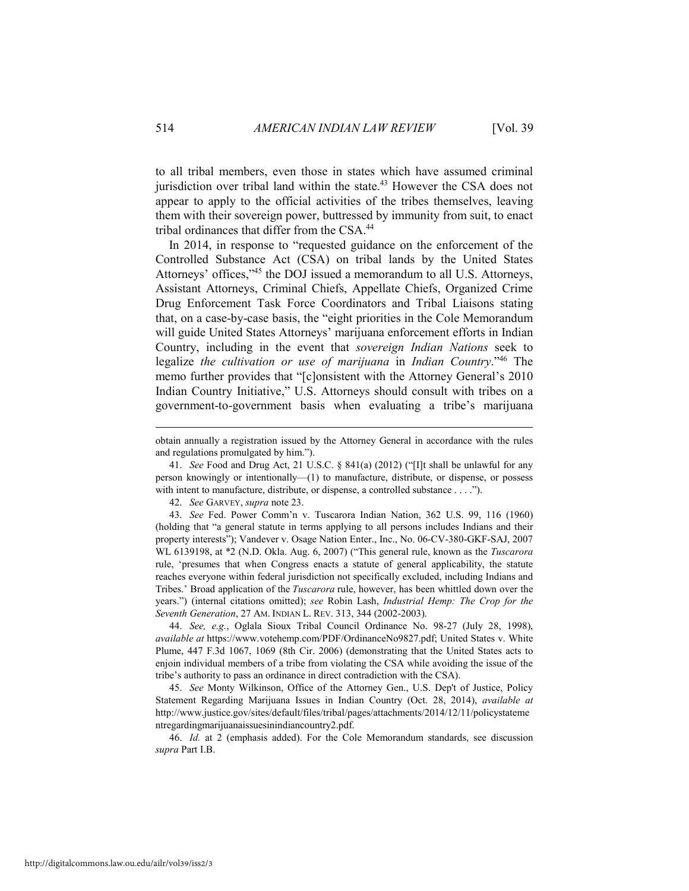to all tribal members, even those in states which have assumed criminal jurisdiction over tribal land within the state.<sup>43</sup> However the CSA does not appear to apply to the official activities of the tribes themselves, leaving them with their sovereign power, buttressed by immunity from suit, to enact tribal ordinances that differ from the CSA.44

In 2014, in response to "requested guidance on the enforcement of the Controlled Substance Act (CSA) on tribal lands by the United States Attorneys' offices,"45 the DOJ issued a memorandum to all U.S. Attorneys, Assistant Attorneys, Criminal Chiefs, Appellate Chiefs, Organized Crime Drug Enforcement Task Force Coordinators and Tribal Liaisons stating that, on a case-by-case basis, the "eight priorities in the Cole Memorandum will guide United States Attorneys' marijuana enforcement efforts in Indian Country, including in the event that *sovereign Indian Nations* seek to legalize *the cultivation or use of marijuana* in *Indian Country*."46 The memo further provides that "[c]onsistent with the Attorney General's 2010 Indian Country Initiative," U.S. Attorneys should consult with tribes on a government-to-government basis when evaluating a tribe's marijuana

42. *See* GARVEY, *supra* note 23.

 43. *See* Fed. Power Comm'n v. Tuscarora Indian Nation, 362 U.S. 99, 116 (1960) (holding that "a general statute in terms applying to all persons includes Indians and their property interests"); Vandever v. Osage Nation Enter., Inc., No. 06-CV-380-GKF-SAJ, 2007 WL 6139198, at \*2 (N.D. Okla. Aug. 6, 2007) ("This general rule, known as the *Tuscarora* rule, 'presumes that when Congress enacts a statute of general applicability, the statute reaches everyone within federal jurisdiction not specifically excluded, including Indians and Tribes.' Broad application of the *Tuscarora* rule, however, has been whittled down over the years.") (internal citations omitted); *see* Robin Lash, *Industrial Hemp: The Crop for the Seventh Generation*, 27 AM. INDIAN L. REV. 313, 344 (2002-2003).

 44. *See, e.g.*, Oglala Sioux Tribal Council Ordinance No. 98-27 (July 28, 1998), *available at* https://www.votehemp.com/PDF/OrdinanceNo9827.pdf; United States v. White Plume, 447 F.3d 1067, 1069 (8th Cir. 2006) (demonstrating that the United States acts to enjoin individual members of a tribe from violating the CSA while avoiding the issue of the tribe's authority to pass an ordinance in direct contradiction with the CSA).

 45. *See* Monty Wilkinson, Office of the Attorney Gen., U.S. Dep't of Justice, Policy Statement Regarding Marijuana Issues in Indian Country (Oct. 28, 2014), *available at* http://www.justice.gov/sites/default/files/tribal/pages/attachments/2014/12/11/policystateme ntregardingmarijuanaissuesinindiancountry2.pdf.

 46. *Id.* at 2 (emphasis added). For the Cole Memorandum standards, see discussion *supra* Part I.B.

obtain annually a registration issued by the Attorney General in accordance with the rules and regulations promulgated by him.").

 <sup>41.</sup> *See* Food and Drug Act, 21 U.S.C. § 841(a) (2012) ("[I]t shall be unlawful for any person knowingly or intentionally—(1) to manufacture, distribute, or dispense, or possess with intent to manufacture, distribute, or dispense, a controlled substance . . . .").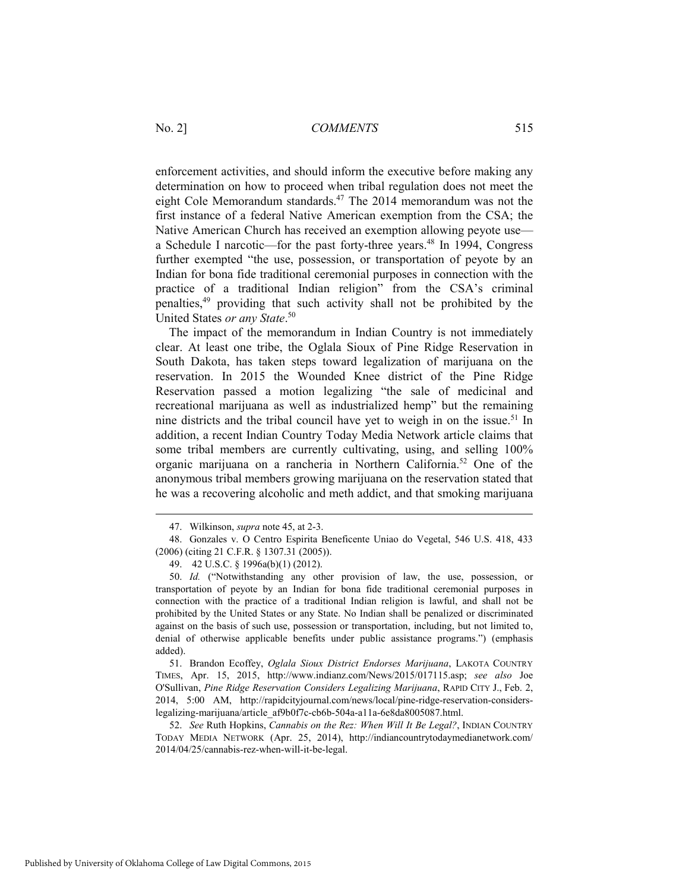enforcement activities, and should inform the executive before making any determination on how to proceed when tribal regulation does not meet the eight Cole Memorandum standards.<sup>47</sup> The 2014 memorandum was not the first instance of a federal Native American exemption from the CSA; the Native American Church has received an exemption allowing peyote use a Schedule I narcotic—for the past forty-three years.<sup>48</sup> In 1994, Congress further exempted "the use, possession, or transportation of peyote by an Indian for bona fide traditional ceremonial purposes in connection with the practice of a traditional Indian religion" from the CSA's criminal penalties,49 providing that such activity shall not be prohibited by the United States *or any State*. 50

The impact of the memorandum in Indian Country is not immediately clear. At least one tribe, the Oglala Sioux of Pine Ridge Reservation in South Dakota, has taken steps toward legalization of marijuana on the reservation. In 2015 the Wounded Knee district of the Pine Ridge Reservation passed a motion legalizing "the sale of medicinal and recreational marijuana as well as industrialized hemp" but the remaining nine districts and the tribal council have yet to weigh in on the issue.51 In addition, a recent Indian Country Today Media Network article claims that some tribal members are currently cultivating, using, and selling 100% organic marijuana on a rancheria in Northern California.52 One of the anonymous tribal members growing marijuana on the reservation stated that he was a recovering alcoholic and meth addict, and that smoking marijuana

 52. *See* Ruth Hopkins, *Cannabis on the Rez: When Will It Be Legal?*, INDIAN COUNTRY TODAY MEDIA NETWORK (Apr. 25, 2014), http://indiancountrytodaymedianetwork.com/ 2014/04/25/cannabis-rez-when-will-it-be-legal.

 <sup>47.</sup> Wilkinson, *supra* note 45, at 2-3.

 <sup>48.</sup> Gonzales v. O Centro Espirita Beneficente Uniao do Vegetal, 546 U.S. 418, 433 (2006) (citing 21 C.F.R. § 1307.31 (2005)).

 <sup>49. 42</sup> U.S.C. § 1996a(b)(1) (2012).

 <sup>50.</sup> *Id.* ("Notwithstanding any other provision of law, the use, possession, or transportation of peyote by an Indian for bona fide traditional ceremonial purposes in connection with the practice of a traditional Indian religion is lawful, and shall not be prohibited by the United States or any State. No Indian shall be penalized or discriminated against on the basis of such use, possession or transportation, including, but not limited to, denial of otherwise applicable benefits under public assistance programs.") (emphasis added).

 <sup>51.</sup> Brandon Ecoffey, *Oglala Sioux District Endorses Marijuana*, LAKOTA COUNTRY TIMES, Apr. 15, 2015, http://www.indianz.com/News/2015/017115.asp; *see also* Joe O'Sullivan, *Pine Ridge Reservation Considers Legalizing Marijuana*, RAPID CITY J., Feb. 2, 2014, 5:00 AM, http://rapidcityjournal.com/news/local/pine-ridge-reservation-considerslegalizing-marijuana/article\_af9b0f7c-cb6b-504a-a11a-6e8da8005087.html.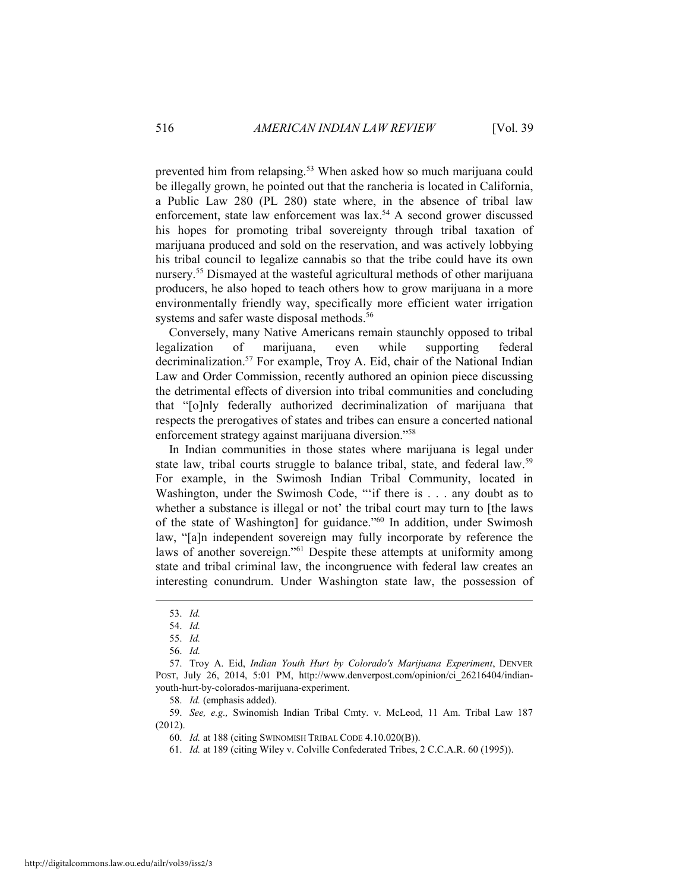prevented him from relapsing.<sup>53</sup> When asked how so much marijuana could be illegally grown, he pointed out that the rancheria is located in California, a Public Law 280 (PL 280) state where, in the absence of tribal law enforcement, state law enforcement was lax.<sup>54</sup> A second grower discussed his hopes for promoting tribal sovereignty through tribal taxation of marijuana produced and sold on the reservation, and was actively lobbying his tribal council to legalize cannabis so that the tribe could have its own nursery.55 Dismayed at the wasteful agricultural methods of other marijuana producers, he also hoped to teach others how to grow marijuana in a more environmentally friendly way, specifically more efficient water irrigation systems and safer waste disposal methods.<sup>56</sup>

Conversely, many Native Americans remain staunchly opposed to tribal legalization of marijuana, even while supporting federal decriminalization.57 For example, Troy A. Eid, chair of the National Indian Law and Order Commission, recently authored an opinion piece discussing the detrimental effects of diversion into tribal communities and concluding that "[o]nly federally authorized decriminalization of marijuana that respects the prerogatives of states and tribes can ensure a concerted national enforcement strategy against marijuana diversion."58

In Indian communities in those states where marijuana is legal under state law, tribal courts struggle to balance tribal, state, and federal law.<sup>59</sup> For example, in the Swimosh Indian Tribal Community, located in Washington, under the Swimosh Code, ""if there is . . . any doubt as to whether a substance is illegal or not' the tribal court may turn to [the laws of the state of Washington] for guidance."<sup>60</sup> In addition, under Swimosh law, "[a]n independent sovereign may fully incorporate by reference the laws of another sovereign."61 Despite these attempts at uniformity among state and tribal criminal law, the incongruence with federal law creates an interesting conundrum. Under Washington state law, the possession of

 <sup>53.</sup> *Id.* 

 <sup>54.</sup> *Id.*

 <sup>55.</sup> *Id.*

 <sup>56.</sup> *Id.*

 <sup>57.</sup> Troy A. Eid, *Indian Youth Hurt by Colorado's Marijuana Experiment*, DENVER POST, July 26, 2014, 5:01 PM, http://www.denverpost.com/opinion/ci\_26216404/indianyouth-hurt-by-colorados-marijuana-experiment.

 <sup>58.</sup> *Id.* (emphasis added).

 <sup>59.</sup> *See, e.g.,* Swinomish Indian Tribal Cmty. v. McLeod, 11 Am. Tribal Law 187 (2012).

 <sup>60.</sup> *Id.* at 188 (citing SWINOMISH TRIBAL CODE 4.10.020(B)).

 <sup>61.</sup> *Id.* at 189 (citing Wiley v. Colville Confederated Tribes, 2 C.C.A.R. 60 (1995)).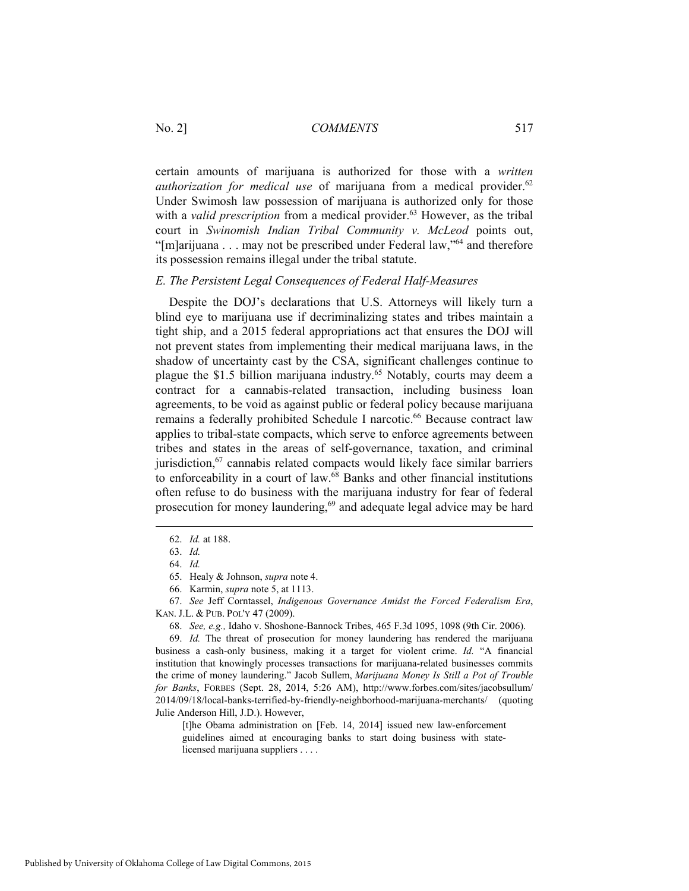certain amounts of marijuana is authorized for those with a *written authorization for medical use* of marijuana from a medical provider.<sup>62</sup> Under Swimosh law possession of marijuana is authorized only for those with a *valid prescription* from a medical provider.<sup>63</sup> However, as the tribal court in *Swinomish Indian Tribal Community v. McLeod* points out, "[m]arijuana . . . may not be prescribed under Federal law,"<sup>64</sup> and therefore its possession remains illegal under the tribal statute.

#### *E. The Persistent Legal Consequences of Federal Half-Measures*

Despite the DOJ's declarations that U.S. Attorneys will likely turn a blind eye to marijuana use if decriminalizing states and tribes maintain a tight ship, and a 2015 federal appropriations act that ensures the DOJ will not prevent states from implementing their medical marijuana laws, in the shadow of uncertainty cast by the CSA, significant challenges continue to plague the \$1.5 billion marijuana industry.65 Notably, courts may deem a contract for a cannabis-related transaction, including business loan agreements, to be void as against public or federal policy because marijuana remains a federally prohibited Schedule I narcotic.<sup>66</sup> Because contract law applies to tribal-state compacts, which serve to enforce agreements between tribes and states in the areas of self-governance, taxation, and criminal jurisdiction,<sup>67</sup> cannabis related compacts would likely face similar barriers to enforceability in a court of law. $68$  Banks and other financial institutions often refuse to do business with the marijuana industry for fear of federal prosecution for money laundering,<sup>69</sup> and adequate legal advice may be hard

 $\overline{a}$ 

[t]he Obama administration on [Feb. 14, 2014] issued new law-enforcement guidelines aimed at encouraging banks to start doing business with statelicensed marijuana suppliers . . . .

 <sup>62.</sup> *Id.* at 188.

 <sup>63.</sup> *Id.* 

 <sup>64.</sup> *Id.* 

 <sup>65.</sup> Healy & Johnson, *supra* note 4.

 <sup>66.</sup> Karmin, *supra* note 5, at 1113.

 <sup>67.</sup> *See* Jeff Corntassel, *Indigenous Governance Amidst the Forced Federalism Era*, KAN. J.L. & PUB. POL'Y 47 (2009).

 <sup>68.</sup> *See, e.g.,* Idaho v. Shoshone-Bannock Tribes, 465 F.3d 1095, 1098 (9th Cir. 2006).

 <sup>69.</sup> *Id.* The threat of prosecution for money laundering has rendered the marijuana business a cash-only business, making it a target for violent crime. *Id.* "A financial institution that knowingly processes transactions for marijuana-related businesses commits the crime of money laundering." Jacob Sullem, *Marijuana Money Is Still a Pot of Trouble for Banks*, FORBES (Sept. 28, 2014, 5:26 AM), http://www.forbes.com/sites/jacobsullum/ 2014/09/18/local-banks-terrified-by-friendly-neighborhood-marijuana-merchants/ (quoting Julie Anderson Hill, J.D.). However,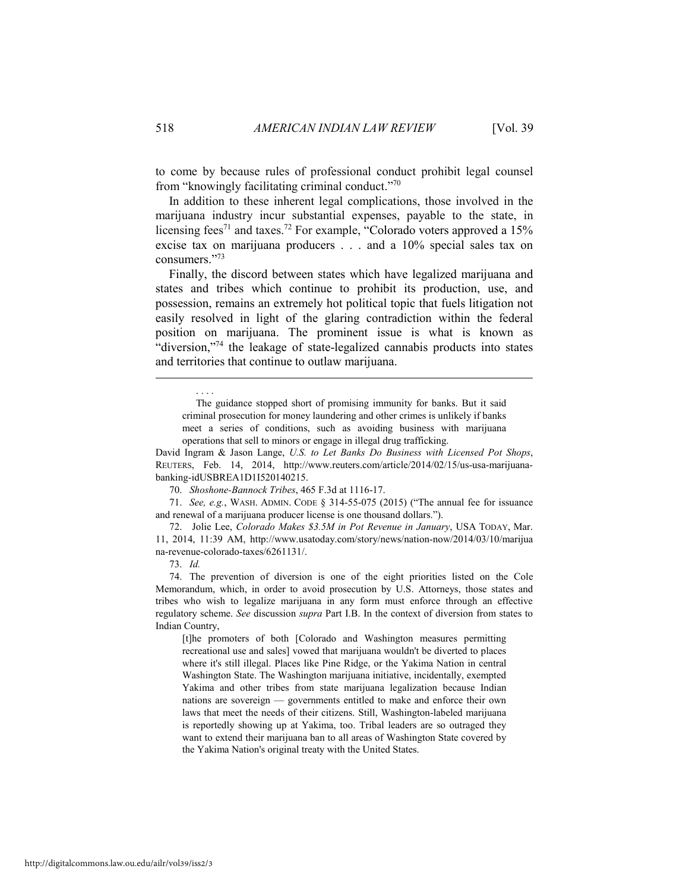to come by because rules of professional conduct prohibit legal counsel from "knowingly facilitating criminal conduct."70

In addition to these inherent legal complications, those involved in the marijuana industry incur substantial expenses, payable to the state, in licensing fees<sup>71</sup> and taxes.<sup>72</sup> For example, "Colorado voters approved a 15% excise tax on marijuana producers . . . and a 10% special sales tax on consumers."73

Finally, the discord between states which have legalized marijuana and states and tribes which continue to prohibit its production, use, and possession, remains an extremely hot political topic that fuels litigation not easily resolved in light of the glaring contradiction within the federal position on marijuana. The prominent issue is what is known as "diversion,"<sup>74</sup> the leakage of state-legalized cannabis products into states and territories that continue to outlaw marijuana.

 The guidance stopped short of promising immunity for banks. But it said criminal prosecution for money laundering and other crimes is unlikely if banks meet a series of conditions, such as avoiding business with marijuana operations that sell to minors or engage in illegal drug trafficking.

David Ingram & Jason Lange, *U.S. to Let Banks Do Business with Licensed Pot Shops*, REUTERS, Feb. 14, 2014, http://www.reuters.com/article/2014/02/15/us-usa-marijuanabanking-idUSBREA1D1I520140215.

70. *Shoshone-Bannock Tribes*, 465 F.3d at 1116-17.

 71. *See, e.g.*, WASH. ADMIN. CODE § 314-55-075 (2015) ("The annual fee for issuance and renewal of a marijuana producer license is one thousand dollars.").

 72. Jolie Lee, *Colorado Makes \$3.5M in Pot Revenue in January*, USA TODAY, Mar. 11, 2014, 11:39 AM, http://www.usatoday.com/story/news/nation-now/2014/03/10/marijua na-revenue-colorado-taxes/6261131/.

73. *Id.*

. . . .

 74. The prevention of diversion is one of the eight priorities listed on the Cole Memorandum, which, in order to avoid prosecution by U.S. Attorneys, those states and tribes who wish to legalize marijuana in any form must enforce through an effective regulatory scheme. *See* discussion *supra* Part I.B. In the context of diversion from states to Indian Country,

[t]he promoters of both [Colorado and Washington measures permitting recreational use and sales] vowed that marijuana wouldn't be diverted to places where it's still illegal. Places like Pine Ridge, or the Yakima Nation in central Washington State. The Washington marijuana initiative, incidentally, exempted Yakima and other tribes from state marijuana legalization because Indian nations are sovereign — governments entitled to make and enforce their own laws that meet the needs of their citizens. Still, Washington-labeled marijuana is reportedly showing up at Yakima, too. Tribal leaders are so outraged they want to extend their marijuana ban to all areas of Washington State covered by the Yakima Nation's original treaty with the United States.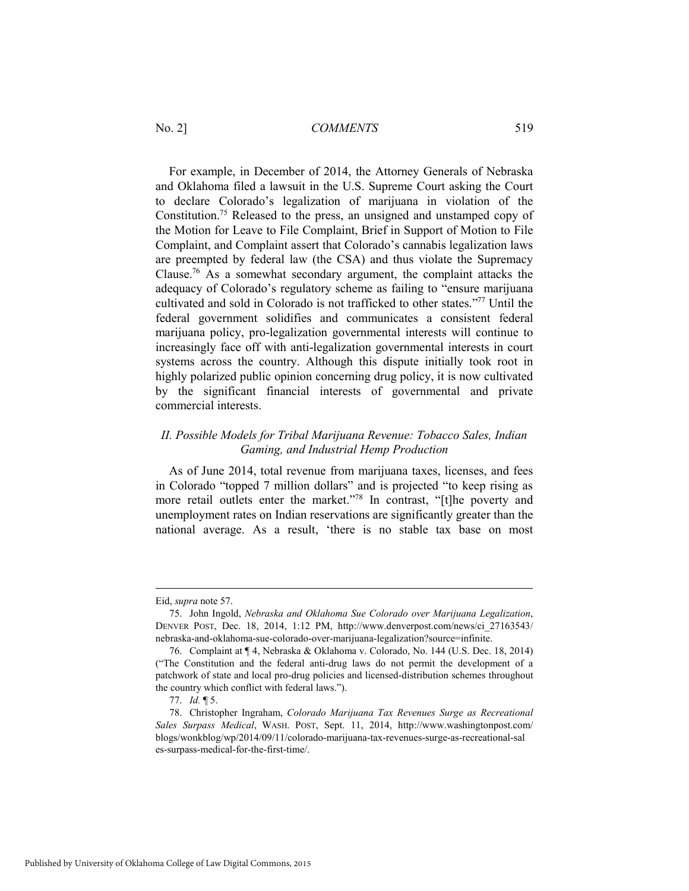For example, in December of 2014, the Attorney Generals of Nebraska and Oklahoma filed a lawsuit in the U.S. Supreme Court asking the Court to declare Colorado's legalization of marijuana in violation of the Constitution.75 Released to the press, an unsigned and unstamped copy of the Motion for Leave to File Complaint, Brief in Support of Motion to File Complaint, and Complaint assert that Colorado's cannabis legalization laws are preempted by federal law (the CSA) and thus violate the Supremacy Clause.76 As a somewhat secondary argument, the complaint attacks the adequacy of Colorado's regulatory scheme as failing to "ensure marijuana cultivated and sold in Colorado is not trafficked to other states."77 Until the federal government solidifies and communicates a consistent federal marijuana policy, pro-legalization governmental interests will continue to increasingly face off with anti-legalization governmental interests in court systems across the country. Although this dispute initially took root in highly polarized public opinion concerning drug policy, it is now cultivated by the significant financial interests of governmental and private commercial interests.

# *II. Possible Models for Tribal Marijuana Revenue: Tobacco Sales, Indian Gaming, and Industrial Hemp Production*

As of June 2014, total revenue from marijuana taxes, licenses, and fees in Colorado "topped 7 million dollars" and is projected "to keep rising as more retail outlets enter the market."78 In contrast, "[t]he poverty and unemployment rates on Indian reservations are significantly greater than the national average. As a result, 'there is no stable tax base on most

Eid, *supra* note 57.

 <sup>75.</sup> John Ingold, *Nebraska and Oklahoma Sue Colorado over Marijuana Legalization*, DENVER POST, Dec. 18, 2014, 1:12 PM, http://www.denverpost.com/news/ci\_27163543/ nebraska-and-oklahoma-sue-colorado-over-marijuana-legalization?source=infinite.

 <sup>76.</sup> Complaint at ¶ 4, Nebraska & Oklahoma v. Colorado, No. 144 (U.S. Dec. 18, 2014) ("The Constitution and the federal anti-drug laws do not permit the development of a patchwork of state and local pro-drug policies and licensed-distribution schemes throughout the country which conflict with federal laws.").

 <sup>77.</sup> *Id.* ¶ 5.

 <sup>78.</sup> Christopher Ingraham, *Colorado Marijuana Tax Revenues Surge as Recreational Sales Surpass Medical*, WASH. POST, Sept. 11, 2014, http://www.washingtonpost.com/ blogs/wonkblog/wp/2014/09/11/colorado-marijuana-tax-revenues-surge-as-recreational-sal es-surpass-medical-for-the-first-time/.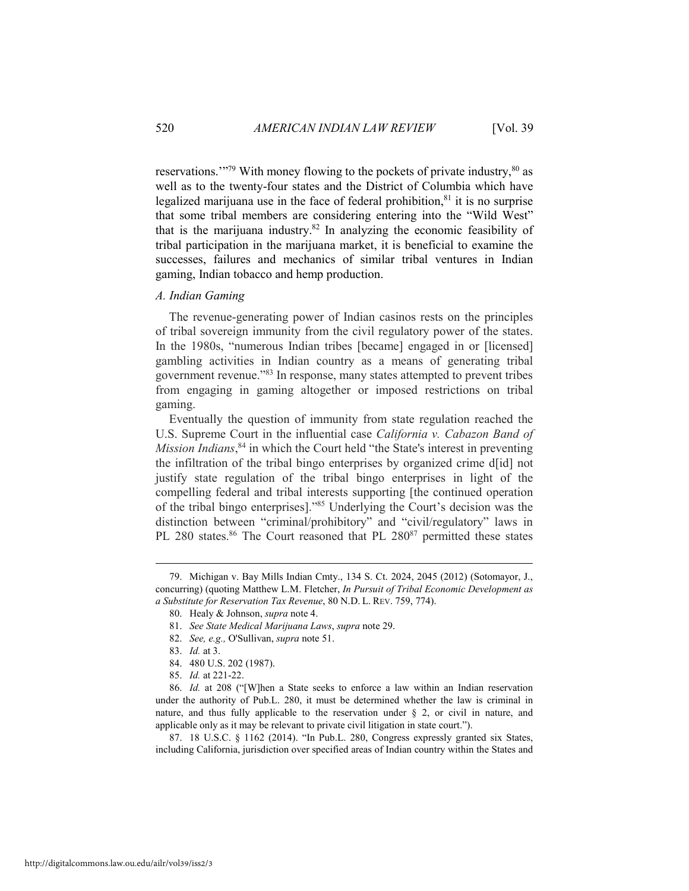reservations."<sup>79</sup> With money flowing to the pockets of private industry,  $80$  as well as to the twenty-four states and the District of Columbia which have legalized marijuana use in the face of federal prohibition, $81$  it is no surprise that some tribal members are considering entering into the "Wild West" that is the marijuana industry. $82$  In analyzing the economic feasibility of tribal participation in the marijuana market, it is beneficial to examine the successes, failures and mechanics of similar tribal ventures in Indian gaming, Indian tobacco and hemp production.

#### *A. Indian Gaming*

The revenue-generating power of Indian casinos rests on the principles of tribal sovereign immunity from the civil regulatory power of the states. In the 1980s, "numerous Indian tribes [became] engaged in or [licensed] gambling activities in Indian country as a means of generating tribal government revenue."83 In response, many states attempted to prevent tribes from engaging in gaming altogether or imposed restrictions on tribal gaming.

Eventually the question of immunity from state regulation reached the U.S. Supreme Court in the influential case *California v. Cabazon Band of Mission Indians*,<sup>84</sup> in which the Court held "the State's interest in preventing the infiltration of the tribal bingo enterprises by organized crime d[id] not justify state regulation of the tribal bingo enterprises in light of the compelling federal and tribal interests supporting [the continued operation of the tribal bingo enterprises]."85 Underlying the Court's decision was the distinction between "criminal/prohibitory" and "civil/regulatory" laws in PL 280 states.<sup>86</sup> The Court reasoned that PL 280<sup>87</sup> permitted these states

 $\overline{a}$ 

 87. 18 U.S.C. § 1162 (2014). "In Pub.L. 280, Congress expressly granted six States, including California, jurisdiction over specified areas of Indian country within the States and

 <sup>79.</sup> Michigan v. Bay Mills Indian Cmty., 134 S. Ct. 2024, 2045 (2012) (Sotomayor, J., concurring) (quoting Matthew L.M. Fletcher, *In Pursuit of Tribal Economic Development as a Substitute for Reservation Tax Revenue*, 80 N.D. L. REV. 759, 774).

 <sup>80.</sup> Healy & Johnson, *supra* note 4.

 <sup>81.</sup> *See State Medical Marijuana Laws*, *supra* note 29.

 <sup>82.</sup> *See, e.g.,* O'Sullivan, *supra* note 51.

 <sup>83.</sup> *Id.* at 3.

 <sup>84. 480</sup> U.S. 202 (1987).

 <sup>85.</sup> *Id.* at 221-22.

 <sup>86.</sup> *Id.* at 208 ("[W]hen a State seeks to enforce a law within an Indian reservation under the authority of Pub.L. 280, it must be determined whether the law is criminal in nature, and thus fully applicable to the reservation under  $\S$  2, or civil in nature, and applicable only as it may be relevant to private civil litigation in state court.").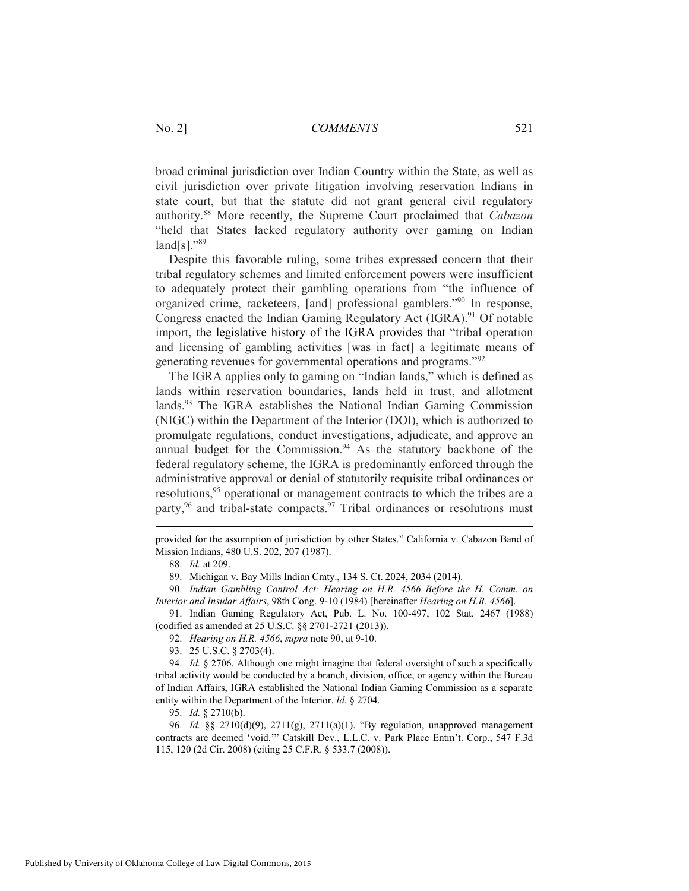broad criminal jurisdiction over Indian Country within the State, as well as civil jurisdiction over private litigation involving reservation Indians in state court, but that the statute did not grant general civil regulatory authority.88 More recently, the Supreme Court proclaimed that *Cabazon* "held that States lacked regulatory authority over gaming on Indian  $land[s]$ ."89

Despite this favorable ruling, some tribes expressed concern that their tribal regulatory schemes and limited enforcement powers were insufficient to adequately protect their gambling operations from "the influence of organized crime, racketeers, [and] professional gamblers."90 In response, Congress enacted the Indian Gaming Regulatory Act (IGRA).<sup>91</sup> Of notable import, the legislative history of the IGRA provides that "tribal operation and licensing of gambling activities [was in fact] a legitimate means of generating revenues for governmental operations and programs."92

The IGRA applies only to gaming on "Indian lands," which is defined as lands within reservation boundaries, lands held in trust, and allotment lands.93 The IGRA establishes the National Indian Gaming Commission (NIGC) within the Department of the Interior (DOI), which is authorized to promulgate regulations, conduct investigations, adjudicate, and approve an annual budget for the Commission. $94$  As the statutory backbone of the federal regulatory scheme, the IGRA is predominantly enforced through the administrative approval or denial of statutorily requisite tribal ordinances or resolutions,<sup>95</sup> operational or management contracts to which the tribes are a party,<sup>96</sup> and tribal-state compacts.<sup>97</sup> Tribal ordinances or resolutions must

provided for the assumption of jurisdiction by other States." California v. Cabazon Band of Mission Indians, 480 U.S. 202, 207 (1987).

 $\overline{a}$ 

89. Michigan v. Bay Mills Indian Cmty., 134 S. Ct. 2024, 2034 (2014).

 90. *Indian Gambling Control Act: Hearing on H.R. 4566 Before the H. Comm. on Interior and Insular Affairs*, 98th Cong. 9-10 (1984) [hereinafter *Hearing on H.R. 4566*].

 91. Indian Gaming Regulatory Act, Pub. L. No. 100-497, 102 Stat. 2467 (1988) (codified as amended at 25 U.S.C. §§ 2701-2721 (2013)).

92. *Hearing on H.R. 4566*, *supra* note 90, at 9-10.

93. 25 U.S.C. § 2703(4).

 94. *Id.* § 2706. Although one might imagine that federal oversight of such a specifically tribal activity would be conducted by a branch, division, office, or agency within the Bureau of Indian Affairs, IGRA established the National Indian Gaming Commission as a separate entity within the Department of the Interior. *Id.* § 2704.

95. *Id.* § 2710(b).

 96. *Id.* §§ 2710(d)(9), 2711(g), 2711(a)(1). "By regulation, unapproved management contracts are deemed 'void.'" Catskill Dev., L.L.C. v. Park Place Entm't. Corp., 547 F.3d 115, 120 (2d Cir. 2008) (citing 25 C.F.R. § 533.7 (2008)).

 <sup>88.</sup> *Id.* at 209.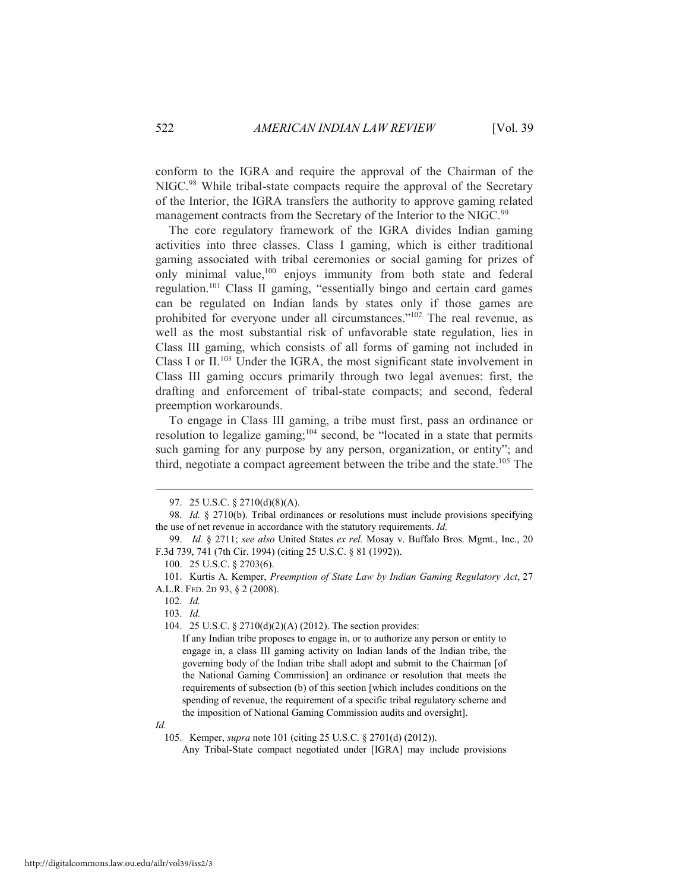conform to the IGRA and require the approval of the Chairman of the NIGC.<sup>98</sup> While tribal-state compacts require the approval of the Secretary of the Interior, the IGRA transfers the authority to approve gaming related management contracts from the Secretary of the Interior to the NIGC.<sup>99</sup>

The core regulatory framework of the IGRA divides Indian gaming activities into three classes. Class I gaming, which is either traditional gaming associated with tribal ceremonies or social gaming for prizes of only minimal value,100 enjoys immunity from both state and federal regulation.101 Class II gaming, "essentially bingo and certain card games can be regulated on Indian lands by states only if those games are prohibited for everyone under all circumstances."102 The real revenue, as well as the most substantial risk of unfavorable state regulation, lies in Class III gaming, which consists of all forms of gaming not included in Class I or  $II$ <sup>103</sup>. Under the IGRA, the most significant state involvement in Class III gaming occurs primarily through two legal avenues: first, the drafting and enforcement of tribal-state compacts; and second, federal preemption workarounds.

To engage in Class III gaming, a tribe must first, pass an ordinance or resolution to legalize gaming;104 second, be "located in a state that permits such gaming for any purpose by any person, organization, or entity"; and third, negotiate a compact agreement between the tribe and the state.105 The

102. *Id.* 

 $\overline{a}$ 

103. *Id.*

104. 25 U.S.C. § 2710(d)(2)(A) (2012). The section provides:

*Id.* 

 <sup>97. 25</sup> U.S.C. § 2710(d)(8)(A).

 <sup>98.</sup> *Id.* § 2710(b). Tribal ordinances or resolutions must include provisions specifying the use of net revenue in accordance with the statutory requirements. *Id.*

 <sup>99.</sup> *Id.* § 2711; *see also* United States *ex rel.* Mosay v. Buffalo Bros. Mgmt., Inc., 20 F.3d 739, 741 (7th Cir. 1994) (citing 25 U.S.C. § 81 (1992)).

 <sup>100. 25</sup> U.S.C. § 2703(6).

 <sup>101.</sup> Kurtis A. Kemper, *Preemption of State Law by Indian Gaming Regulatory Act*, 27 A.L.R. FED. 2D 93, § 2 (2008).

If any Indian tribe proposes to engage in, or to authorize any person or entity to engage in, a class III gaming activity on Indian lands of the Indian tribe, the governing body of the Indian tribe shall adopt and submit to the Chairman [of the National Gaming Commission] an ordinance or resolution that meets the requirements of subsection (b) of this section [which includes conditions on the spending of revenue, the requirement of a specific tribal regulatory scheme and the imposition of National Gaming Commission audits and oversight].

 <sup>105.</sup> Kemper, *supra* note 101 (citing 25 U.S.C. § 2701(d) (2012)).

Any Tribal-State compact negotiated under [IGRA] may include provisions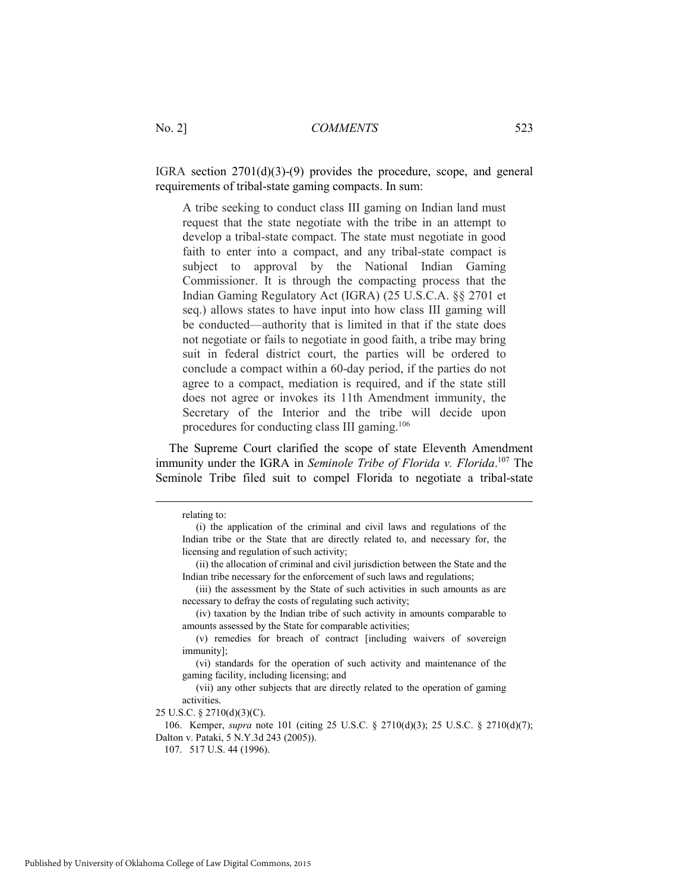IGRA section 2701(d)(3)-(9) provides the procedure, scope, and general requirements of tribal-state gaming compacts. In sum:

A tribe seeking to conduct class III gaming on Indian land must request that the state negotiate with the tribe in an attempt to develop a tribal-state compact. The state must negotiate in good faith to enter into a compact, and any tribal-state compact is subject to approval by the National Indian Gaming Commissioner. It is through the compacting process that the Indian Gaming Regulatory Act (IGRA) (25 U.S.C.A. §§ 2701 et seq.) allows states to have input into how class III gaming will be conducted—authority that is limited in that if the state does not negotiate or fails to negotiate in good faith, a tribe may bring suit in federal district court, the parties will be ordered to conclude a compact within a 60-day period, if the parties do not agree to a compact, mediation is required, and if the state still does not agree or invokes its 11th Amendment immunity, the Secretary of the Interior and the tribe will decide upon procedures for conducting class III gaming.106

The Supreme Court clarified the scope of state Eleventh Amendment immunity under the IGRA in *Seminole Tribe of Florida v. Florida*. 107 The Seminole Tribe filed suit to compel Florida to negotiate a tribal-state

 106. Kemper, *supra* note 101 (citing 25 U.S.C. § 2710(d)(3); 25 U.S.C. § 2710(d)(7); Dalton v. Pataki, 5 N.Y.3d 243 (2005)).

107. 517 U.S. 44 (1996).

relating to:

 <sup>(</sup>i) the application of the criminal and civil laws and regulations of the Indian tribe or the State that are directly related to, and necessary for, the licensing and regulation of such activity;

 <sup>(</sup>ii) the allocation of criminal and civil jurisdiction between the State and the Indian tribe necessary for the enforcement of such laws and regulations;

 <sup>(</sup>iii) the assessment by the State of such activities in such amounts as are necessary to defray the costs of regulating such activity;

 <sup>(</sup>iv) taxation by the Indian tribe of such activity in amounts comparable to amounts assessed by the State for comparable activities;

 <sup>(</sup>v) remedies for breach of contract [including waivers of sovereign immunity];

 <sup>(</sup>vi) standards for the operation of such activity and maintenance of the gaming facility, including licensing; and

 <sup>(</sup>vii) any other subjects that are directly related to the operation of gaming activities.

<sup>25</sup> U.S.C. § 2710(d)(3)(C).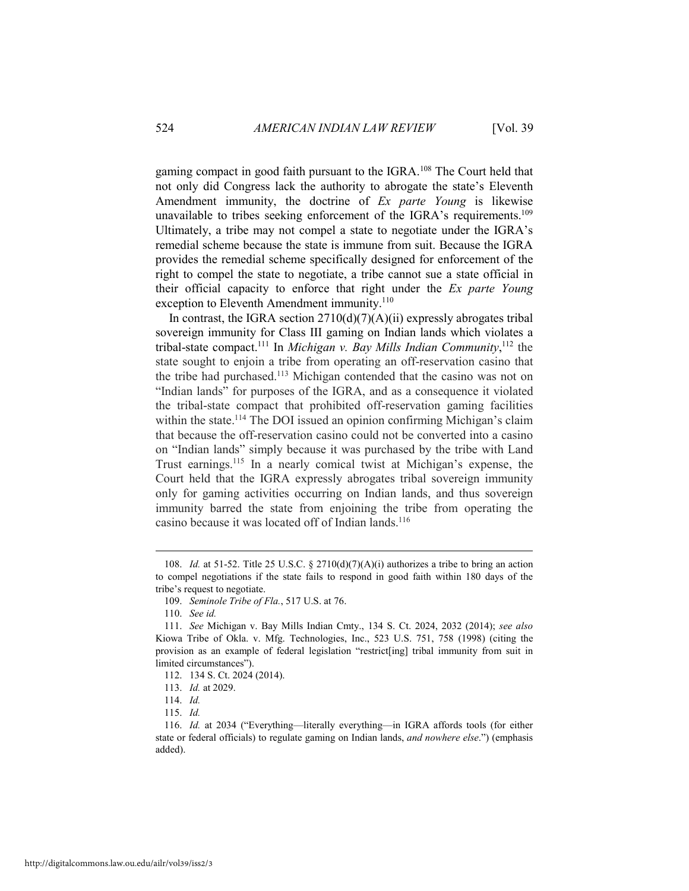gaming compact in good faith pursuant to the IGRA.108 The Court held that not only did Congress lack the authority to abrogate the state's Eleventh Amendment immunity, the doctrine of *Ex parte Young* is likewise unavailable to tribes seeking enforcement of the IGRA's requirements.<sup>109</sup> Ultimately, a tribe may not compel a state to negotiate under the IGRA's remedial scheme because the state is immune from suit. Because the IGRA provides the remedial scheme specifically designed for enforcement of the right to compel the state to negotiate, a tribe cannot sue a state official in their official capacity to enforce that right under the *Ex parte Young* exception to Eleventh Amendment immunity.<sup>110</sup>

In contrast, the IGRA section  $2710(d)(7)(A)(ii)$  expressly abrogates tribal sovereign immunity for Class III gaming on Indian lands which violates a tribal-state compact.111 In *Michigan v. Bay Mills Indian Community*, <sup>112</sup> the state sought to enjoin a tribe from operating an off-reservation casino that the tribe had purchased.113 Michigan contended that the casino was not on "Indian lands" for purposes of the IGRA, and as a consequence it violated the tribal-state compact that prohibited off-reservation gaming facilities within the state.<sup>114</sup> The DOI issued an opinion confirming Michigan's claim that because the off-reservation casino could not be converted into a casino on "Indian lands" simply because it was purchased by the tribe with Land Trust earnings.115 In a nearly comical twist at Michigan's expense, the Court held that the IGRA expressly abrogates tribal sovereign immunity only for gaming activities occurring on Indian lands, and thus sovereign immunity barred the state from enjoining the tribe from operating the casino because it was located off of Indian lands.<sup>116</sup>

<sup>108.</sup> *Id.* at 51-52. Title 25 U.S.C. § 2710(d)(7)(A)(i) authorizes a tribe to bring an action to compel negotiations if the state fails to respond in good faith within 180 days of the tribe's request to negotiate.

 <sup>109.</sup> *Seminole Tribe of Fla.*, 517 U.S. at 76.

 <sup>110.</sup> *See id.* 

 <sup>111.</sup> *See* Michigan v. Bay Mills Indian Cmty., 134 S. Ct. 2024, 2032 (2014); *see also* Kiowa Tribe of Okla. v. Mfg. Technologies, Inc., 523 U.S. 751, 758 (1998) (citing the provision as an example of federal legislation "restrict[ing] tribal immunity from suit in limited circumstances").

 <sup>112. 134</sup> S. Ct. 2024 (2014).

 <sup>113.</sup> *Id.* at 2029.

 <sup>114.</sup> *Id.* 

 <sup>115.</sup> *Id.* 

 <sup>116.</sup> *Id.* at 2034 ("Everything—literally everything—in IGRA affords tools (for either state or federal officials) to regulate gaming on Indian lands, *and nowhere else*.") (emphasis added).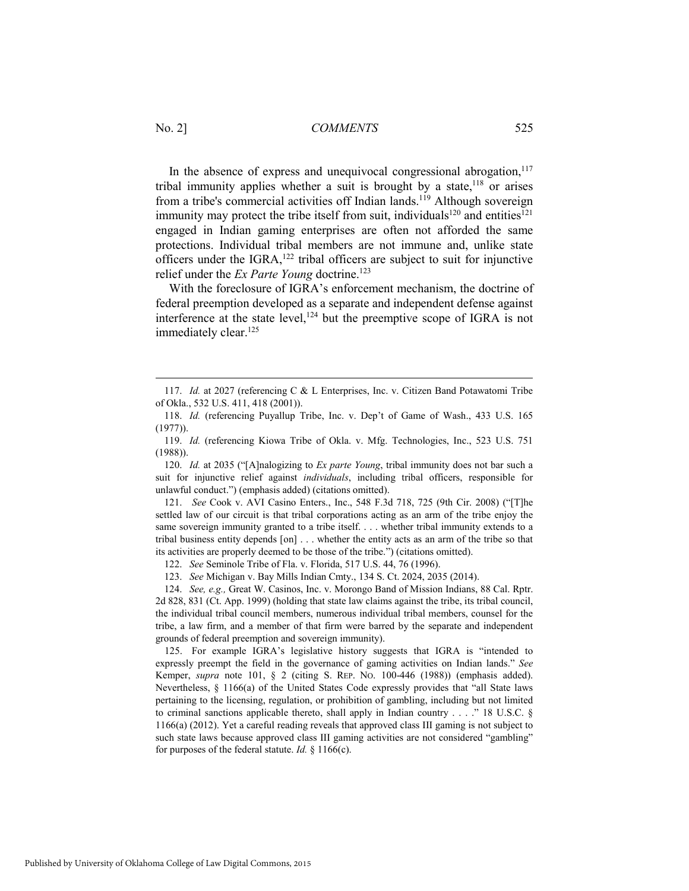In the absence of express and unequivocal congressional abrogation, $117$ tribal immunity applies whether a suit is brought by a state, $118$  or arises from a tribe's commercial activities off Indian lands.<sup>119</sup> Although sovereign immunity may protect the tribe itself from suit, individuals<sup>120</sup> and entities<sup>121</sup> engaged in Indian gaming enterprises are often not afforded the same protections. Individual tribal members are not immune and, unlike state officers under the IGRA, $122$  tribal officers are subject to suit for injunctive relief under the *Ex Parte Young* doctrine.<sup>123</sup>

With the foreclosure of IGRA's enforcement mechanism, the doctrine of federal preemption developed as a separate and independent defense against interference at the state level, $124$  but the preemptive scope of IGRA is not immediately clear.<sup>125</sup>

 120. *Id.* at 2035 ("[A]nalogizing to *Ex parte Young*, tribal immunity does not bar such a suit for injunctive relief against *individuals*, including tribal officers, responsible for unlawful conduct.") (emphasis added) (citations omitted).

 121. *See* Cook v. AVI Casino Enters., Inc., 548 F.3d 718, 725 (9th Cir. 2008) ("[T]he settled law of our circuit is that tribal corporations acting as an arm of the tribe enjoy the same sovereign immunity granted to a tribe itself. . . . whether tribal immunity extends to a tribal business entity depends [on] . . . whether the entity acts as an arm of the tribe so that its activities are properly deemed to be those of the tribe.") (citations omitted).

122. *See* Seminole Tribe of Fla. v. Florida, 517 U.S. 44, 76 (1996).

123. *See* Michigan v. Bay Mills Indian Cmty., 134 S. Ct. 2024, 2035 (2014).

 124. *See, e.g.,* Great W. Casinos, Inc. v. Morongo Band of Mission Indians, 88 Cal. Rptr. 2d 828, 831 (Ct. App. 1999) (holding that state law claims against the tribe, its tribal council, the individual tribal council members, numerous individual tribal members, counsel for the tribe, a law firm, and a member of that firm were barred by the separate and independent grounds of federal preemption and sovereign immunity).

 125. For example IGRA's legislative history suggests that IGRA is "intended to expressly preempt the field in the governance of gaming activities on Indian lands." *See* Kemper, *supra* note 101, § 2 (citing S. REP. NO. 100-446 (1988)) (emphasis added). Nevertheless, § 1166(a) of the United States Code expressly provides that "all State laws pertaining to the licensing, regulation, or prohibition of gambling, including but not limited to criminal sanctions applicable thereto, shall apply in Indian country . . . ." 18 U.S.C. § 1166(a) (2012). Yet a careful reading reveals that approved class III gaming is not subject to such state laws because approved class III gaming activities are not considered "gambling" for purposes of the federal statute. *Id.* § 1166(c).

 <sup>117.</sup> *Id.* at 2027 (referencing C & L Enterprises, Inc. v. Citizen Band Potawatomi Tribe of Okla., 532 U.S. 411, 418 (2001)).

 <sup>118.</sup> *Id.* (referencing Puyallup Tribe, Inc. v. Dep't of Game of Wash., 433 U.S. 165 (1977)).

 <sup>119.</sup> *Id.* (referencing Kiowa Tribe of Okla. v. Mfg. Technologies, Inc., 523 U.S. 751 (1988)).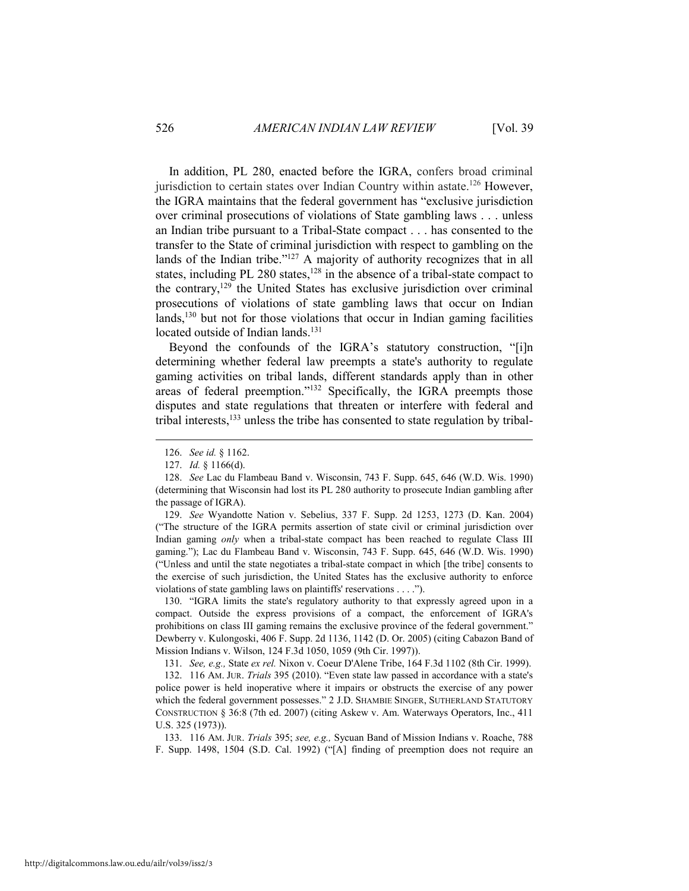In addition, PL 280, enacted before the IGRA, confers broad criminal jurisdiction to certain states over Indian Country within astate.<sup>126</sup> However, the IGRA maintains that the federal government has "exclusive jurisdiction over criminal prosecutions of violations of State gambling laws . . . unless an Indian tribe pursuant to a Tribal-State compact . . . has consented to the transfer to the State of criminal jurisdiction with respect to gambling on the lands of the Indian tribe." $127$  A majority of authority recognizes that in all states, including PL 280 states,<sup>128</sup> in the absence of a tribal-state compact to the contrary,129 the United States has exclusive jurisdiction over criminal prosecutions of violations of state gambling laws that occur on Indian lands,<sup>130</sup> but not for those violations that occur in Indian gaming facilities located outside of Indian lands.<sup>131</sup>

Beyond the confounds of the IGRA's statutory construction, "[i]n determining whether federal law preempts a state's authority to regulate gaming activities on tribal lands, different standards apply than in other areas of federal preemption."132 Specifically, the IGRA preempts those disputes and state regulations that threaten or interfere with federal and tribal interests,<sup>133</sup> unless the tribe has consented to state regulation by tribal-

 $\overline{a}$ 

 129. *See* Wyandotte Nation v. Sebelius, 337 F. Supp. 2d 1253, 1273 (D. Kan. 2004) ("The structure of the IGRA permits assertion of state civil or criminal jurisdiction over Indian gaming *only* when a tribal-state compact has been reached to regulate Class III gaming."); Lac du Flambeau Band v. Wisconsin, 743 F. Supp. 645, 646 (W.D. Wis. 1990) ("Unless and until the state negotiates a tribal-state compact in which [the tribe] consents to the exercise of such jurisdiction, the United States has the exclusive authority to enforce violations of state gambling laws on plaintiffs' reservations . . . .").

 130. "IGRA limits the state's regulatory authority to that expressly agreed upon in a compact. Outside the express provisions of a compact, the enforcement of IGRA's prohibitions on class III gaming remains the exclusive province of the federal government." Dewberry v. Kulongoski, 406 F. Supp. 2d 1136, 1142 (D. Or. 2005) (citing Cabazon Band of Mission Indians v. Wilson, 124 F.3d 1050, 1059 (9th Cir. 1997)).

131. *See, e.g.,* State *ex rel.* Nixon v. Coeur D'Alene Tribe, 164 F.3d 1102 (8th Cir. 1999).

 132. 116 AM. JUR. *Trials* 395 (2010). "Even state law passed in accordance with a state's police power is held inoperative where it impairs or obstructs the exercise of any power which the federal government possesses." 2 J.D. SHAMBIE SINGER, SUTHERLAND STATUTORY CONSTRUCTION § 36:8 (7th ed. 2007) (citing Askew v. Am. Waterways Operators, Inc., 411 U.S. 325 (1973)).

 133. 116 AM. JUR. *Trials* 395; *see, e.g.,* Sycuan Band of Mission Indians v. Roache, 788 F. Supp. 1498, 1504 (S.D. Cal. 1992) ("[A] finding of preemption does not require an

 <sup>126.</sup> *See id.* § 1162.

 <sup>127.</sup> *Id.* § 1166(d).

 <sup>128.</sup> *See* Lac du Flambeau Band v. Wisconsin, 743 F. Supp. 645, 646 (W.D. Wis. 1990) (determining that Wisconsin had lost its PL 280 authority to prosecute Indian gambling after the passage of IGRA).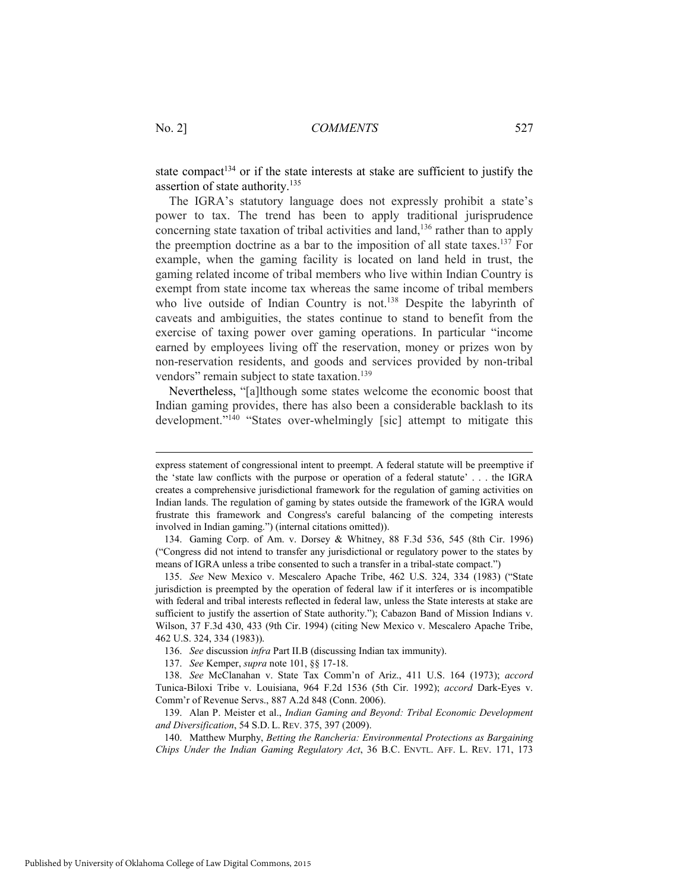state compact<sup>134</sup> or if the state interests at stake are sufficient to justify the assertion of state authority.<sup>135</sup>

The IGRA's statutory language does not expressly prohibit a state's power to tax. The trend has been to apply traditional jurisprudence concerning state taxation of tribal activities and land,<sup>136</sup> rather than to apply the preemption doctrine as a bar to the imposition of all state taxes.137 For example, when the gaming facility is located on land held in trust, the gaming related income of tribal members who live within Indian Country is exempt from state income tax whereas the same income of tribal members who live outside of Indian Country is not.<sup>138</sup> Despite the labyrinth of caveats and ambiguities, the states continue to stand to benefit from the exercise of taxing power over gaming operations. In particular "income earned by employees living off the reservation, money or prizes won by non-reservation residents, and goods and services provided by non-tribal vendors" remain subject to state taxation.<sup>139</sup>

Nevertheless, "[a]lthough some states welcome the economic boost that Indian gaming provides, there has also been a considerable backlash to its development."<sup>140</sup> "States over-whelmingly [sic] attempt to mitigate this

express statement of congressional intent to preempt. A federal statute will be preemptive if the 'state law conflicts with the purpose or operation of a federal statute' . . . the IGRA creates a comprehensive jurisdictional framework for the regulation of gaming activities on Indian lands. The regulation of gaming by states outside the framework of the IGRA would frustrate this framework and Congress's careful balancing of the competing interests involved in Indian gaming.") (internal citations omitted)).

 <sup>134.</sup> Gaming Corp. of Am. v. Dorsey & Whitney, 88 F.3d 536, 545 (8th Cir. 1996) ("Congress did not intend to transfer any jurisdictional or regulatory power to the states by means of IGRA unless a tribe consented to such a transfer in a tribal-state compact.")

 <sup>135.</sup> *See* New Mexico v. Mescalero Apache Tribe, 462 U.S. 324, 334 (1983) ("State jurisdiction is preempted by the operation of federal law if it interferes or is incompatible with federal and tribal interests reflected in federal law, unless the State interests at stake are sufficient to justify the assertion of State authority."); Cabazon Band of Mission Indians v. Wilson, 37 F.3d 430, 433 (9th Cir. 1994) (citing New Mexico v. Mescalero Apache Tribe, 462 U.S. 324, 334 (1983)).

 <sup>136.</sup> *See* discussion *infra* Part II.B (discussing Indian tax immunity).

 <sup>137.</sup> *See* Kemper, *supra* note 101, §§ 17-18.

 <sup>138.</sup> *See* McClanahan v. State Tax Comm'n of Ariz., 411 U.S. 164 (1973); *accord* Tunica-Biloxi Tribe v. Louisiana, 964 F.2d 1536 (5th Cir. 1992); *accord* Dark-Eyes v. Comm'r of Revenue Servs., 887 A.2d 848 (Conn. 2006).

 <sup>139.</sup> Alan P. Meister et al., *Indian Gaming and Beyond: Tribal Economic Development and Diversification*, 54 S.D. L. REV. 375, 397 (2009).

 <sup>140.</sup> Matthew Murphy, *Betting the Rancheria: Environmental Protections as Bargaining Chips Under the Indian Gaming Regulatory Act*, 36 B.C. ENVTL. AFF. L. REV. 171, 173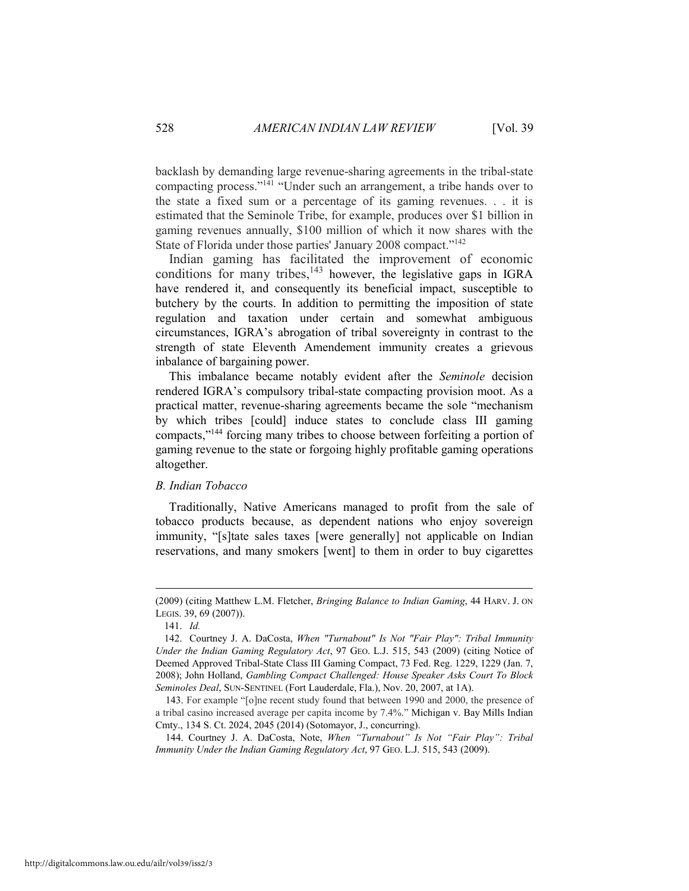backlash by demanding large revenue-sharing agreements in the tribal-state compacting process."141 "Under such an arrangement, a tribe hands over to the state a fixed sum or a percentage of its gaming revenues. . . it is estimated that the Seminole Tribe, for example, produces over \$1 billion in gaming revenues annually, \$100 million of which it now shares with the State of Florida under those parties' January 2008 compact."142

Indian gaming has facilitated the improvement of economic conditions for many tribes, $143$  however, the legislative gaps in IGRA have rendered it, and consequently its beneficial impact, susceptible to butchery by the courts. In addition to permitting the imposition of state regulation and taxation under certain and somewhat ambiguous circumstances, IGRA's abrogation of tribal sovereignty in contrast to the strength of state Eleventh Amendement immunity creates a grievous inbalance of bargaining power.

This imbalance became notably evident after the *Seminole* decision rendered IGRA's compulsory tribal-state compacting provision moot. As a practical matter, revenue-sharing agreements became the sole "mechanism by which tribes [could] induce states to conclude class III gaming compacts,"144 forcing many tribes to choose between forfeiting a portion of gaming revenue to the state or forgoing highly profitable gaming operations altogether.

## *B. Indian Tobacco*

Traditionally, Native Americans managed to profit from the sale of tobacco products because, as dependent nations who enjoy sovereign immunity, "[s]tate sales taxes [were generally] not applicable on Indian reservations, and many smokers [went] to them in order to buy cigarettes

<sup>(2009) (</sup>citing Matthew L.M. Fletcher, *Bringing Balance to Indian Gaming*, 44 HARV. J. ON LEGIS. 39, 69 (2007)).

 <sup>141.</sup> *Id.*

 <sup>142.</sup> Courtney J. A. DaCosta, *When "Turnabout" Is Not "Fair Play": Tribal Immunity Under the Indian Gaming Regulatory Act*, 97 GEO. L.J. 515, 543 (2009) (citing Notice of Deemed Approved Tribal-State Class III Gaming Compact, 73 Fed. Reg. 1229, 1229 (Jan. 7, 2008); John Holland, *Gambling Compact Challenged: House Speaker Asks Court To Block Seminoles Deal*, SUN-SENTINEL (Fort Lauderdale, Fla.), Nov. 20, 2007, at 1A).

<sup>143.</sup> For example "[o]ne recent study found that between 1990 and 2000, the presence of a tribal casino increased average per capita income by 7.4%." Michigan v. Bay Mills Indian Cmty., 134 S. Ct. 2024, 2045 (2014) (Sotomayor, J., concurring).

<sup>144.</sup> Courtney J. A. DaCosta, Note, *When "Turnabout" Is Not "Fair Play": Tribal Immunity Under the Indian Gaming Regulatory Act*, 97 GEO. L.J. 515, 543 (2009).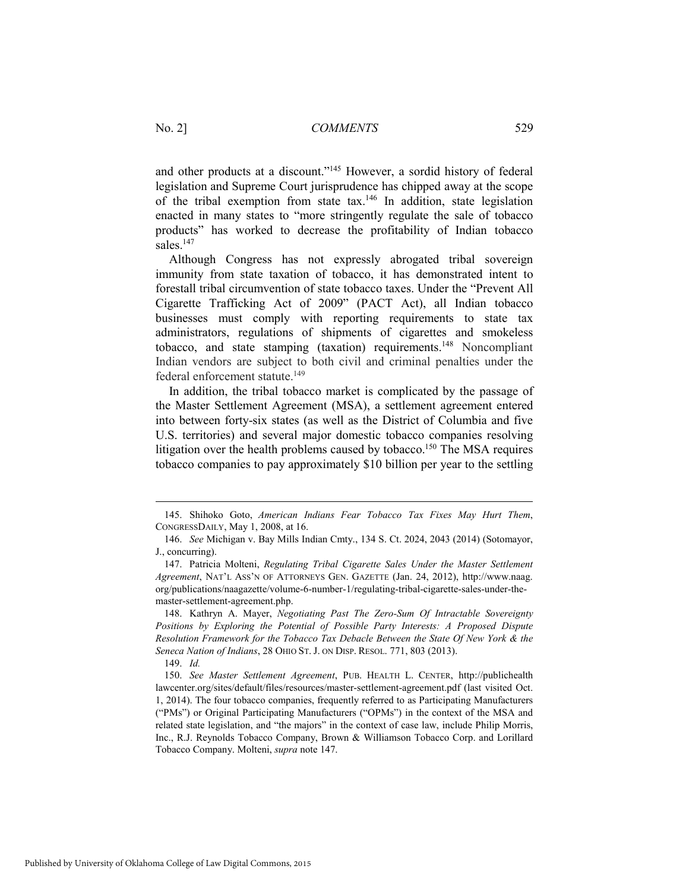and other products at a discount."145 However, a sordid history of federal legislation and Supreme Court jurisprudence has chipped away at the scope of the tribal exemption from state tax.<sup>146</sup> In addition, state legislation enacted in many states to "more stringently regulate the sale of tobacco products" has worked to decrease the profitability of Indian tobacco sales<sup>147</sup>

Although Congress has not expressly abrogated tribal sovereign immunity from state taxation of tobacco, it has demonstrated intent to forestall tribal circumvention of state tobacco taxes. Under the "Prevent All Cigarette Trafficking Act of 2009" (PACT Act), all Indian tobacco businesses must comply with reporting requirements to state tax administrators, regulations of shipments of cigarettes and smokeless tobacco, and state stamping (taxation) requirements.<sup>148</sup> Noncompliant Indian vendors are subject to both civil and criminal penalties under the federal enforcement statute.149

In addition, the tribal tobacco market is complicated by the passage of the Master Settlement Agreement (MSA), a settlement agreement entered into between forty-six states (as well as the District of Columbia and five U.S. territories) and several major domestic tobacco companies resolving litigation over the health problems caused by tobacco.<sup>150</sup> The MSA requires tobacco companies to pay approximately \$10 billion per year to the settling

 <sup>145.</sup> Shihoko Goto, *American Indians Fear Tobacco Tax Fixes May Hurt Them*, CONGRESSDAILY, May 1, 2008, at 16.

 <sup>146.</sup> *See* Michigan v. Bay Mills Indian Cmty., 134 S. Ct. 2024, 2043 (2014) (Sotomayor, J., concurring).

 <sup>147.</sup> Patricia Molteni, *Regulating Tribal Cigarette Sales Under the Master Settlement Agreement*, NAT'L ASS'N OF ATTORNEYS GEN. GAZETTE (Jan. 24, 2012), http://www.naag. org/publications/naagazette/volume-6-number-1/regulating-tribal-cigarette-sales-under-themaster-settlement-agreement.php.

 <sup>148.</sup> Kathryn A. Mayer, *Negotiating Past The Zero-Sum Of Intractable Sovereignty Positions by Exploring the Potential of Possible Party Interests: A Proposed Dispute Resolution Framework for the Tobacco Tax Debacle Between the State Of New York & the Seneca Nation of Indians*, 28 OHIO ST. J. ON DISP. RESOL. 771, 803 (2013).

 <sup>149.</sup> *Id.* 

 <sup>150.</sup> *See Master Settlement Agreement*, PUB. HEALTH L. CENTER, http://publichealth lawcenter.org/sites/default/files/resources/master-settlement-agreement.pdf (last visited Oct. 1, 2014). The four tobacco companies, frequently referred to as Participating Manufacturers ("PMs") or Original Participating Manufacturers ("OPMs") in the context of the MSA and related state legislation, and "the majors" in the context of case law, include Philip Morris, Inc., R.J. Reynolds Tobacco Company, Brown & Williamson Tobacco Corp. and Lorillard Tobacco Company. Molteni, *supra* note 147.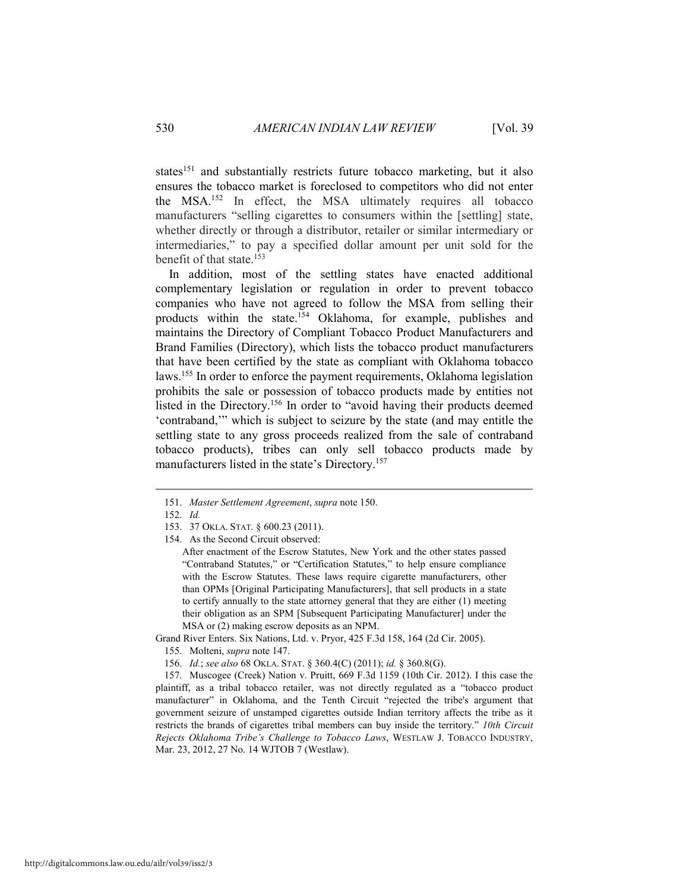states<sup>151</sup> and substantially restricts future tobacco marketing, but it also ensures the tobacco market is foreclosed to competitors who did not enter the MSA.152 In effect, the MSA ultimately requires all tobacco manufacturers "selling cigarettes to consumers within the [settling] state, whether directly or through a distributor, retailer or similar intermediary or intermediaries," to pay a specified dollar amount per unit sold for the benefit of that state  $^{153}$ 

In addition, most of the settling states have enacted additional complementary legislation or regulation in order to prevent tobacco companies who have not agreed to follow the MSA from selling their products within the state.<sup>154</sup> Oklahoma, for example, publishes and maintains the Directory of Compliant Tobacco Product Manufacturers and Brand Families (Directory), which lists the tobacco product manufacturers that have been certified by the state as compliant with Oklahoma tobacco laws.155 In order to enforce the payment requirements, Oklahoma legislation prohibits the sale or possession of tobacco products made by entities not listed in the Directory.156 In order to "avoid having their products deemed 'contraband,'" which is subject to seizure by the state (and may entitle the settling state to any gross proceeds realized from the sale of contraband tobacco products), tribes can only sell tobacco products made by manufacturers listed in the state's Directory.157

 $\overline{a}$ 

Grand River Enters. Six Nations, Ltd. v. Pryor, 425 F.3d 158, 164 (2d Cir. 2005).

 <sup>151.</sup> *Master Settlement Agreement*, *supra* note 150.

 <sup>152.</sup> *Id.* 

 <sup>153. 37</sup> OKLA. STAT. § 600.23 (2011).

 <sup>154.</sup> As the Second Circuit observed:

After enactment of the Escrow Statutes, New York and the other states passed "Contraband Statutes," or "Certification Statutes," to help ensure compliance with the Escrow Statutes. These laws require cigarette manufacturers, other than OPMs [Original Participating Manufacturers], that sell products in a state to certify annually to the state attorney general that they are either (1) meeting their obligation as an SPM [Subsequent Participating Manufacturer] under the MSA or (2) making escrow deposits as an NPM.

 <sup>155.</sup> Molteni, *supra* note 147.

 <sup>156.</sup> *Id.*; *see also* 68 OKLA. STAT. § 360.4(C) (2011); *id.* § 360.8(G).

 <sup>157.</sup> Muscogee (Creek) Nation v. Pruitt, 669 F.3d 1159 (10th Cir. 2012). I this case the plaintiff, as a tribal tobacco retailer, was not directly regulated as a "tobacco product manufacturer" in Oklahoma, and the Tenth Circuit "rejected the tribe's argument that government seizure of unstamped cigarettes outside Indian territory affects the tribe as it restricts the brands of cigarettes tribal members can buy inside the territory." *10th Circuit Rejects Oklahoma Tribe's Challenge to Tobacco Laws*, WESTLAW J. TOBACCO INDUSTRY, Mar. 23, 2012, 27 No. 14 WJTOB 7 (Westlaw).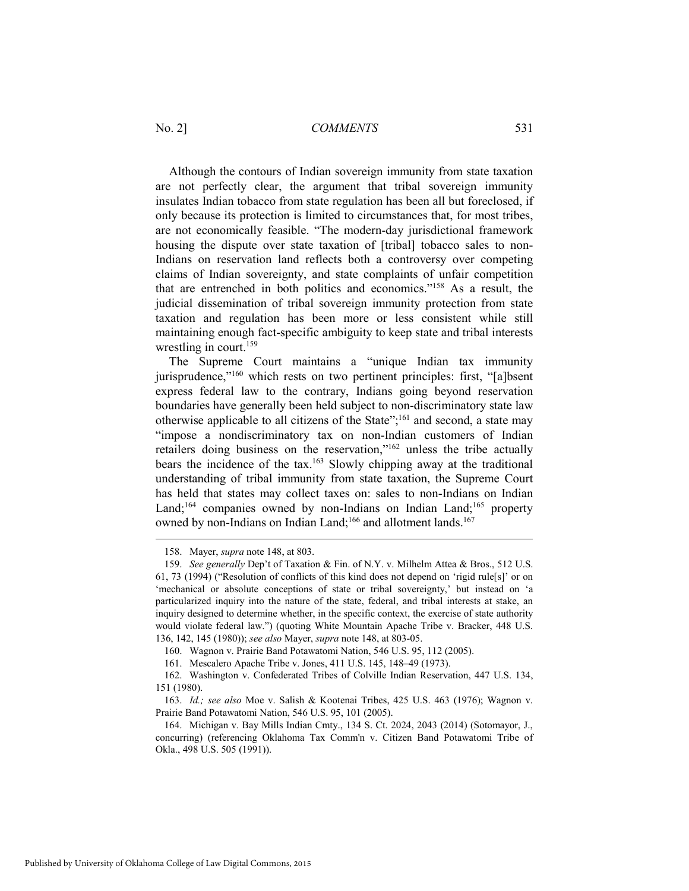Although the contours of Indian sovereign immunity from state taxation are not perfectly clear, the argument that tribal sovereign immunity insulates Indian tobacco from state regulation has been all but foreclosed, if only because its protection is limited to circumstances that, for most tribes, are not economically feasible. "The modern-day jurisdictional framework housing the dispute over state taxation of [tribal] tobacco sales to non-Indians on reservation land reflects both a controversy over competing claims of Indian sovereignty, and state complaints of unfair competition that are entrenched in both politics and economics."158 As a result, the judicial dissemination of tribal sovereign immunity protection from state taxation and regulation has been more or less consistent while still maintaining enough fact-specific ambiguity to keep state and tribal interests wrestling in court.<sup>159</sup>

The Supreme Court maintains a "unique Indian tax immunity jurisprudence,"160 which rests on two pertinent principles: first, "[a]bsent express federal law to the contrary, Indians going beyond reservation boundaries have generally been held subject to non-discriminatory state law otherwise applicable to all citizens of the State";161 and second, a state may "impose a nondiscriminatory tax on non-Indian customers of Indian retailers doing business on the reservation,"162 unless the tribe actually bears the incidence of the tax.163 Slowly chipping away at the traditional understanding of tribal immunity from state taxation, the Supreme Court has held that states may collect taxes on: sales to non-Indians on Indian Land;<sup>164</sup> companies owned by non-Indians on Indian Land;<sup>165</sup> property owned by non-Indians on Indian Land;<sup>166</sup> and allotment lands.<sup>167</sup>

 <sup>158.</sup> Mayer, *supra* note 148, at 803.

 <sup>159.</sup> *See generally* Dep't of Taxation & Fin. of N.Y. v. Milhelm Attea & Bros., 512 U.S. 61, 73 (1994) ("Resolution of conflicts of this kind does not depend on 'rigid rule[s]' or on 'mechanical or absolute conceptions of state or tribal sovereignty,' but instead on 'a particularized inquiry into the nature of the state, federal, and tribal interests at stake, an inquiry designed to determine whether, in the specific context, the exercise of state authority would violate federal law.") (quoting White Mountain Apache Tribe v. Bracker, 448 U.S. 136, 142, 145 (1980)); *see also* Mayer, *supra* note 148, at 803-05.

 <sup>160.</sup> Wagnon v. Prairie Band Potawatomi Nation, 546 U.S. 95, 112 (2005).

 <sup>161.</sup> Mescalero Apache Tribe v. Jones, 411 U.S. 145, 148–49 (1973).

 <sup>162.</sup> Washington v. Confederated Tribes of Colville Indian Reservation, 447 U.S. 134, 151 (1980).

 <sup>163.</sup> *Id.; see also* Moe v. Salish & Kootenai Tribes, 425 U.S. 463 (1976); Wagnon v. Prairie Band Potawatomi Nation, 546 U.S. 95, 101 (2005).

 <sup>164.</sup> Michigan v. Bay Mills Indian Cmty., 134 S. Ct. 2024, 2043 (2014) (Sotomayor, J., concurring) (referencing Oklahoma Tax Comm'n v. Citizen Band Potawatomi Tribe of Okla., 498 U.S. 505 (1991)).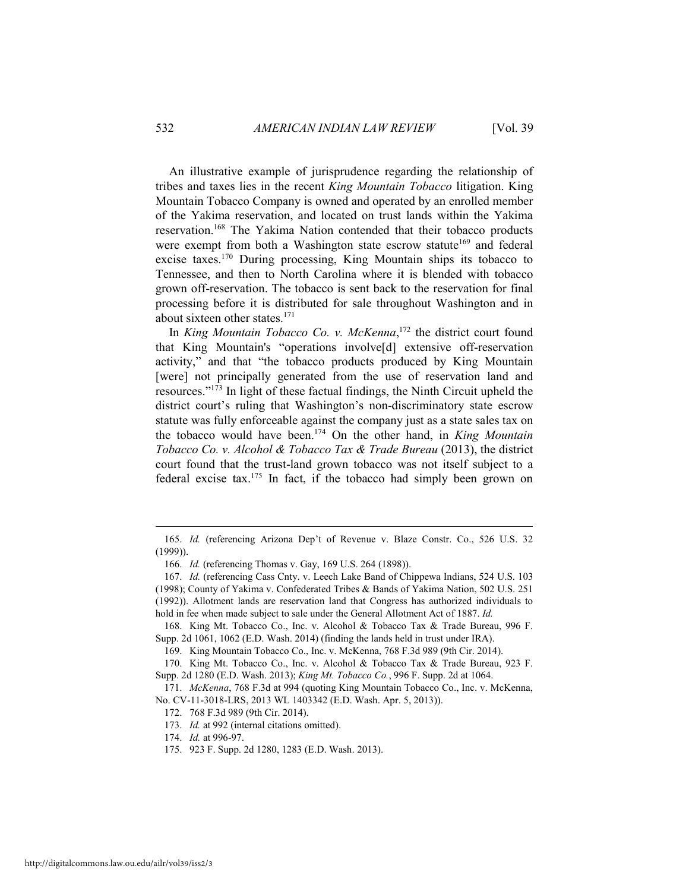An illustrative example of jurisprudence regarding the relationship of tribes and taxes lies in the recent *King Mountain Tobacco* litigation. King Mountain Tobacco Company is owned and operated by an enrolled member of the Yakima reservation, and located on trust lands within the Yakima reservation.168 The Yakima Nation contended that their tobacco products were exempt from both a Washington state escrow statute<sup>169</sup> and federal excise taxes.170 During processing, King Mountain ships its tobacco to Tennessee, and then to North Carolina where it is blended with tobacco grown off-reservation. The tobacco is sent back to the reservation for final processing before it is distributed for sale throughout Washington and in about sixteen other states.171

In *King Mountain Tobacco Co. v. McKenna*, 172 the district court found that King Mountain's "operations involve[d] extensive off-reservation activity," and that "the tobacco products produced by King Mountain [were] not principally generated from the use of reservation land and resources."173 In light of these factual findings, the Ninth Circuit upheld the district court's ruling that Washington's non-discriminatory state escrow statute was fully enforceable against the company just as a state sales tax on the tobacco would have been.174 On the other hand, in *King Mountain Tobacco Co. v. Alcohol & Tobacco Tax & Trade Bureau* (2013), the district court found that the trust-land grown tobacco was not itself subject to a federal excise tax.<sup>175</sup> In fact, if the tobacco had simply been grown on

 <sup>165.</sup> *Id.* (referencing Arizona Dep't of Revenue v. Blaze Constr. Co., 526 U.S. 32 (1999)).

 <sup>166.</sup> *Id.* (referencing Thomas v. Gay, 169 U.S. 264 (1898)).

 <sup>167.</sup> *Id.* (referencing Cass Cnty. v. Leech Lake Band of Chippewa Indians, 524 U.S. 103 (1998); County of Yakima v. Confederated Tribes & Bands of Yakima Nation, 502 U.S. 251 (1992)). Allotment lands are reservation land that Congress has authorized individuals to hold in fee when made subject to sale under the General Allotment Act of 1887. *Id.* 

 <sup>168.</sup> King Mt. Tobacco Co., Inc. v. Alcohol & Tobacco Tax & Trade Bureau, 996 F. Supp. 2d 1061, 1062 (E.D. Wash. 2014) (finding the lands held in trust under IRA).

 <sup>169.</sup> King Mountain Tobacco Co., Inc. v. McKenna, 768 F.3d 989 (9th Cir. 2014).

 <sup>170.</sup> King Mt. Tobacco Co., Inc. v. Alcohol & Tobacco Tax & Trade Bureau, 923 F. Supp. 2d 1280 (E.D. Wash. 2013); *King Mt. Tobacco Co.*, 996 F. Supp. 2d at 1064.

 <sup>171.</sup> *McKenna*, 768 F.3d at 994 (quoting King Mountain Tobacco Co., Inc. v. McKenna, No. CV-11-3018-LRS, 2013 WL 1403342 (E.D. Wash. Apr. 5, 2013)).

 <sup>172. 768</sup> F.3d 989 (9th Cir. 2014).

 <sup>173.</sup> *Id.* at 992 (internal citations omitted).

 <sup>174.</sup> *Id.* at 996-97.

 <sup>175. 923</sup> F. Supp. 2d 1280, 1283 (E.D. Wash. 2013).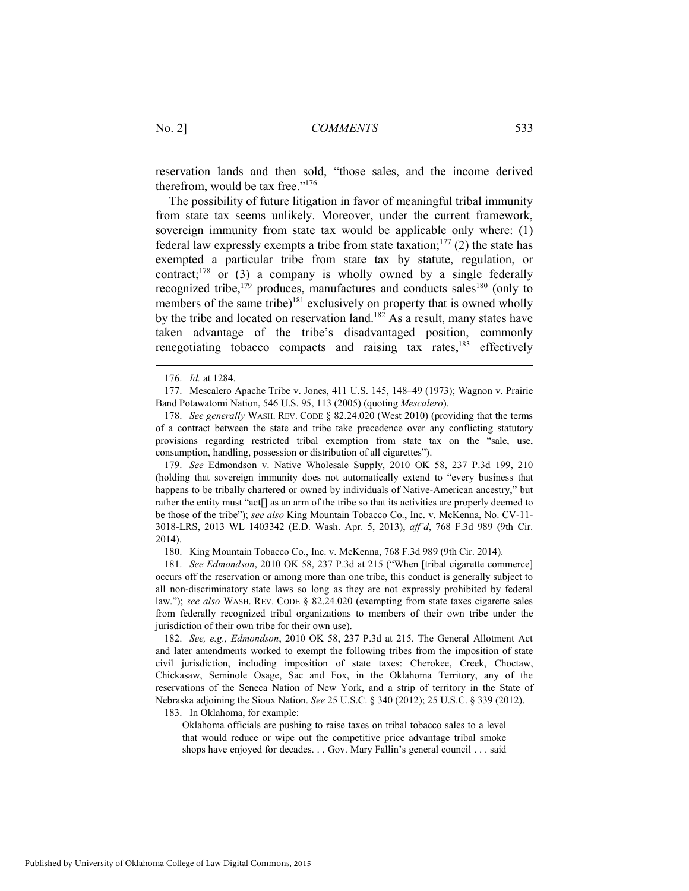reservation lands and then sold, "those sales, and the income derived therefrom, would be tax free."176

The possibility of future litigation in favor of meaningful tribal immunity from state tax seems unlikely. Moreover, under the current framework, sovereign immunity from state tax would be applicable only where: (1) federal law expressly exempts a tribe from state taxation;<sup>177</sup> (2) the state has exempted a particular tribe from state tax by statute, regulation, or contract;<sup>178</sup> or (3) a company is wholly owned by a single federally recognized tribe,<sup>179</sup> produces, manufactures and conducts sales<sup>180</sup> (only to members of the same tribe) $181$  exclusively on property that is owned wholly by the tribe and located on reservation land.<sup>182</sup> As a result, many states have taken advantage of the tribe's disadvantaged position, commonly renegotiating tobacco compacts and raising tax rates, $183$  effectively

 $\overline{a}$ 

 179. *See* Edmondson v. Native Wholesale Supply, 2010 OK 58, 237 P.3d 199, 210 (holding that sovereign immunity does not automatically extend to "every business that happens to be tribally chartered or owned by individuals of Native-American ancestry," but rather the entity must "act[] as an arm of the tribe so that its activities are properly deemed to be those of the tribe"); *see also* King Mountain Tobacco Co., Inc. v. McKenna, No. CV-11- 3018-LRS, 2013 WL 1403342 (E.D. Wash. Apr. 5, 2013), *aff'd*, 768 F.3d 989 (9th Cir. 2014).

180. King Mountain Tobacco Co., Inc. v. McKenna, 768 F.3d 989 (9th Cir. 2014).

 181. *See Edmondson*, 2010 OK 58, 237 P.3d at 215 ("When [tribal cigarette commerce] occurs off the reservation or among more than one tribe, this conduct is generally subject to all non-discriminatory state laws so long as they are not expressly prohibited by federal law."); *see also* WASH. REV. CODE § 82.24.020 (exempting from state taxes cigarette sales from federally recognized tribal organizations to members of their own tribe under the jurisdiction of their own tribe for their own use).

 182. *See, e.g., Edmondson*, 2010 OK 58, 237 P.3d at 215. The General Allotment Act and later amendments worked to exempt the following tribes from the imposition of state civil jurisdiction, including imposition of state taxes: Cherokee, Creek, Choctaw, Chickasaw, Seminole Osage, Sac and Fox, in the Oklahoma Territory, any of the reservations of the Seneca Nation of New York, and a strip of territory in the State of Nebraska adjoining the Sioux Nation. *See* 25 U.S.C. § 340 (2012); 25 U.S.C. § 339 (2012).

183. In Oklahoma, for example:

Oklahoma officials are pushing to raise taxes on tribal tobacco sales to a level that would reduce or wipe out the competitive price advantage tribal smoke shops have enjoyed for decades. . . Gov. Mary Fallin's general council . . . said

 <sup>176.</sup> *Id.* at 1284.

 <sup>177.</sup> Mescalero Apache Tribe v. Jones, 411 U.S. 145, 148–49 (1973); Wagnon v. Prairie Band Potawatomi Nation, 546 U.S. 95, 113 (2005) (quoting *Mescalero*).

 <sup>178.</sup> *See generally* WASH. REV. CODE § 82.24.020 (West 2010) (providing that the terms of a contract between the state and tribe take precedence over any conflicting statutory provisions regarding restricted tribal exemption from state tax on the "sale, use, consumption, handling, possession or distribution of all cigarettes").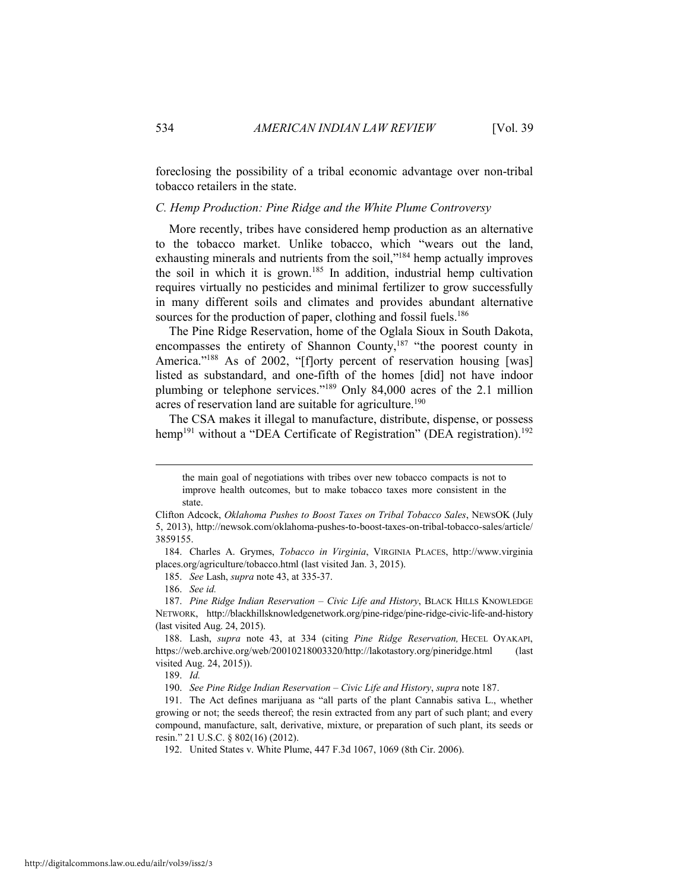foreclosing the possibility of a tribal economic advantage over non-tribal tobacco retailers in the state.

#### *C. Hemp Production: Pine Ridge and the White Plume Controversy*

More recently, tribes have considered hemp production as an alternative to the tobacco market. Unlike tobacco, which "wears out the land, exhausting minerals and nutrients from the soil,"<sup>184</sup> hemp actually improves the soil in which it is grown.<sup>185</sup> In addition, industrial hemp cultivation requires virtually no pesticides and minimal fertilizer to grow successfully in many different soils and climates and provides abundant alternative sources for the production of paper, clothing and fossil fuels.<sup>186</sup>

The Pine Ridge Reservation, home of the Oglala Sioux in South Dakota, encompasses the entirety of Shannon County,<sup>187</sup> "the poorest county in America."<sup>188</sup> As of 2002, "[f]orty percent of reservation housing [was] listed as substandard, and one-fifth of the homes [did] not have indoor plumbing or telephone services."189 Only 84,000 acres of the 2.1 million acres of reservation land are suitable for agriculture.<sup>190</sup>

The CSA makes it illegal to manufacture, distribute, dispense, or possess hemp<sup>191</sup> without a "DEA Certificate of Registration" (DEA registration).<sup>192</sup>

 184. Charles A. Grymes, *Tobacco in Virginia*, VIRGINIA PLACES, http://www.virginia places.org/agriculture/tobacco.html (last visited Jan. 3, 2015).

185. *See* Lash, *supra* note 43, at 335-37.

186. *See id.*

189. *Id.*

190. *See Pine Ridge Indian Reservation – Civic Life and History*, *supra* note 187.

the main goal of negotiations with tribes over new tobacco compacts is not to improve health outcomes, but to make tobacco taxes more consistent in the state.

Clifton Adcock, *Oklahoma Pushes to Boost Taxes on Tribal Tobacco Sales*, NEWSOK (July 5, 2013), http://newsok.com/oklahoma-pushes-to-boost-taxes-on-tribal-tobacco-sales/article/ 3859155.

 <sup>187.</sup> *Pine Ridge Indian Reservation – Civic Life and History*, BLACK HILLS KNOWLEDGE NETWORK, http://blackhillsknowledgenetwork.org/pine-ridge/pine-ridge-civic-life-and-history (last visited Aug. 24, 2015).

 <sup>188.</sup> Lash, *supra* note 43, at 334 (citing *Pine Ridge Reservation,* HECEL OYAKAPI, https://web.archive.org/web/20010218003320/http://lakotastory.org/pineridge.html (last visited Aug. 24, 2015)).

 <sup>191.</sup> The Act defines marijuana as "all parts of the plant Cannabis sativa L., whether growing or not; the seeds thereof; the resin extracted from any part of such plant; and every compound, manufacture, salt, derivative, mixture, or preparation of such plant, its seeds or resin." 21 U.S.C. § 802(16) (2012).

 <sup>192.</sup> United States v. White Plume, 447 F.3d 1067, 1069 (8th Cir. 2006).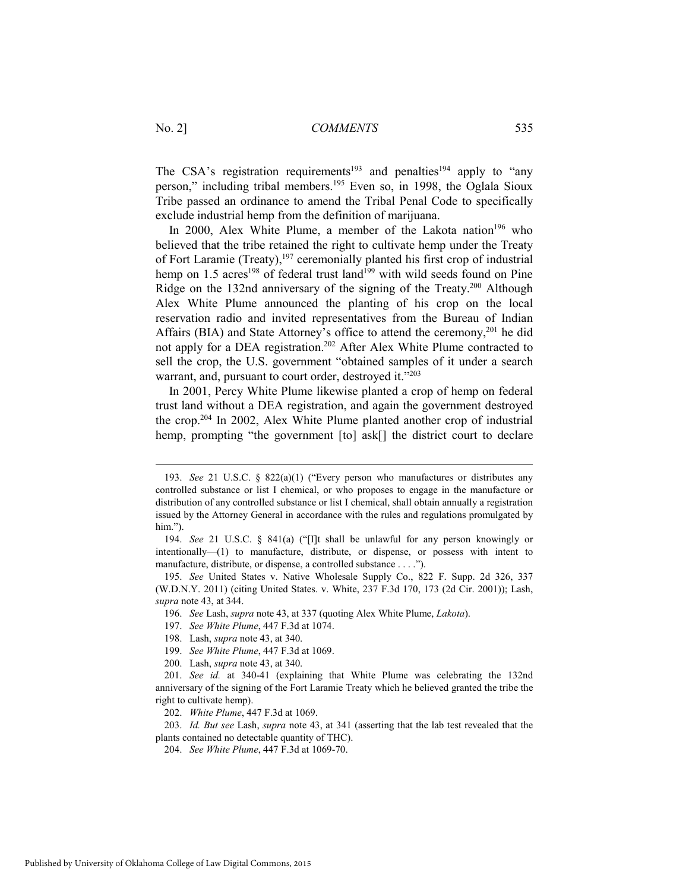The CSA's registration requirements<sup>193</sup> and penalties<sup>194</sup> apply to "any" person," including tribal members.195 Even so, in 1998, the Oglala Sioux Tribe passed an ordinance to amend the Tribal Penal Code to specifically exclude industrial hemp from the definition of marijuana.

In 2000, Alex White Plume, a member of the Lakota nation<sup>196</sup> who believed that the tribe retained the right to cultivate hemp under the Treaty of Fort Laramie (Treaty), $197$  ceremonially planted his first crop of industrial hemp on 1.5 acres<sup>198</sup> of federal trust land<sup>199</sup> with wild seeds found on Pine Ridge on the 132nd anniversary of the signing of the Treaty.200 Although Alex White Plume announced the planting of his crop on the local reservation radio and invited representatives from the Bureau of Indian Affairs (BIA) and State Attorney's office to attend the ceremony,<sup>201</sup> he did not apply for a DEA registration.<sup>202</sup> After Alex White Plume contracted to sell the crop, the U.S. government "obtained samples of it under a search warrant, and, pursuant to court order, destroyed it."<sup>203</sup>

In 2001, Percy White Plume likewise planted a crop of hemp on federal trust land without a DEA registration, and again the government destroyed the crop.204 In 2002, Alex White Plume planted another crop of industrial hemp, prompting "the government [to] ask[] the district court to declare

202. *White Plume*, 447 F.3d at 1069.

 203. *Id. But see* Lash, *supra* note 43, at 341 (asserting that the lab test revealed that the plants contained no detectable quantity of THC).

204. *See White Plume*, 447 F.3d at 1069-70.

 <sup>193.</sup> *See* 21 U.S.C. § 822(a)(1) ("Every person who manufactures or distributes any controlled substance or list I chemical, or who proposes to engage in the manufacture or distribution of any controlled substance or list I chemical, shall obtain annually a registration issued by the Attorney General in accordance with the rules and regulations promulgated by him.").

 <sup>194.</sup> *See* 21 U.S.C. § 841(a) ("[I]t shall be unlawful for any person knowingly or intentionally—(1) to manufacture, distribute, or dispense, or possess with intent to manufacture, distribute, or dispense, a controlled substance . . . .").

 <sup>195.</sup> *See* United States v. Native Wholesale Supply Co., 822 F. Supp. 2d 326, 337 (W.D.N.Y. 2011) (citing United States. v. White, 237 F.3d 170, 173 (2d Cir. 2001)); Lash, *supra* note 43, at 344.

 <sup>196.</sup> *See* Lash, *supra* note 43, at 337 (quoting Alex White Plume, *Lakota*).

 <sup>197.</sup> *See White Plume*, 447 F.3d at 1074.

 <sup>198.</sup> Lash, *supra* note 43, at 340.

 <sup>199.</sup> *See White Plume*, 447 F.3d at 1069.

 <sup>200.</sup> Lash, *supra* note 43, at 340.

 <sup>201.</sup> *See id.* at 340-41 (explaining that White Plume was celebrating the 132nd anniversary of the signing of the Fort Laramie Treaty which he believed granted the tribe the right to cultivate hemp).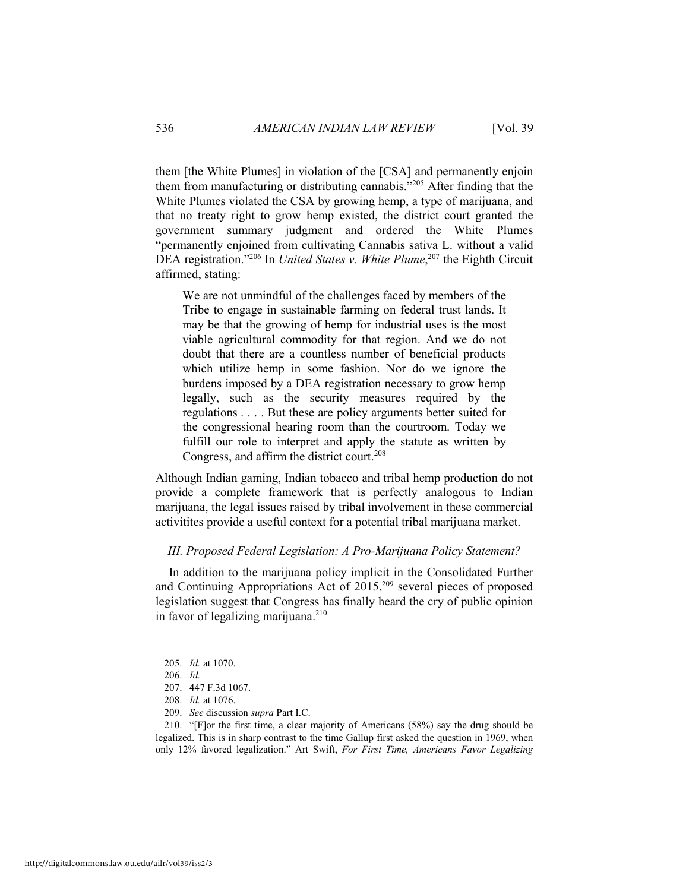them [the White Plumes] in violation of the [CSA] and permanently enjoin them from manufacturing or distributing cannabis."205 After finding that the White Plumes violated the CSA by growing hemp, a type of marijuana, and that no treaty right to grow hemp existed, the district court granted the government summary judgment and ordered the White Plumes "permanently enjoined from cultivating Cannabis sativa L. without a valid DEA registration."206 In *United States v. White Plume*, 207 the Eighth Circuit affirmed, stating:

We are not unmindful of the challenges faced by members of the Tribe to engage in sustainable farming on federal trust lands. It may be that the growing of hemp for industrial uses is the most viable agricultural commodity for that region. And we do not doubt that there are a countless number of beneficial products which utilize hemp in some fashion. Nor do we ignore the burdens imposed by a DEA registration necessary to grow hemp legally, such as the security measures required by the regulations . . . . But these are policy arguments better suited for the congressional hearing room than the courtroom. Today we fulfill our role to interpret and apply the statute as written by Congress, and affirm the district court.<sup>208</sup>

Although Indian gaming, Indian tobacco and tribal hemp production do not provide a complete framework that is perfectly analogous to Indian marijuana, the legal issues raised by tribal involvement in these commercial activitites provide a useful context for a potential tribal marijuana market.

#### *III. Proposed Federal Legislation: A Pro-Marijuana Policy Statement?*

In addition to the marijuana policy implicit in the Consolidated Further and Continuing Appropriations Act of  $2015$ <sup>209</sup> several pieces of proposed legislation suggest that Congress has finally heard the cry of public opinion in favor of legalizing marijuana. $210$ 

 <sup>205.</sup> *Id.* at 1070.

 <sup>206.</sup> *Id.* 

 <sup>207. 447</sup> F.3d 1067.

 <sup>208.</sup> *Id.* at 1076.

 <sup>209.</sup> *See* discussion *supra* Part I.C.

 <sup>210. &</sup>quot;[F]or the first time, a clear majority of Americans (58%) say the drug should be legalized. This is in sharp contrast to the time Gallup first asked the question in 1969, when only 12% favored legalization." Art Swift, *For First Time, Americans Favor Legalizing*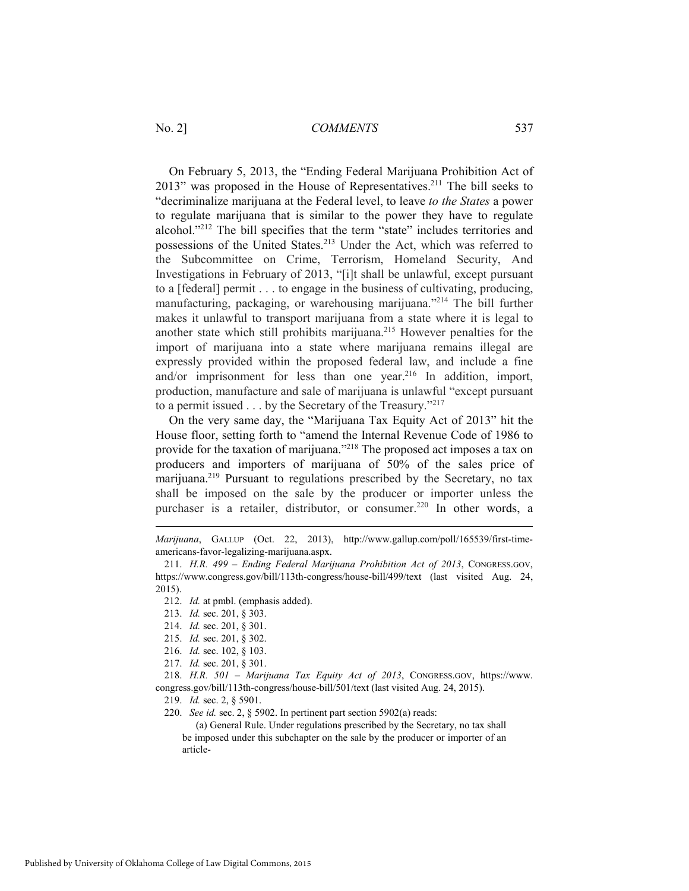On February 5, 2013, the "Ending Federal Marijuana Prohibition Act of 2013" was proposed in the House of Representatives.<sup>211</sup> The bill seeks to "decriminalize marijuana at the Federal level, to leave *to the States* a power to regulate marijuana that is similar to the power they have to regulate alcohol."212 The bill specifies that the term "state" includes territories and possessions of the United States.<sup>213</sup> Under the Act, which was referred to the Subcommittee on Crime, Terrorism, Homeland Security, And Investigations in February of 2013, "[i]t shall be unlawful, except pursuant to a [federal] permit . . . to engage in the business of cultivating, producing, manufacturing, packaging, or warehousing marijuana."214 The bill further makes it unlawful to transport marijuana from a state where it is legal to another state which still prohibits marijuana.215 However penalties for the import of marijuana into a state where marijuana remains illegal are expressly provided within the proposed federal law, and include a fine and/or imprisonment for less than one year.<sup>216</sup> In addition, import, production, manufacture and sale of marijuana is unlawful "except pursuant to a permit issued . . . by the Secretary of the Treasury."217

On the very same day, the "Marijuana Tax Equity Act of 2013" hit the House floor, setting forth to "amend the Internal Revenue Code of 1986 to provide for the taxation of marijuana."218 The proposed act imposes a tax on producers and importers of marijuana of 50% of the sales price of marijuana.219 Pursuant to regulations prescribed by the Secretary, no tax shall be imposed on the sale by the producer or importer unless the purchaser is a retailer, distributor, or consumer.<sup>220</sup> In other words, a

 $\overline{a}$ 

 218. *H.R. 501 – Marijuana Tax Equity Act of 2013*, CONGRESS.GOV, https://www. congress.gov/bill/113th-congress/house-bill/501/text (last visited Aug. 24, 2015).

219. *Id.* sec. 2, § 5901.

220. *See id.* sec. 2, § 5902. In pertinent part section 5902(a) reads:

 (a) General Rule. Under regulations prescribed by the Secretary, no tax shall be imposed under this subchapter on the sale by the producer or importer of an article-

*Marijuana*, GALLUP (Oct. 22, 2013), http://www.gallup.com/poll/165539/first-timeamericans-favor-legalizing-marijuana.aspx.

 <sup>211.</sup> *H.R. 499 – Ending Federal Marijuana Prohibition Act of 2013*, CONGRESS.GOV, https://www.congress.gov/bill/113th-congress/house-bill/499/text (last visited Aug. 24, 2015).

 <sup>212.</sup> *Id.* at pmbl. (emphasis added).

 <sup>213.</sup> *Id.* sec. 201, § 303.

 <sup>214.</sup> *Id.* sec. 201, § 301.

 <sup>215.</sup> *Id.* sec. 201, § 302.

 <sup>216.</sup> *Id.* sec. 102, § 103.

 <sup>217.</sup> *Id.* sec. 201, § 301.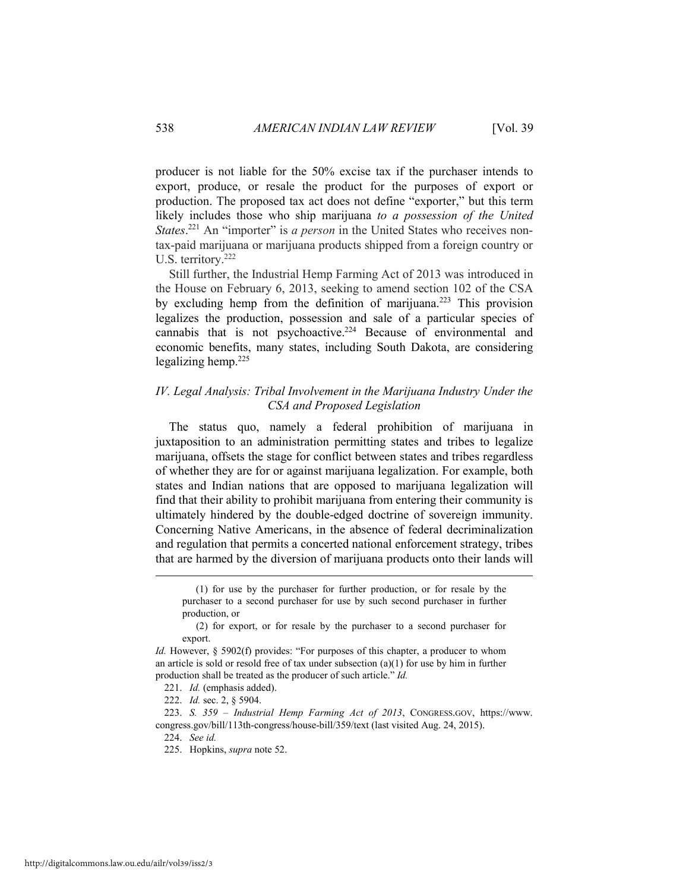producer is not liable for the 50% excise tax if the purchaser intends to export, produce, or resale the product for the purposes of export or production. The proposed tax act does not define "exporter," but this term likely includes those who ship marijuana *to a possession of the United States*.<sup>221</sup> An "importer" is *a person* in the United States who receives nontax-paid marijuana or marijuana products shipped from a foreign country or U.S. territory.<sup>222</sup>

Still further, the Industrial Hemp Farming Act of 2013 was introduced in the House on February 6, 2013, seeking to amend section 102 of the CSA by excluding hemp from the definition of marijuana.223 This provision legalizes the production, possession and sale of a particular species of cannabis that is not psychoactive.224 Because of environmental and economic benefits, many states, including South Dakota, are considering legalizing hemp.225

# *IV. Legal Analysis: Tribal Involvement in the Marijuana Industry Under the CSA and Proposed Legislation*

The status quo, namely a federal prohibition of marijuana in juxtaposition to an administration permitting states and tribes to legalize marijuana, offsets the stage for conflict between states and tribes regardless of whether they are for or against marijuana legalization. For example, both states and Indian nations that are opposed to marijuana legalization will find that their ability to prohibit marijuana from entering their community is ultimately hindered by the double-edged doctrine of sovereign immunity. Concerning Native Americans, in the absence of federal decriminalization and regulation that permits a concerted national enforcement strategy, tribes that are harmed by the diversion of marijuana products onto their lands will

 <sup>(1)</sup> for use by the purchaser for further production, or for resale by the purchaser to a second purchaser for use by such second purchaser in further production, or

 <sup>(2)</sup> for export, or for resale by the purchaser to a second purchaser for export.

*Id.* However, § 5902(f) provides: "For purposes of this chapter, a producer to whom an article is sold or resold free of tax under subsection  $(a)(1)$  for use by him in further production shall be treated as the producer of such article." *Id.*

 <sup>221.</sup> *Id.* (emphasis added).

 <sup>222.</sup> *Id.* sec. 2, § 5904.

 <sup>223.</sup> *S. 359 – Industrial Hemp Farming Act of 2013*, CONGRESS.GOV, https://www. congress.gov/bill/113th-congress/house-bill/359/text (last visited Aug. 24, 2015).

 <sup>224.</sup> *See id.*

 <sup>225.</sup> Hopkins, *supra* note 52.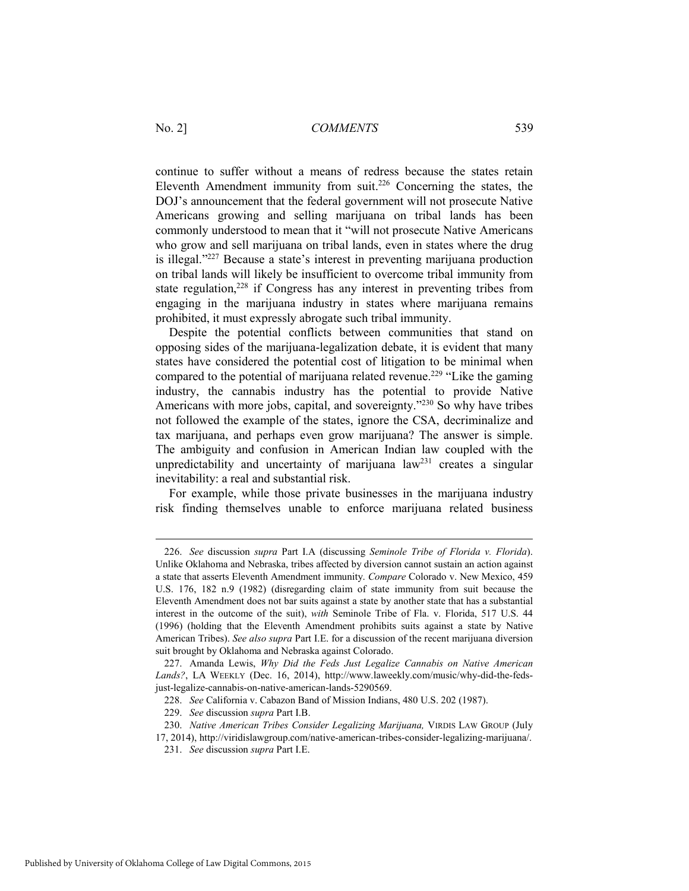continue to suffer without a means of redress because the states retain Eleventh Amendment immunity from suit.<sup>226</sup> Concerning the states, the DOJ's announcement that the federal government will not prosecute Native Americans growing and selling marijuana on tribal lands has been commonly understood to mean that it "will not prosecute Native Americans who grow and sell marijuana on tribal lands, even in states where the drug is illegal."227 Because a state's interest in preventing marijuana production on tribal lands will likely be insufficient to overcome tribal immunity from state regulation,<sup>228</sup> if Congress has any interest in preventing tribes from engaging in the marijuana industry in states where marijuana remains prohibited, it must expressly abrogate such tribal immunity.

Despite the potential conflicts between communities that stand on opposing sides of the marijuana-legalization debate, it is evident that many states have considered the potential cost of litigation to be minimal when compared to the potential of marijuana related revenue.<sup>229</sup> "Like the gaming" industry, the cannabis industry has the potential to provide Native Americans with more jobs, capital, and sovereignty."<sup>230</sup> So why have tribes not followed the example of the states, ignore the CSA, decriminalize and tax marijuana, and perhaps even grow marijuana? The answer is simple. The ambiguity and confusion in American Indian law coupled with the unpredictability and uncertainty of marijuana law<sup>231</sup> creates a singular inevitability: a real and substantial risk.

For example, while those private businesses in the marijuana industry risk finding themselves unable to enforce marijuana related business

 <sup>226.</sup> *See* discussion *supra* Part I.A (discussing *Seminole Tribe of Florida v. Florida*). Unlike Oklahoma and Nebraska, tribes affected by diversion cannot sustain an action against a state that asserts Eleventh Amendment immunity. *Compare* Colorado v. New Mexico, 459 U.S. 176, 182 n.9 (1982) (disregarding claim of state immunity from suit because the Eleventh Amendment does not bar suits against a state by another state that has a substantial interest in the outcome of the suit), *with* Seminole Tribe of Fla. v. Florida, 517 U.S. 44 (1996) (holding that the Eleventh Amendment prohibits suits against a state by Native American Tribes). *See also supra* Part I.E. for a discussion of the recent marijuana diversion suit brought by Oklahoma and Nebraska against Colorado.

 <sup>227.</sup> Amanda Lewis, *Why Did the Feds Just Legalize Cannabis on Native American Lands?*, LA WEEKLY (Dec. 16, 2014), http://www.laweekly.com/music/why-did-the-fedsjust-legalize-cannabis-on-native-american-lands-5290569.

 <sup>228.</sup> *See* California v. Cabazon Band of Mission Indians, 480 U.S. 202 (1987).

 <sup>229.</sup> *See* discussion *supra* Part I.B.

 <sup>230.</sup> *Native American Tribes Consider Legalizing Marijuana,* VIRDIS LAW GROUP (July 17, 2014), http://viridislawgroup.com/native-american-tribes-consider-legalizing-marijuana/.

 <sup>231.</sup> *See* discussion *supra* Part I.E.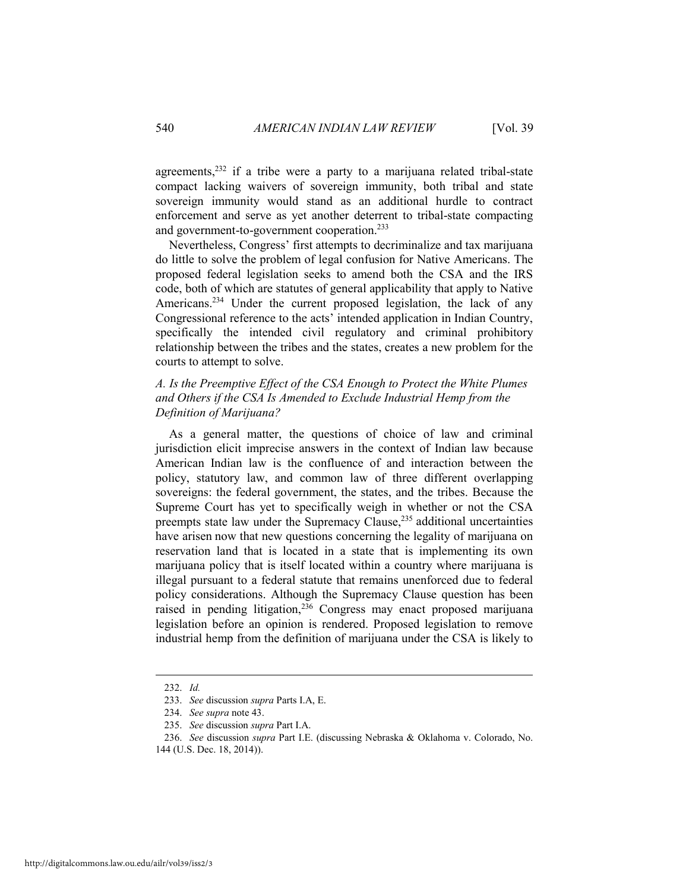agreements, $232$  if a tribe were a party to a marijuana related tribal-state compact lacking waivers of sovereign immunity, both tribal and state sovereign immunity would stand as an additional hurdle to contract enforcement and serve as yet another deterrent to tribal-state compacting and government-to-government cooperation.233

Nevertheless, Congress' first attempts to decriminalize and tax marijuana do little to solve the problem of legal confusion for Native Americans. The proposed federal legislation seeks to amend both the CSA and the IRS code, both of which are statutes of general applicability that apply to Native Americans.<sup>234</sup> Under the current proposed legislation, the lack of any Congressional reference to the acts' intended application in Indian Country, specifically the intended civil regulatory and criminal prohibitory relationship between the tribes and the states, creates a new problem for the courts to attempt to solve.

# *A. Is the Preemptive Effect of the CSA Enough to Protect the White Plumes and Others if the CSA Is Amended to Exclude Industrial Hemp from the Definition of Marijuana?*

As a general matter, the questions of choice of law and criminal jurisdiction elicit imprecise answers in the context of Indian law because American Indian law is the confluence of and interaction between the policy, statutory law, and common law of three different overlapping sovereigns: the federal government, the states, and the tribes. Because the Supreme Court has yet to specifically weigh in whether or not the CSA preempts state law under the Supremacy Clause,<sup>235</sup> additional uncertainties have arisen now that new questions concerning the legality of marijuana on reservation land that is located in a state that is implementing its own marijuana policy that is itself located within a country where marijuana is illegal pursuant to a federal statute that remains unenforced due to federal policy considerations. Although the Supremacy Clause question has been raised in pending litigation,<sup>236</sup> Congress may enact proposed marijuana legislation before an opinion is rendered. Proposed legislation to remove industrial hemp from the definition of marijuana under the CSA is likely to

 <sup>232.</sup> *Id.*

 <sup>233.</sup> *See* discussion *supra* Parts I.A, E.

 <sup>234.</sup> *See supra* note 43.

 <sup>235.</sup> *See* discussion *supra* Part I.A.

 <sup>236.</sup> *See* discussion *supra* Part I.E. (discussing Nebraska & Oklahoma v. Colorado, No.

<sup>144 (</sup>U.S. Dec. 18, 2014)).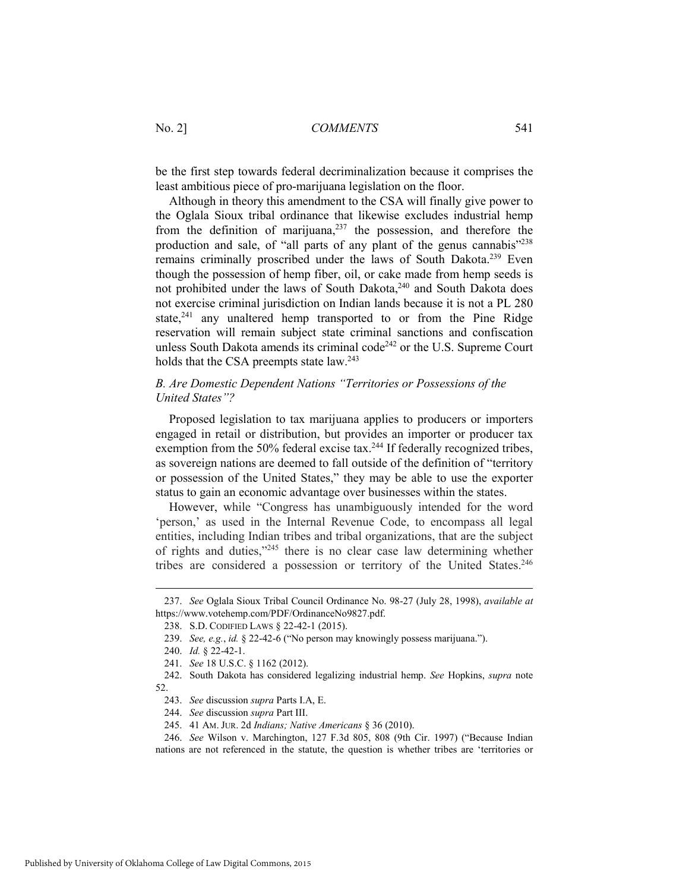be the first step towards federal decriminalization because it comprises the least ambitious piece of pro-marijuana legislation on the floor.

Although in theory this amendment to the CSA will finally give power to the Oglala Sioux tribal ordinance that likewise excludes industrial hemp from the definition of marijuana, $237$  the possession, and therefore the production and sale, of "all parts of any plant of the genus cannabis"238 remains criminally proscribed under the laws of South Dakota.<sup>239</sup> Even though the possession of hemp fiber, oil, or cake made from hemp seeds is not prohibited under the laws of South Dakota,<sup>240</sup> and South Dakota does not exercise criminal jurisdiction on Indian lands because it is not a PL 280 state,<sup>241</sup> any unaltered hemp transported to or from the Pine Ridge reservation will remain subject state criminal sanctions and confiscation unless South Dakota amends its criminal code<sup>242</sup> or the U.S. Supreme Court holds that the CSA preempts state law.<sup>243</sup>

# *B. Are Domestic Dependent Nations "Territories or Possessions of the United States"?*

Proposed legislation to tax marijuana applies to producers or importers engaged in retail or distribution, but provides an importer or producer tax exemption from the 50% federal excise tax.<sup>244</sup> If federally recognized tribes, as sovereign nations are deemed to fall outside of the definition of "territory or possession of the United States," they may be able to use the exporter status to gain an economic advantage over businesses within the states.

However, while "Congress has unambiguously intended for the word 'person,' as used in the Internal Revenue Code, to encompass all legal entities, including Indian tribes and tribal organizations, that are the subject of rights and duties,"245 there is no clear case law determining whether tribes are considered a possession or territory of the United States.<sup>246</sup>

 <sup>237.</sup> *See* Oglala Sioux Tribal Council Ordinance No. 98-27 (July 28, 1998), *available at* https://www.votehemp.com/PDF/OrdinanceNo9827.pdf.

 <sup>238.</sup> S.D. CODIFIED LAWS § 22-42-1 (2015).

 <sup>239.</sup> *See, e.g.*, *id.* § 22-42-6 ("No person may knowingly possess marijuana.").

 <sup>240.</sup> *Id.* § 22-42-1.

 <sup>241.</sup> *See* 18 U.S.C. § 1162 (2012).

 <sup>242.</sup> South Dakota has considered legalizing industrial hemp. *See* Hopkins, *supra* note 52.

 <sup>243.</sup> *See* discussion *supra* Parts I.A, E.

 <sup>244.</sup> *See* discussion *supra* Part III.

 <sup>245. 41</sup> AM. JUR. 2d *Indians; Native Americans* § 36 (2010).

 <sup>246.</sup> *See* Wilson v. Marchington, 127 F.3d 805, 808 (9th Cir. 1997) ("Because Indian nations are not referenced in the statute, the question is whether tribes are 'territories or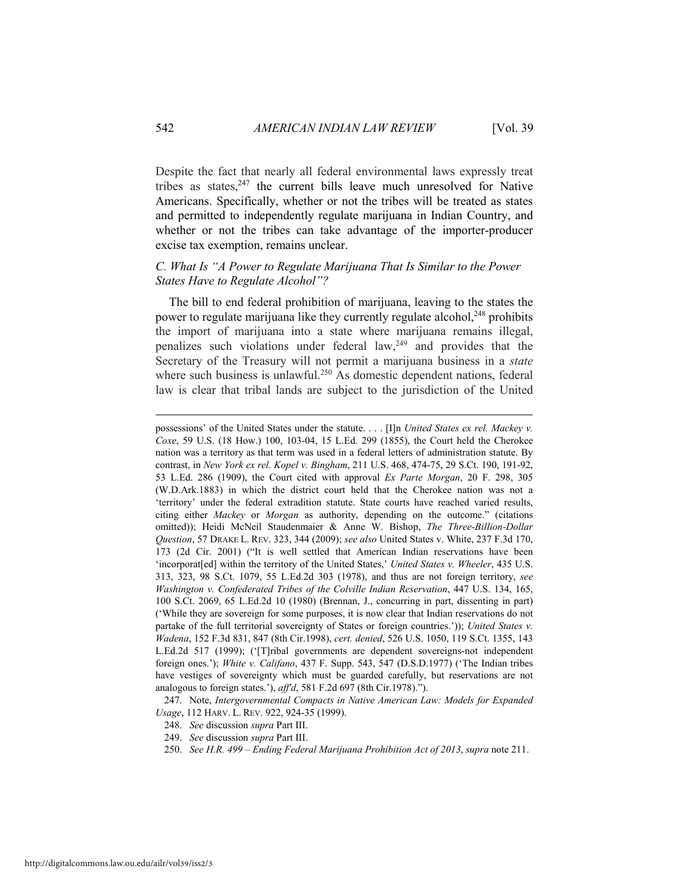Despite the fact that nearly all federal environmental laws expressly treat tribes as states, $247$  the current bills leave much unresolved for Native Americans. Specifically, whether or not the tribes will be treated as states and permitted to independently regulate marijuana in Indian Country, and whether or not the tribes can take advantage of the importer-producer excise tax exemption, remains unclear.

# *C. What Is "A Power to Regulate Marijuana That Is Similar to the Power States Have to Regulate Alcohol"?*

The bill to end federal prohibition of marijuana, leaving to the states the power to regulate marijuana like they currently regulate alcohol,<sup>248</sup> prohibits the import of marijuana into a state where marijuana remains illegal, penalizes such violations under federal  $\text{law},^{249}$  and provides that the Secretary of the Treasury will not permit a marijuana business in a *state* where such business is unlawful.<sup>250</sup> As domestic dependent nations, federal law is clear that tribal lands are subject to the jurisdiction of the United

 247. Note, *Intergovernmental Compacts in Native American Law: Models for Expanded Usage*, 112 HARV. L. REV. 922, 924-35 (1999).

- 248. *See* discussion *supra* Part III.
- 249. *See* discussion *supra* Part III.
- 250. *See H.R. 499 Ending Federal Marijuana Prohibition Act of 2013*, *supra* note 211.

possessions' of the United States under the statute. . . . [I]n *United States ex rel. Mackey v. Coxe*, 59 U.S. (18 How.) 100, 103-04, 15 L.Ed. 299 (1855), the Court held the Cherokee nation was a territory as that term was used in a federal letters of administration statute. By contrast, in *New York ex rel. Kopel v. Bingham*, 211 U.S. 468, 474-75, 29 S.Ct. 190, 191-92, 53 L.Ed. 286 (1909), the Court cited with approval *Ex Parte Morgan*, 20 F. 298, 305 (W.D.Ark.1883) in which the district court held that the Cherokee nation was not a 'territory' under the federal extradition statute. State courts have reached varied results, citing either *Mackey* or *Morgan* as authority, depending on the outcome." (citations omitted)); Heidi McNeil Staudenmaier & Anne W. Bishop, *The Three-Billion-Dollar Question*, 57 DRAKE L. REV. 323, 344 (2009); *see also* United States v. White, 237 F.3d 170, 173 (2d Cir. 2001) ("It is well settled that American Indian reservations have been 'incorporat[ed] within the territory of the United States,' *United States v. Wheeler*, 435 U.S. 313, 323, 98 S.Ct. 1079, 55 L.Ed.2d 303 (1978), and thus are not foreign territory, *see Washington v. Confederated Tribes of the Colville Indian Reservation*, 447 U.S. 134, 165, 100 S.Ct. 2069, 65 L.Ed.2d 10 (1980) (Brennan, J., concurring in part, dissenting in part) ('While they are sovereign for some purposes, it is now clear that Indian reservations do not partake of the full territorial sovereignty of States or foreign countries.')); *United States v. Wadena*, 152 F.3d 831, 847 (8th Cir.1998), *cert. denied*, 526 U.S. 1050, 119 S.Ct. 1355, 143 L.Ed.2d 517 (1999); ('[T]ribal governments are dependent sovereigns-not independent foreign ones.'); *White v. Califano*, 437 F. Supp. 543, 547 (D.S.D.1977) ('The Indian tribes have vestiges of sovereignty which must be guarded carefully, but reservations are not analogous to foreign states.'), *aff'd*, 581 F.2d 697 (8th Cir.1978).").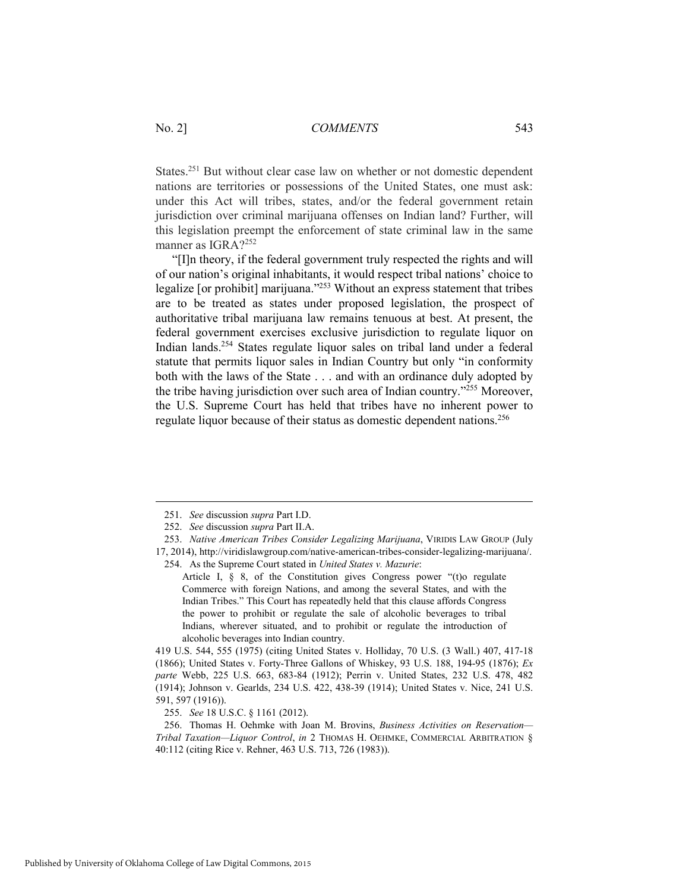States.<sup>251</sup> But without clear case law on whether or not domestic dependent nations are territories or possessions of the United States, one must ask: under this Act will tribes, states, and/or the federal government retain jurisdiction over criminal marijuana offenses on Indian land? Further, will this legislation preempt the enforcement of state criminal law in the same manner as IGRA?<sup>252</sup>

 "[I]n theory, if the federal government truly respected the rights and will of our nation's original inhabitants, it would respect tribal nations' choice to legalize [or prohibit] marijuana."253 Without an express statement that tribes are to be treated as states under proposed legislation, the prospect of authoritative tribal marijuana law remains tenuous at best. At present, the federal government exercises exclusive jurisdiction to regulate liquor on Indian lands.254 States regulate liquor sales on tribal land under a federal statute that permits liquor sales in Indian Country but only "in conformity both with the laws of the State . . . and with an ordinance duly adopted by the tribe having jurisdiction over such area of Indian country."255 Moreover, the U.S. Supreme Court has held that tribes have no inherent power to regulate liquor because of their status as domestic dependent nations.<sup>256</sup>

255. *See* 18 U.S.C. § 1161 (2012).

 <sup>251.</sup> *See* discussion *supra* Part I.D.

 <sup>252.</sup> *See* discussion *supra* Part II.A.

 <sup>253.</sup> *Native American Tribes Consider Legalizing Marijuana*, VIRIDIS LAW GROUP (July 17, 2014), http://viridislawgroup.com/native-american-tribes-consider-legalizing-marijuana/.

 <sup>254.</sup> As the Supreme Court stated in *United States v. Mazurie*:

Article I, § 8, of the Constitution gives Congress power "(t)o regulate Commerce with foreign Nations, and among the several States, and with the Indian Tribes." This Court has repeatedly held that this clause affords Congress the power to prohibit or regulate the sale of alcoholic beverages to tribal Indians, wherever situated, and to prohibit or regulate the introduction of alcoholic beverages into Indian country.

<sup>419</sup> U.S. 544, 555 (1975) (citing United States v. Holliday, 70 U.S. (3 Wall.) 407, 417-18 (1866); United States v. Forty-Three Gallons of Whiskey, 93 U.S. 188, 194-95 (1876); *Ex parte* Webb, 225 U.S. 663, 683-84 (1912); Perrin v. United States, 232 U.S. 478, 482 (1914); Johnson v. Gearlds, 234 U.S. 422, 438-39 (1914); United States v. Nice, 241 U.S. 591, 597 (1916)).

 <sup>256.</sup> Thomas H. Oehmke with Joan M. Brovins, *Business Activities on Reservation— Tribal Taxation—Liquor Control*, *in* 2 THOMAS H. OEHMKE, COMMERCIAL ARBITRATION § 40:112 (citing Rice v. Rehner, 463 U.S. 713, 726 (1983)).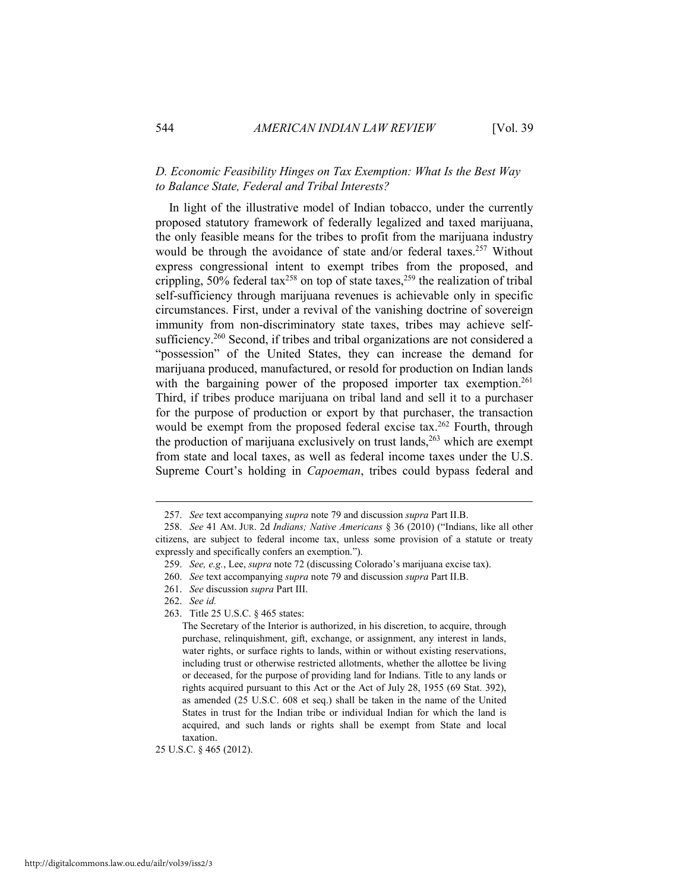## *D. Economic Feasibility Hinges on Tax Exemption: What Is the Best Way to Balance State, Federal and Tribal Interests?*

In light of the illustrative model of Indian tobacco, under the currently proposed statutory framework of federally legalized and taxed marijuana, the only feasible means for the tribes to profit from the marijuana industry would be through the avoidance of state and/or federal taxes.<sup>257</sup> Without express congressional intent to exempt tribes from the proposed, and crippling,  $50\%$  federal tax<sup>258</sup> on top of state taxes,<sup>259</sup> the realization of tribal self-sufficiency through marijuana revenues is achievable only in specific circumstances. First, under a revival of the vanishing doctrine of sovereign immunity from non-discriminatory state taxes, tribes may achieve selfsufficiency.<sup>260</sup> Second, if tribes and tribal organizations are not considered a "possession" of the United States, they can increase the demand for marijuana produced, manufactured, or resold for production on Indian lands with the bargaining power of the proposed importer tax exemption.<sup>261</sup> Third, if tribes produce marijuana on tribal land and sell it to a purchaser for the purpose of production or export by that purchaser, the transaction would be exempt from the proposed federal excise tax.<sup>262</sup> Fourth, through the production of marijuana exclusively on trust lands, $263$  which are exempt from state and local taxes, as well as federal income taxes under the U.S. Supreme Court's holding in *Capoeman*, tribes could bypass federal and

 $\overline{a}$ 

25 U.S.C. § 465 (2012).

 <sup>257.</sup> *See* text accompanying *supra* note 79 and discussion *supra* Part II.B.

 <sup>258.</sup> *See* 41 AM. JUR. 2d *Indians; Native Americans* § 36 (2010) ("Indians, like all other citizens, are subject to federal income tax, unless some provision of a statute or treaty expressly and specifically confers an exemption.").

 <sup>259.</sup> *See, e.g.*, Lee, *supra* note 72 (discussing Colorado's marijuana excise tax).

 <sup>260.</sup> *See* text accompanying *supra* note 79 and discussion *supra* Part II.B.

 <sup>261.</sup> *See* discussion *supra* Part III.

 <sup>262.</sup> *See id.* 

 <sup>263.</sup> Title 25 U.S.C. § 465 states:

The Secretary of the Interior is authorized, in his discretion, to acquire, through purchase, relinquishment, gift, exchange, or assignment, any interest in lands, water rights, or surface rights to lands, within or without existing reservations, including trust or otherwise restricted allotments, whether the allottee be living or deceased, for the purpose of providing land for Indians. Title to any lands or rights acquired pursuant to this Act or the Act of July 28, 1955 (69 Stat. 392), as amended (25 U.S.C. 608 et seq.) shall be taken in the name of the United States in trust for the Indian tribe or individual Indian for which the land is acquired, and such lands or rights shall be exempt from State and local taxation.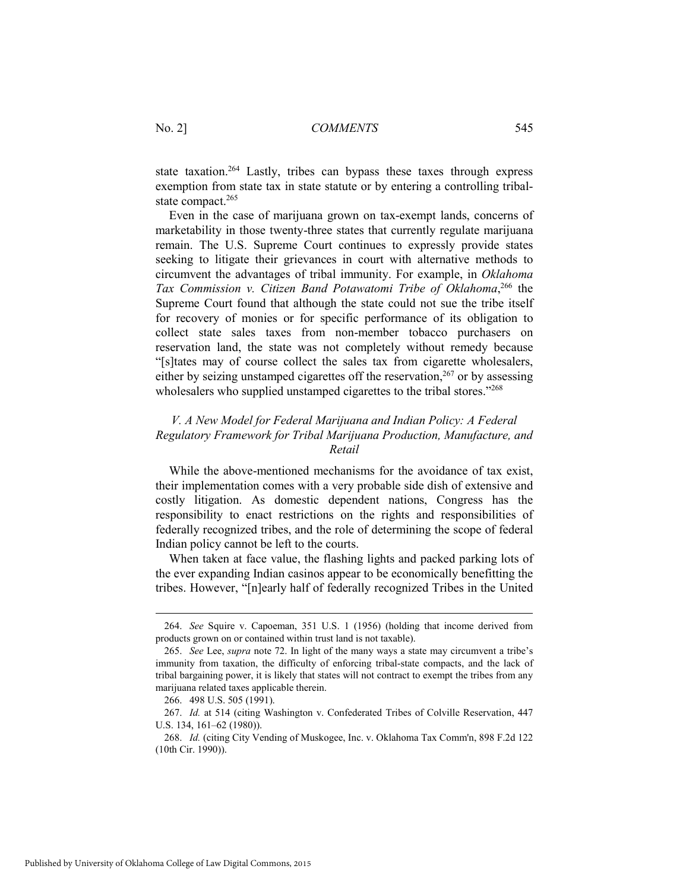state taxation.<sup>264</sup> Lastly, tribes can bypass these taxes through express exemption from state tax in state statute or by entering a controlling tribalstate compact.<sup>265</sup>

Even in the case of marijuana grown on tax-exempt lands, concerns of marketability in those twenty-three states that currently regulate marijuana remain. The U.S. Supreme Court continues to expressly provide states seeking to litigate their grievances in court with alternative methods to circumvent the advantages of tribal immunity. For example, in *Oklahoma*  Tax Commission v. Citizen Band Potawatomi Tribe of Oklahoma,<sup>266</sup> the Supreme Court found that although the state could not sue the tribe itself for recovery of monies or for specific performance of its obligation to collect state sales taxes from non-member tobacco purchasers on reservation land, the state was not completely without remedy because "[s]tates may of course collect the sales tax from cigarette wholesalers, either by seizing unstamped cigarettes off the reservation,  $267$  or by assessing wholesalers who supplied unstamped cigarettes to the tribal stores."<sup>268</sup>

# *V. A New Model for Federal Marijuana and Indian Policy: A Federal Regulatory Framework for Tribal Marijuana Production, Manufacture, and Retail*

While the above-mentioned mechanisms for the avoidance of tax exist, their implementation comes with a very probable side dish of extensive and costly litigation. As domestic dependent nations, Congress has the responsibility to enact restrictions on the rights and responsibilities of federally recognized tribes, and the role of determining the scope of federal Indian policy cannot be left to the courts.

When taken at face value, the flashing lights and packed parking lots of the ever expanding Indian casinos appear to be economically benefitting the tribes. However, "[n]early half of federally recognized Tribes in the United

 <sup>264.</sup> *See* Squire v. Capoeman, 351 U.S. 1 (1956) (holding that income derived from products grown on or contained within trust land is not taxable).

 <sup>265.</sup> *See* Lee, *supra* note 72. In light of the many ways a state may circumvent a tribe's immunity from taxation, the difficulty of enforcing tribal-state compacts, and the lack of tribal bargaining power, it is likely that states will not contract to exempt the tribes from any marijuana related taxes applicable therein.

 <sup>266. 498</sup> U.S. 505 (1991).

 <sup>267.</sup> *Id.* at 514 (citing Washington v. Confederated Tribes of Colville Reservation, 447 U.S. 134, 161–62 (1980)).

 <sup>268.</sup> *Id.* (citing City Vending of Muskogee, Inc. v. Oklahoma Tax Comm'n, 898 F.2d 122 (10th Cir. 1990)).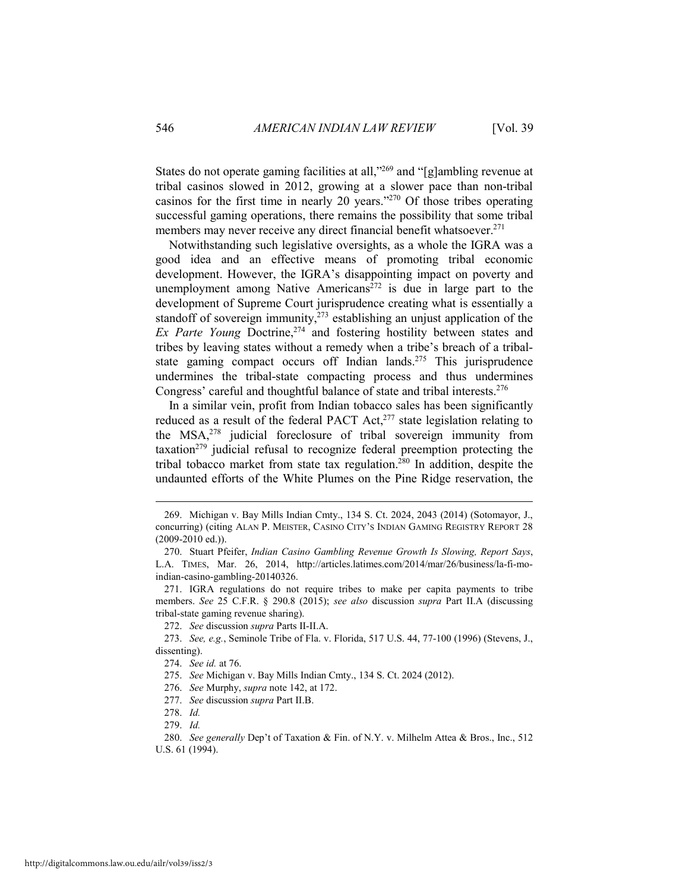States do not operate gaming facilities at all,"269 and "[g]ambling revenue at tribal casinos slowed in 2012, growing at a slower pace than non-tribal casinos for the first time in nearly 20 years."270 Of those tribes operating successful gaming operations, there remains the possibility that some tribal members may never receive any direct financial benefit whatsoever.<sup>271</sup>

Notwithstanding such legislative oversights, as a whole the IGRA was a good idea and an effective means of promoting tribal economic development. However, the IGRA's disappointing impact on poverty and unemployment among Native Americans<sup>272</sup> is due in large part to the development of Supreme Court jurisprudence creating what is essentially a standoff of sovereign immunity, $273$  establishing an unjust application of the *Ex Parte Young* Doctrine,<sup>274</sup> and fostering hostility between states and tribes by leaving states without a remedy when a tribe's breach of a tribalstate gaming compact occurs off Indian lands.275 This jurisprudence undermines the tribal-state compacting process and thus undermines Congress' careful and thoughtful balance of state and tribal interests.276

In a similar vein, profit from Indian tobacco sales has been significantly reduced as a result of the federal PACT Act,<sup>277</sup> state legislation relating to the MSA,278 judicial foreclosure of tribal sovereign immunity from taxation<sup> $279$ </sup> judicial refusal to recognize federal preemption protecting the tribal tobacco market from state tax regulation.<sup>280</sup> In addition, despite the undaunted efforts of the White Plumes on the Pine Ridge reservation, the

 <sup>269.</sup> Michigan v. Bay Mills Indian Cmty., 134 S. Ct. 2024, 2043 (2014) (Sotomayor, J., concurring) (citing ALAN P. MEISTER, CASINO CITY'S INDIAN GAMING REGISTRY REPORT 28 (2009-2010 ed.)).

 <sup>270.</sup> Stuart Pfeifer, *Indian Casino Gambling Revenue Growth Is Slowing, Report Says*, L.A. TIMES, Mar. 26, 2014, http://articles.latimes.com/2014/mar/26/business/la-fi-moindian-casino-gambling-20140326.

 <sup>271.</sup> IGRA regulations do not require tribes to make per capita payments to tribe members. *See* 25 C.F.R. § 290.8 (2015); *see also* discussion *supra* Part II.A (discussing tribal-state gaming revenue sharing).

 <sup>272.</sup> *See* discussion *supra* Parts II-II.A.

 <sup>273.</sup> *See, e.g.*, Seminole Tribe of Fla. v. Florida, 517 U.S. 44, 77-100 (1996) (Stevens, J., dissenting).

 <sup>274.</sup> *See id.* at 76.

 <sup>275.</sup> *See* Michigan v. Bay Mills Indian Cmty., 134 S. Ct. 2024 (2012).

 <sup>276.</sup> *See* Murphy, *supra* note 142, at 172.

 <sup>277.</sup> *See* discussion *supra* Part II.B.

 <sup>278.</sup> *Id.*

 <sup>279.</sup> *Id.*

 <sup>280.</sup> *See generally* Dep't of Taxation & Fin. of N.Y. v. Milhelm Attea & Bros., Inc., 512 U.S. 61 (1994).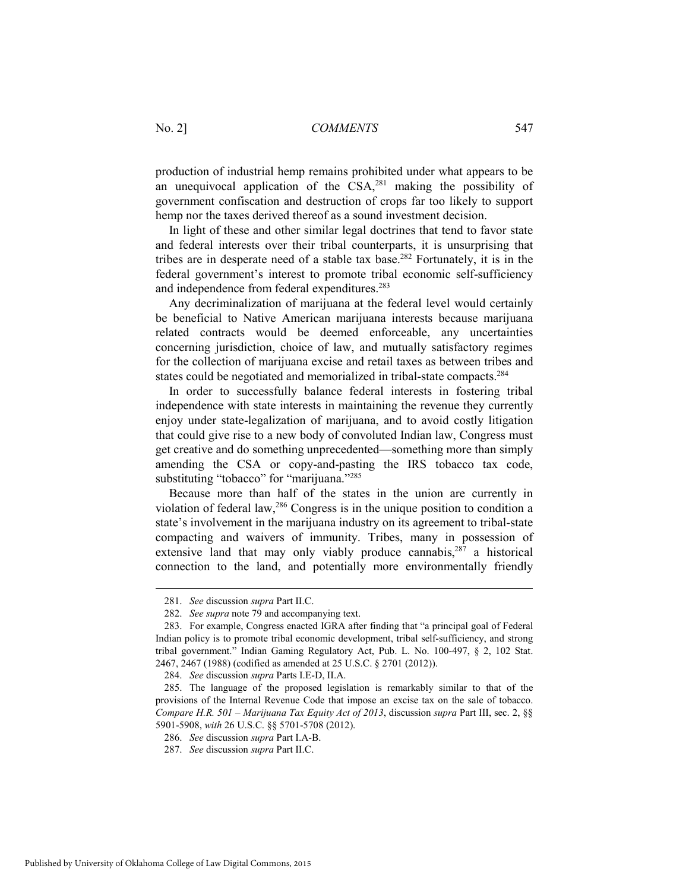production of industrial hemp remains prohibited under what appears to be an unequivocal application of the  $\text{CSA}$ <sup>281</sup> making the possibility of government confiscation and destruction of crops far too likely to support hemp nor the taxes derived thereof as a sound investment decision.

In light of these and other similar legal doctrines that tend to favor state and federal interests over their tribal counterparts, it is unsurprising that tribes are in desperate need of a stable tax base.282 Fortunately, it is in the federal government's interest to promote tribal economic self-sufficiency and independence from federal expenditures.<sup>283</sup>

Any decriminalization of marijuana at the federal level would certainly be beneficial to Native American marijuana interests because marijuana related contracts would be deemed enforceable, any uncertainties concerning jurisdiction, choice of law, and mutually satisfactory regimes for the collection of marijuana excise and retail taxes as between tribes and states could be negotiated and memorialized in tribal-state compacts.284

In order to successfully balance federal interests in fostering tribal independence with state interests in maintaining the revenue they currently enjoy under state-legalization of marijuana, and to avoid costly litigation that could give rise to a new body of convoluted Indian law, Congress must get creative and do something unprecedented—something more than simply amending the CSA or copy-and-pasting the IRS tobacco tax code, substituting "tobacco" for "marijuana."<sup>285</sup>

Because more than half of the states in the union are currently in violation of federal law,286 Congress is in the unique position to condition a state's involvement in the marijuana industry on its agreement to tribal-state compacting and waivers of immunity. Tribes, many in possession of extensive land that may only viably produce cannabis, $287$  a historical connection to the land, and potentially more environmentally friendly

 <sup>281.</sup> *See* discussion *supra* Part II.C.

 <sup>282.</sup> *See supra* note 79 and accompanying text.

 <sup>283.</sup> For example, Congress enacted IGRA after finding that "a principal goal of Federal Indian policy is to promote tribal economic development, tribal self-sufficiency, and strong tribal government." Indian Gaming Regulatory Act, Pub. L. No. 100-497, § 2, 102 Stat. 2467, 2467 (1988) (codified as amended at 25 U.S.C. § 2701 (2012)).

 <sup>284.</sup> *See* discussion *supra* Parts I.E-D, II.A.

 <sup>285.</sup> The language of the proposed legislation is remarkably similar to that of the provisions of the Internal Revenue Code that impose an excise tax on the sale of tobacco. *Compare H.R. 501 – Marijuana Tax Equity Act of 2013*, discussion *supra* Part III, sec. 2, §§ 5901-5908, *with* 26 U.S.C. §§ 5701-5708 (2012).

 <sup>286.</sup> *See* discussion *supra* Part I.A-B.

 <sup>287.</sup> *See* discussion *supra* Part II.C.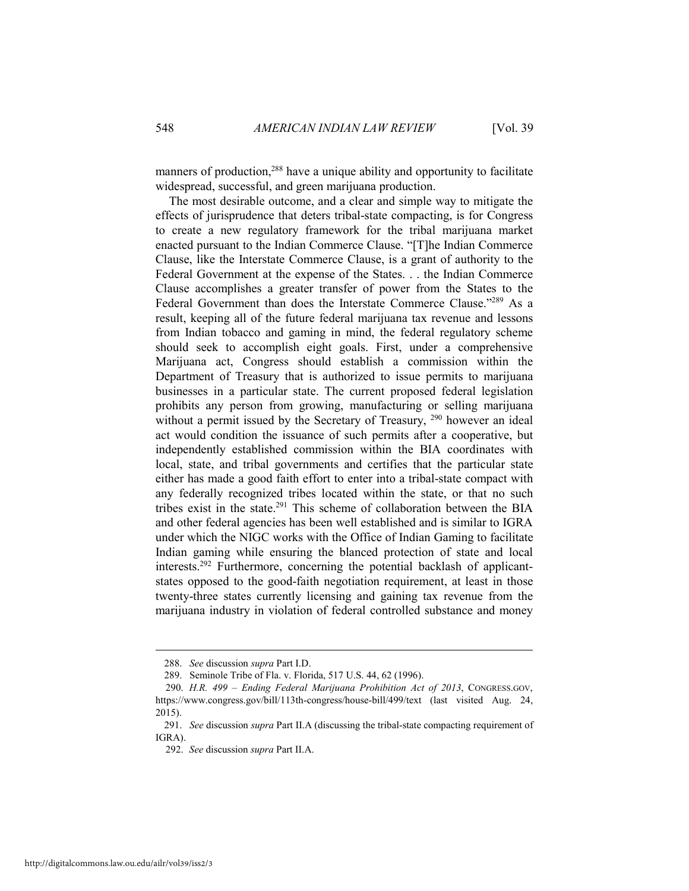manners of production,<sup>288</sup> have a unique ability and opportunity to facilitate widespread, successful, and green marijuana production.

The most desirable outcome, and a clear and simple way to mitigate the effects of jurisprudence that deters tribal-state compacting, is for Congress to create a new regulatory framework for the tribal marijuana market enacted pursuant to the Indian Commerce Clause. "[T]he Indian Commerce Clause, like the Interstate Commerce Clause, is a grant of authority to the Federal Government at the expense of the States. . . the Indian Commerce Clause accomplishes a greater transfer of power from the States to the Federal Government than does the Interstate Commerce Clause."289 As a result, keeping all of the future federal marijuana tax revenue and lessons from Indian tobacco and gaming in mind, the federal regulatory scheme should seek to accomplish eight goals. First, under a comprehensive Marijuana act, Congress should establish a commission within the Department of Treasury that is authorized to issue permits to marijuana businesses in a particular state. The current proposed federal legislation prohibits any person from growing, manufacturing or selling marijuana without a permit issued by the Secretary of Treasury, <sup>290</sup> however an ideal act would condition the issuance of such permits after a cooperative, but independently established commission within the BIA coordinates with local, state, and tribal governments and certifies that the particular state either has made a good faith effort to enter into a tribal-state compact with any federally recognized tribes located within the state, or that no such tribes exist in the state.291 This scheme of collaboration between the BIA and other federal agencies has been well established and is similar to IGRA under which the NIGC works with the Office of Indian Gaming to facilitate Indian gaming while ensuring the blanced protection of state and local interests.292 Furthermore, concerning the potential backlash of applicantstates opposed to the good-faith negotiation requirement, at least in those twenty-three states currently licensing and gaining tax revenue from the marijuana industry in violation of federal controlled substance and money

 <sup>288.</sup> *See* discussion *supra* Part I.D.

 <sup>289.</sup> Seminole Tribe of Fla. v. Florida, 517 U.S. 44, 62 (1996).

<sup>290.</sup> *H.R. 499 – Ending Federal Marijuana Prohibition Act of 2013*, CONGRESS.GOV, https://www.congress.gov/bill/113th-congress/house-bill/499/text (last visited Aug. 24, 2015).

 <sup>291.</sup> *See* discussion *supra* Part II.A (discussing the tribal-state compacting requirement of IGRA).

<sup>292.</sup> *See* discussion *supra* Part II.A.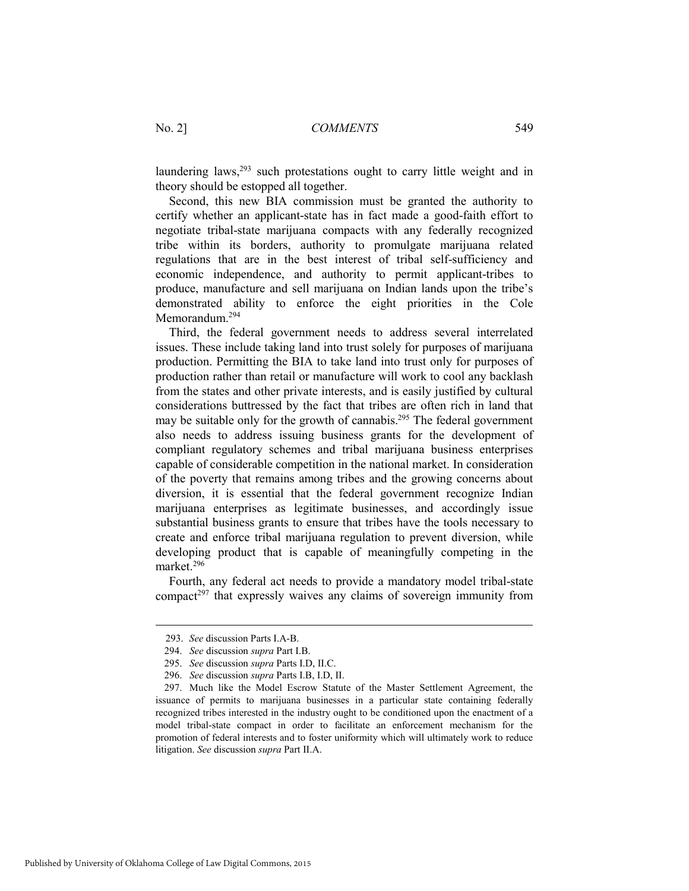laundering laws,<sup>293</sup> such protestations ought to carry little weight and in theory should be estopped all together.

Second, this new BIA commission must be granted the authority to certify whether an applicant-state has in fact made a good-faith effort to negotiate tribal-state marijuana compacts with any federally recognized tribe within its borders, authority to promulgate marijuana related regulations that are in the best interest of tribal self-sufficiency and economic independence, and authority to permit applicant-tribes to produce, manufacture and sell marijuana on Indian lands upon the tribe's demonstrated ability to enforce the eight priorities in the Cole Memorandum.294

Third, the federal government needs to address several interrelated issues. These include taking land into trust solely for purposes of marijuana production. Permitting the BIA to take land into trust only for purposes of production rather than retail or manufacture will work to cool any backlash from the states and other private interests, and is easily justified by cultural considerations buttressed by the fact that tribes are often rich in land that may be suitable only for the growth of cannabis.<sup>295</sup> The federal government also needs to address issuing business grants for the development of compliant regulatory schemes and tribal marijuana business enterprises capable of considerable competition in the national market. In consideration of the poverty that remains among tribes and the growing concerns about diversion, it is essential that the federal government recognize Indian marijuana enterprises as legitimate businesses, and accordingly issue substantial business grants to ensure that tribes have the tools necessary to create and enforce tribal marijuana regulation to prevent diversion, while developing product that is capable of meaningfully competing in the market<sup>296</sup>

Fourth, any federal act needs to provide a mandatory model tribal-state compact<sup> $297$ </sup> that expressly waives any claims of sovereign immunity from

<sup>293.</sup> *See* discussion Parts I.A-B.

 <sup>294.</sup> *See* discussion *supra* Part I.B.

 <sup>295.</sup> *See* discussion *supra* Parts I.D, II.C.

 <sup>296.</sup> *See* discussion *supra* Parts I.B, I.D, II.

 <sup>297.</sup> Much like the Model Escrow Statute of the Master Settlement Agreement, the issuance of permits to marijuana businesses in a particular state containing federally recognized tribes interested in the industry ought to be conditioned upon the enactment of a model tribal-state compact in order to facilitate an enforcement mechanism for the promotion of federal interests and to foster uniformity which will ultimately work to reduce litigation. *See* discussion *supra* Part II.A.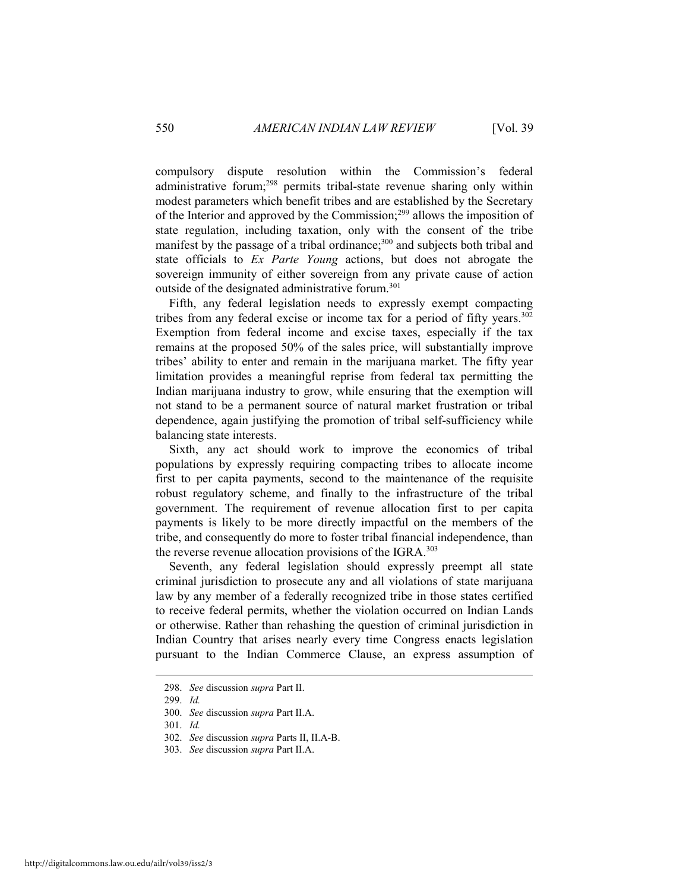compulsory dispute resolution within the Commission's federal administrative forum;<sup>298</sup> permits tribal-state revenue sharing only within modest parameters which benefit tribes and are established by the Secretary of the Interior and approved by the Commission;299 allows the imposition of state regulation, including taxation, only with the consent of the tribe manifest by the passage of a tribal ordinance;<sup>300</sup> and subjects both tribal and state officials to *Ex Parte Young* actions, but does not abrogate the sovereign immunity of either sovereign from any private cause of action outside of the designated administrative forum.<sup>301</sup>

Fifth, any federal legislation needs to expressly exempt compacting tribes from any federal excise or income tax for a period of fifty years.<sup>302</sup> Exemption from federal income and excise taxes, especially if the tax remains at the proposed 50% of the sales price, will substantially improve tribes' ability to enter and remain in the marijuana market. The fifty year limitation provides a meaningful reprise from federal tax permitting the Indian marijuana industry to grow, while ensuring that the exemption will not stand to be a permanent source of natural market frustration or tribal dependence, again justifying the promotion of tribal self-sufficiency while balancing state interests.

Sixth, any act should work to improve the economics of tribal populations by expressly requiring compacting tribes to allocate income first to per capita payments, second to the maintenance of the requisite robust regulatory scheme, and finally to the infrastructure of the tribal government. The requirement of revenue allocation first to per capita payments is likely to be more directly impactful on the members of the tribe, and consequently do more to foster tribal financial independence, than the reverse revenue allocation provisions of the IGRA.<sup>303</sup>

Seventh, any federal legislation should expressly preempt all state criminal jurisdiction to prosecute any and all violations of state marijuana law by any member of a federally recognized tribe in those states certified to receive federal permits, whether the violation occurred on Indian Lands or otherwise. Rather than rehashing the question of criminal jurisdiction in Indian Country that arises nearly every time Congress enacts legislation pursuant to the Indian Commerce Clause, an express assumption of

 <sup>298.</sup> *See* discussion *supra* Part II.

 <sup>299.</sup> *Id.*

 <sup>300.</sup> *See* discussion *supra* Part II.A.

 <sup>301.</sup> *Id.*

 <sup>302.</sup> *See* discussion *supra* Parts II, II.A-B.

 <sup>303.</sup> *See* discussion *supra* Part II.A.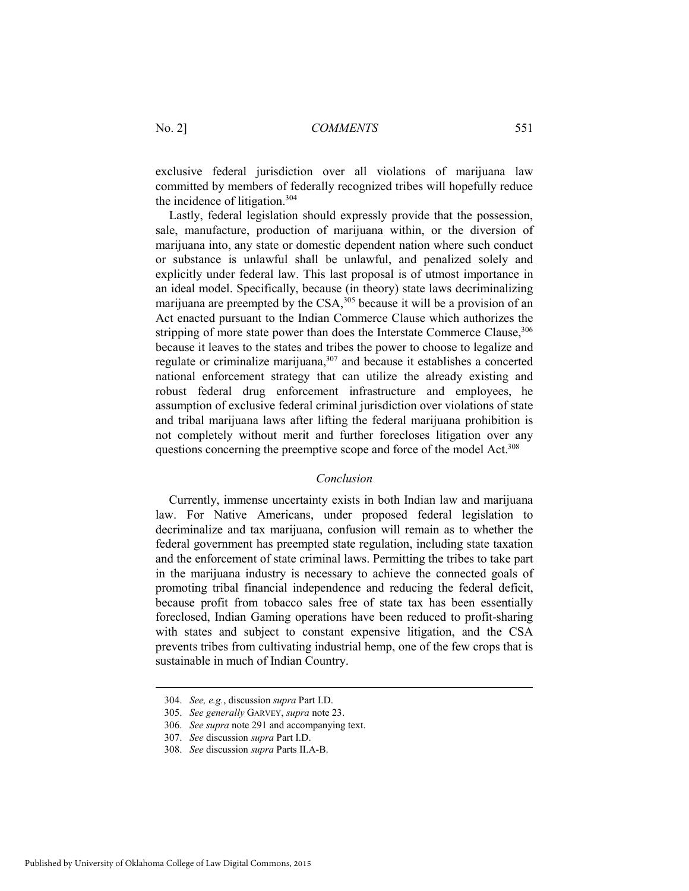exclusive federal jurisdiction over all violations of marijuana law committed by members of federally recognized tribes will hopefully reduce the incidence of litigation.304

Lastly, federal legislation should expressly provide that the possession, sale, manufacture, production of marijuana within, or the diversion of marijuana into, any state or domestic dependent nation where such conduct or substance is unlawful shall be unlawful, and penalized solely and explicitly under federal law. This last proposal is of utmost importance in an ideal model. Specifically, because (in theory) state laws decriminalizing marijuana are preempted by the CSA,<sup>305</sup> because it will be a provision of an Act enacted pursuant to the Indian Commerce Clause which authorizes the stripping of more state power than does the Interstate Commerce Clause, 306 because it leaves to the states and tribes the power to choose to legalize and regulate or criminalize marijuana,307 and because it establishes a concerted national enforcement strategy that can utilize the already existing and robust federal drug enforcement infrastructure and employees, he assumption of exclusive federal criminal jurisdiction over violations of state and tribal marijuana laws after lifting the federal marijuana prohibition is not completely without merit and further forecloses litigation over any questions concerning the preemptive scope and force of the model Act.<sup>308</sup>

#### *Conclusion*

Currently, immense uncertainty exists in both Indian law and marijuana law. For Native Americans, under proposed federal legislation to decriminalize and tax marijuana, confusion will remain as to whether the federal government has preempted state regulation, including state taxation and the enforcement of state criminal laws. Permitting the tribes to take part in the marijuana industry is necessary to achieve the connected goals of promoting tribal financial independence and reducing the federal deficit, because profit from tobacco sales free of state tax has been essentially foreclosed, Indian Gaming operations have been reduced to profit-sharing with states and subject to constant expensive litigation, and the CSA prevents tribes from cultivating industrial hemp, one of the few crops that is sustainable in much of Indian Country.

 <sup>304.</sup> *See, e.g.*, discussion *supra* Part I.D.

 <sup>305.</sup> *See generally* GARVEY, *supra* note 23.

 <sup>306.</sup> *See supra* note 291 and accompanying text.

 <sup>307.</sup> *See* discussion *supra* Part I.D.

 <sup>308.</sup> *See* discussion *supra* Parts II.A-B.